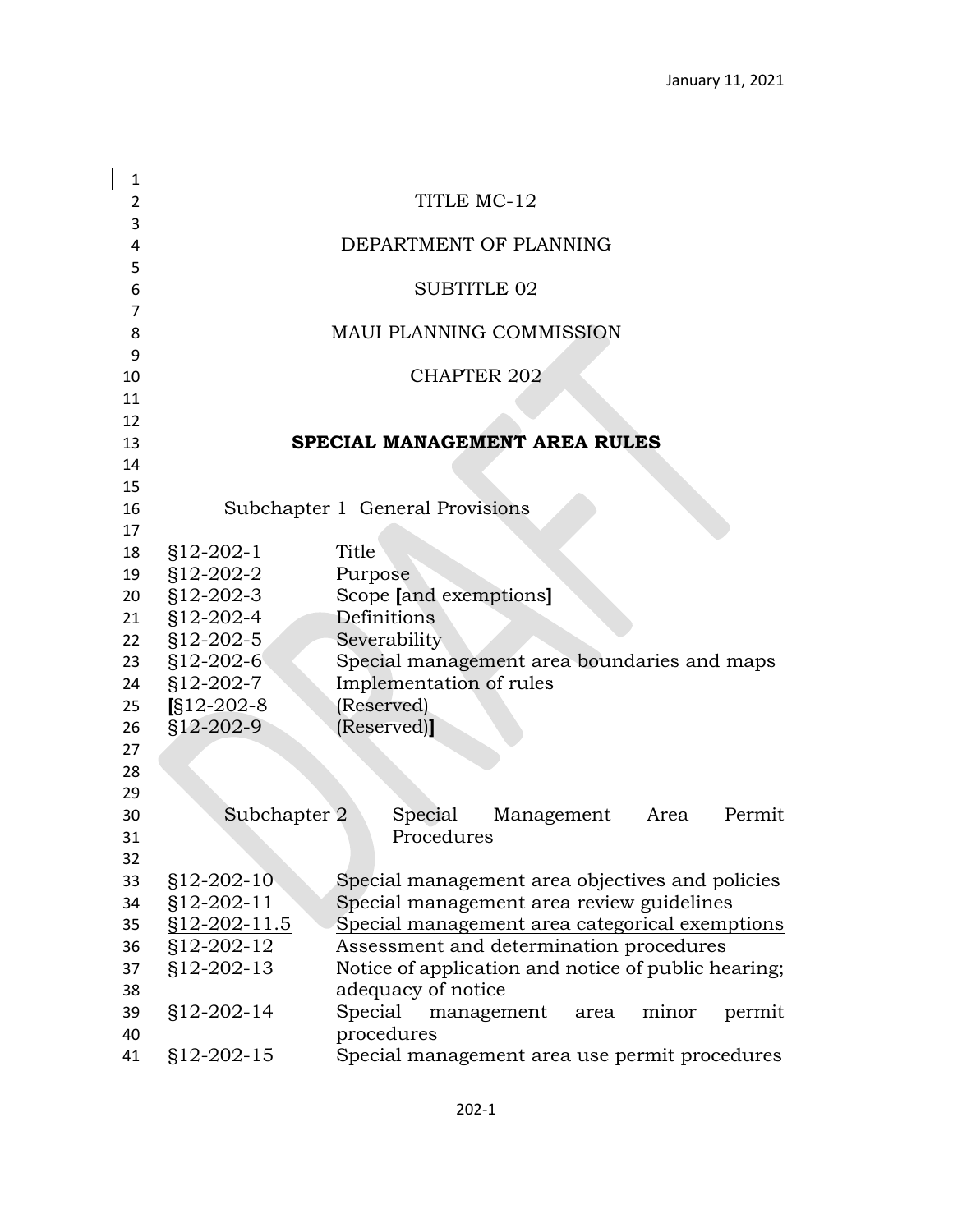| $\mathbf{1}$    |              |                                                       |
|-----------------|--------------|-------------------------------------------------------|
| 2               |              | TITLE MC-12                                           |
| 3               |              |                                                       |
| 4               |              | DEPARTMENT OF PLANNING                                |
| 5               |              |                                                       |
| 6               |              | <b>SUBTITLE 02</b>                                    |
| $\overline{7}$  |              |                                                       |
| 8               |              | <b>MAUI PLANNING COMMISSION</b>                       |
| 9               |              | <b>CHAPTER 202</b>                                    |
| 10<br>11        |              |                                                       |
| 12              |              |                                                       |
| 13              |              | SPECIAL MANAGEMENT AREA RULES                         |
| 14              |              |                                                       |
| 15              |              |                                                       |
| 16              |              | Subchapter 1 General Provisions                       |
| 17              |              |                                                       |
| 18              | $$12-202-1$  | Title                                                 |
| 19              | §12-202-2    | Purpose                                               |
| 20 <sub>2</sub> | §12-202-3    | Scope [and exemptions]                                |
| 21              | $$12-202-4$  | Definitions                                           |
| 22              | §12-202-5    | Severability                                          |
|                 | 23 §12-202-6 | Special management area boundaries and maps           |
| 24              | $$12-202-7$  | Implementation of rules                               |
| 25              | $$12-202-8$  | (Reserved)                                            |
| 26              | $$12-202-9$  | (Reserved)]                                           |
| 27              |              |                                                       |
| 28              |              |                                                       |
| 29              |              |                                                       |
| 30              | Subchapter 2 | Special<br>Permit<br>Management<br>Area<br>Procedures |
| 31<br>32        |              |                                                       |
| 33              | $$12-202-10$ | Special management area objectives and policies       |
| 34              | §12-202-11   | Special management area review guidelines             |
| 35              | §12-202-11.5 | Special management area categorical exemptions        |
| 36              | §12-202-12   | Assessment and determination procedures               |
| 37              | §12-202-13   | Notice of application and notice of public hearing;   |
| 38              |              | adequacy of notice                                    |
| 39              | §12-202-14   | Special<br>management<br>minor<br>permit<br>area      |
| 40              |              | procedures                                            |
| 41              | §12-202-15   | Special management area use permit procedures         |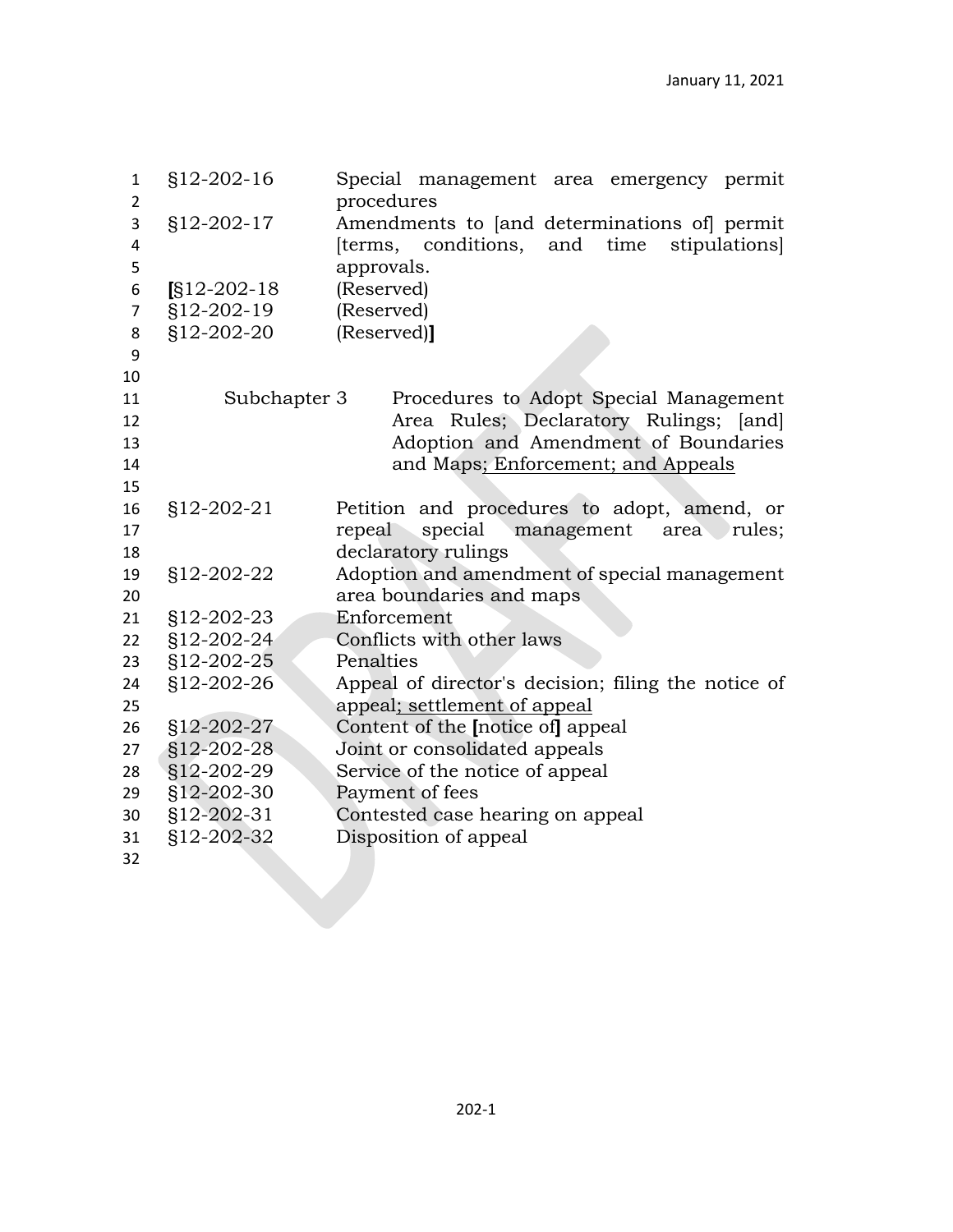| $\mathbf{1}$<br>$\overline{2}$ | §12-202-16   | Special management area emergency permit<br>procedures |
|--------------------------------|--------------|--------------------------------------------------------|
| 3                              | §12-202-17   | Amendments to [and determinations of] permit           |
| 4                              |              | conditions,<br>stipulations<br>and<br>time<br>[terms,  |
| 5                              |              | approvals.                                             |
| 6                              | $S12-202-18$ | (Reserved)                                             |
| $\overline{7}$                 | §12-202-19   | (Reserved)                                             |
| 8                              | §12-202-20   | (Reserved)]                                            |
| 9                              |              |                                                        |
| 10                             |              |                                                        |
| 11                             | Subchapter 3 | Procedures to Adopt Special Management                 |
| 12                             |              | Area Rules; Declaratory Rulings; [and]                 |
| 13                             |              | Adoption and Amendment of Boundaries                   |
| 14                             |              | and Maps; Enforcement; and Appeals                     |
| 15                             |              |                                                        |
| 16                             | §12-202-21   | Petition and procedures to adopt, amend, or            |
| 17                             |              | special<br>repeal<br>management area rules;            |
| 18                             |              | declaratory rulings                                    |
| 19                             | §12-202-22   | Adoption and amendment of special management           |
| 20                             |              | area boundaries and maps                               |
| 21                             |              |                                                        |
|                                | §12-202-23   | Enforcement                                            |
| 22                             | §12-202-24   | Conflicts with other laws                              |
| 23                             | §12-202-25   | Penalties                                              |
| 24                             | §12-202-26   | Appeal of director's decision; filing the notice of    |
| 25                             |              | appeal; settlement of appeal                           |
| 26                             | §12-202-27   | Content of the Inotice of appeal                       |
| 27                             | §12-202-28   | Joint or consolidated appeals                          |
| 28                             | §12-202-29   | Service of the notice of appeal                        |
| 29                             | §12-202-30   | Payment of fees                                        |
| 30                             | §12-202-31   | Contested case hearing on appeal                       |
| 31                             | §12-202-32   | Disposition of appeal                                  |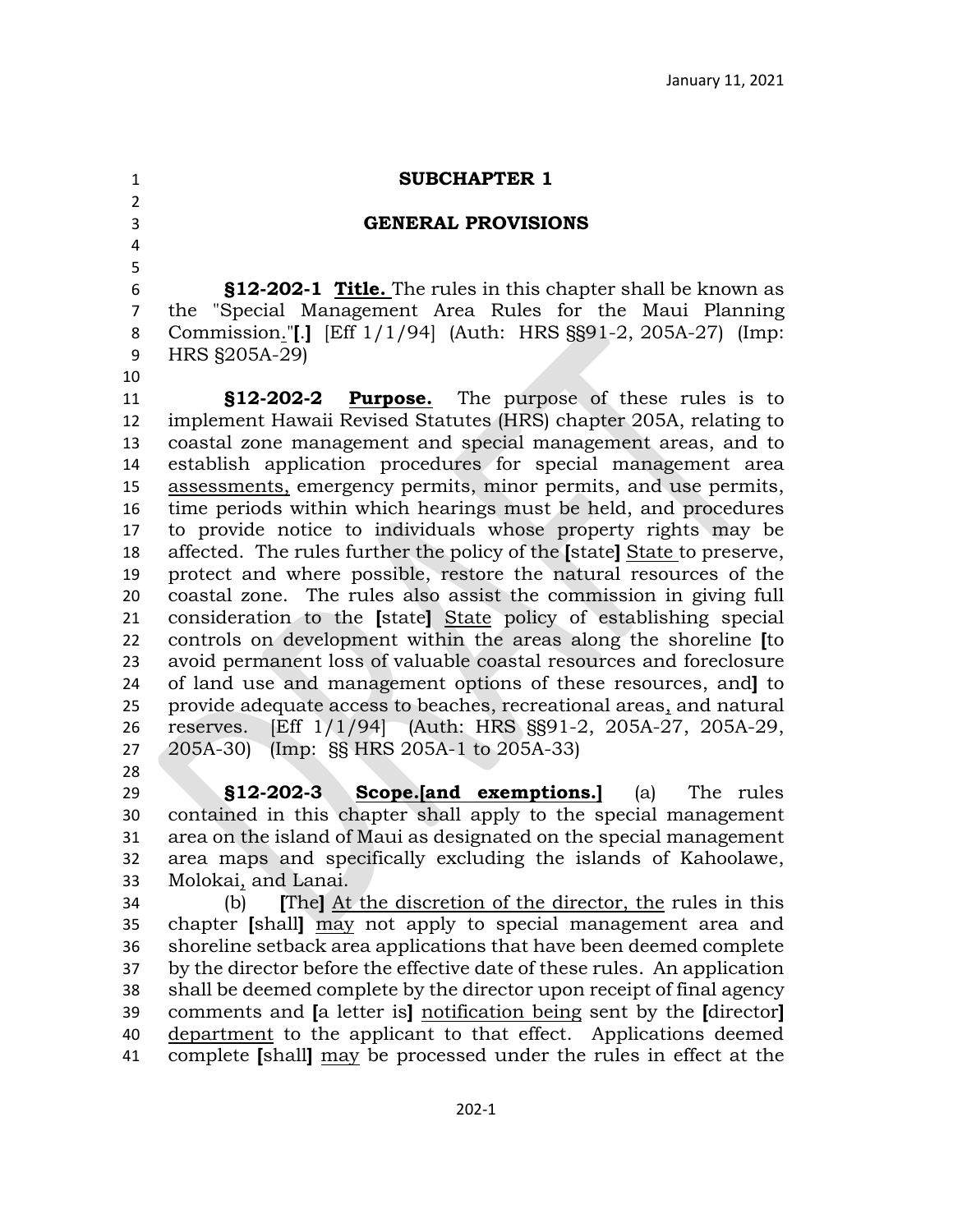# **SUBCHAPTER 1**

## **GENERAL PROVISIONS**

 **§12-202-1 Title.** The rules in this chapter shall be known as the "Special Management Area Rules for the Maui Planning Commission."**[**.**]** [Eff 1/1/94] (Auth: HRS §§91-2, 205A-27) (Imp: HRS §205A-29)

 

 **§12-202-2 Purpose.** The purpose of these rules is to implement Hawaii Revised Statutes (HRS) chapter 205A, relating to coastal zone management and special management areas, and to establish application procedures for special management area assessments, emergency permits, minor permits, and use permits, time periods within which hearings must be held, and procedures to provide notice to individuals whose property rights may be affected. The rules further the policy of the **[**state**]** State to preserve, protect and where possible, restore the natural resources of the coastal zone. The rules also assist the commission in giving full consideration to the **[**state**]** State policy of establishing special controls on development within the areas along the shoreline **[**to avoid permanent loss of valuable coastal resources and foreclosure of land use and management options of these resources, and**]** to provide adequate access to beaches, recreational areas, and natural reserves. [Eff 1/1/94] (Auth: HRS §§91-2, 205A-27, 205A-29, 205A-30) (Imp: §§ HRS 205A-1 to 205A-33) 

 **§12-202-3 Scope.[and exemptions.]** (a) The rules contained in this chapter shall apply to the special management area on the island of Maui as designated on the special management area maps and specifically excluding the islands of Kahoolawe, Molokai, and Lanai.

 (b) **[**The**]** At the discretion of the director, the rules in this chapter **[**shall**]** may not apply to special management area and shoreline setback area applications that have been deemed complete by the director before the effective date of these rules. An application shall be deemed complete by the director upon receipt of final agency comments and **[**a letter is**]** notification being sent by the **[**director**]** department to the applicant to that effect. Applications deemed complete **[**shall**]** may be processed under the rules in effect at the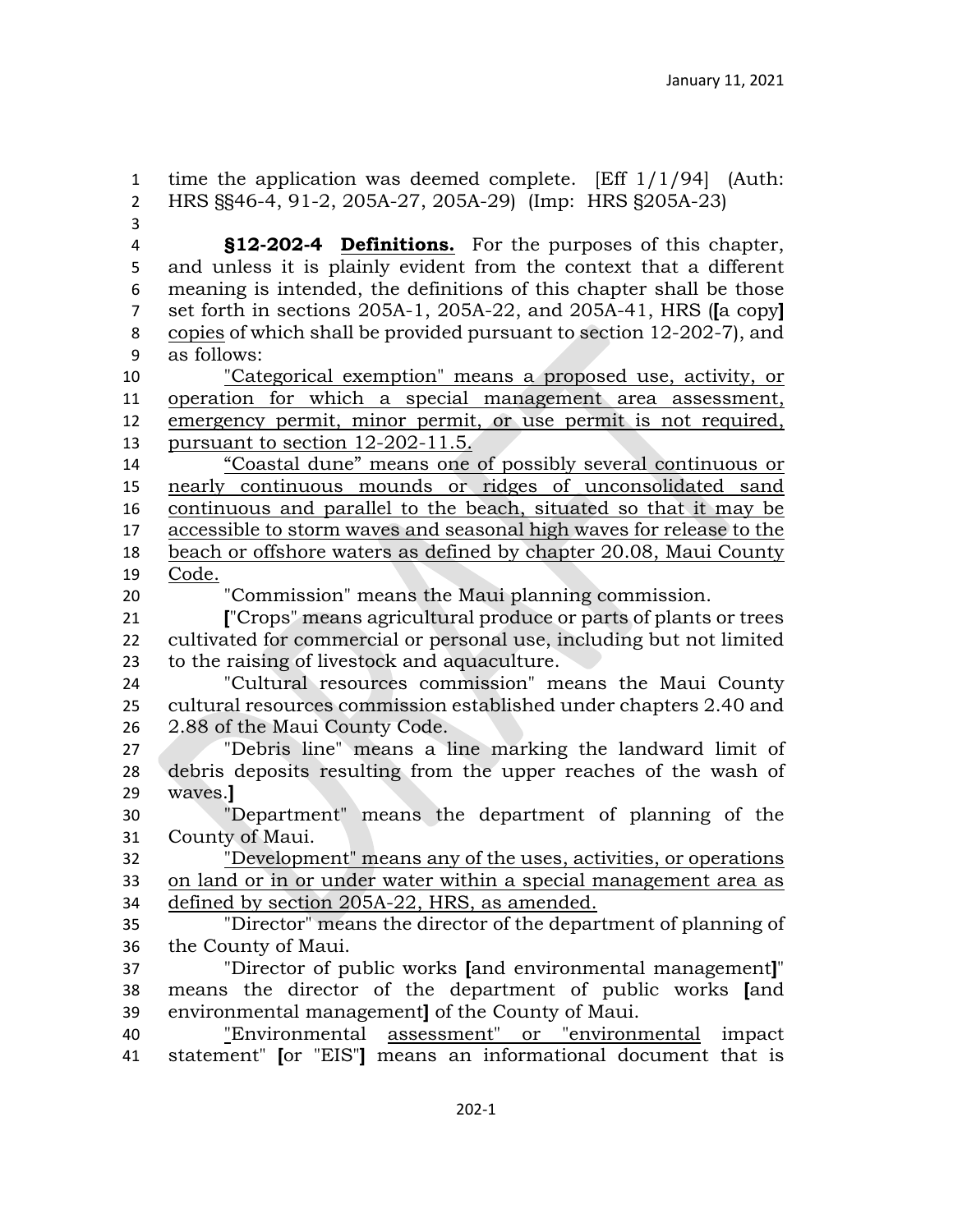time the application was deemed complete. [Eff 1/1/94] (Auth: HRS §§46-4, 91-2, 205A-27, 205A-29) (Imp: HRS §205A-23) **§12-202-4 Definitions.** For the purposes of this chapter, and unless it is plainly evident from the context that a different meaning is intended, the definitions of this chapter shall be those set forth in sections 205A-1, 205A-22, and 205A-41, HRS (**[**a copy**]**  copies of which shall be provided pursuant to section 12-202-7), and as follows: "Categorical exemption" means a proposed use, activity, or operation for which a special management area assessment, emergency permit, minor permit, or use permit is not required, pursuant to section 12-202-11.5. "Coastal dune" means one of possibly several continuous or nearly continuous mounds or ridges of unconsolidated sand continuous and parallel to the beach, situated so that it may be accessible to storm waves and seasonal high waves for release to the beach or offshore waters as defined by chapter 20.08, Maui County Code. "Commission" means the Maui planning commission. **[**"Crops" means agricultural produce or parts of plants or trees cultivated for commercial or personal use, including but not limited to the raising of livestock and aquaculture. "Cultural resources commission" means the Maui County cultural resources commission established under chapters 2.40 and 2.88 of the Maui County Code. "Debris line" means a line marking the landward limit of debris deposits resulting from the upper reaches of the wash of waves.**]** "Department" means the department of planning of the County of Maui. "Development" means any of the uses, activities, or operations on land or in or under water within a special management area as defined by section 205A-22, HRS, as amended. "Director" means the director of the department of planning of the County of Maui. "Director of public works **[**and environmental management**]**" means the director of the department of public works **[**and environmental management**]** of the County of Maui. "Environmental assessment" or "environmental impact statement" **[**or "EIS"**]** means an informational document that is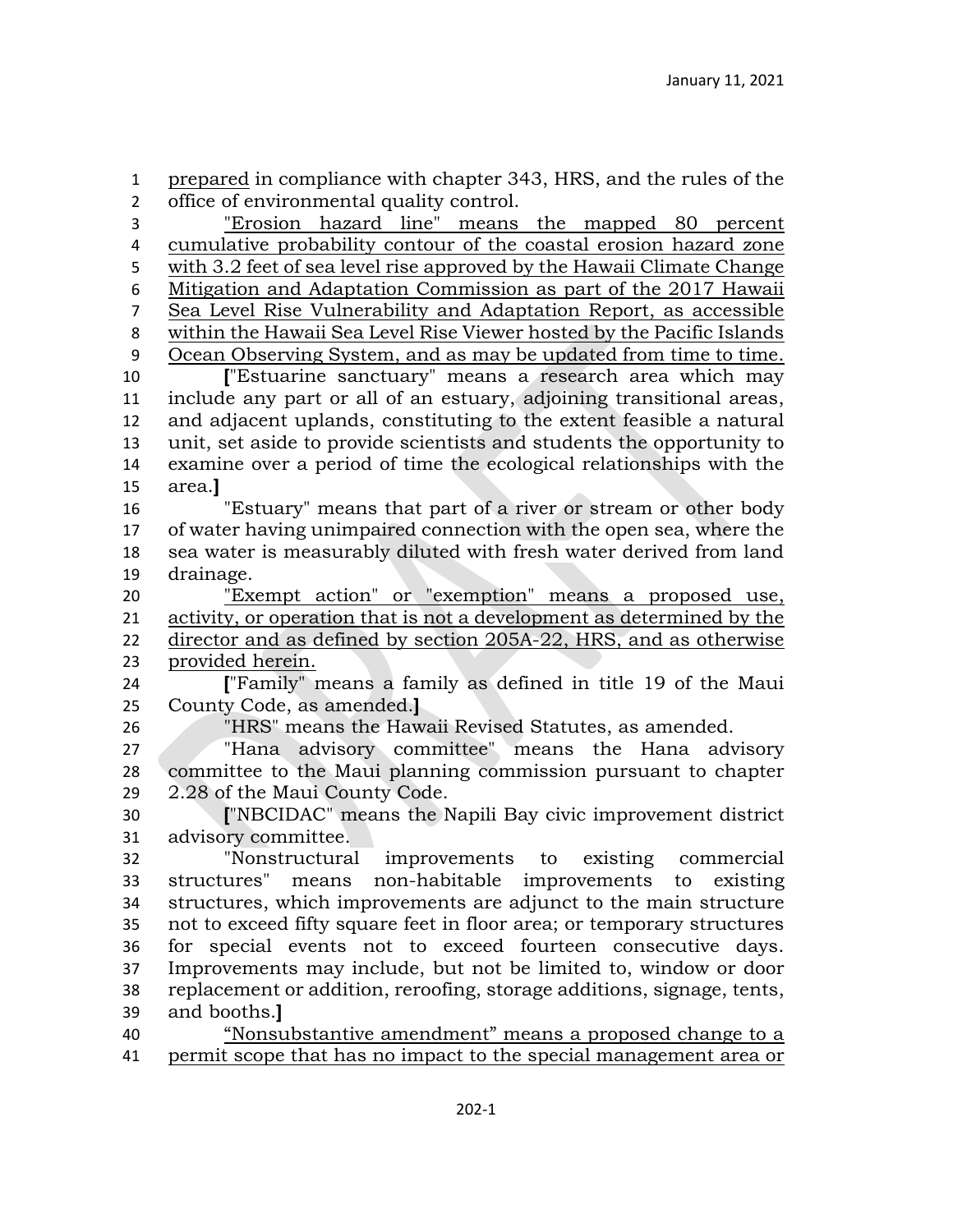prepared in compliance with chapter 343, HRS, and the rules of the office of environmental quality control.

 "Erosion hazard line" means the mapped 80 percent cumulative probability contour of the coastal erosion hazard zone with 3.2 feet of sea level rise approved by the Hawaii Climate Change Mitigation and Adaptation Commission as part of the 2017 Hawaii Sea Level Rise Vulnerability and Adaptation Report, as accessible within the Hawaii Sea Level Rise Viewer hosted by the Pacific Islands Ocean Observing System, and as may be updated from time to time. **[**"Estuarine sanctuary" means a research area which may include any part or all of an estuary, adjoining transitional areas, and adjacent uplands, constituting to the extent feasible a natural unit, set aside to provide scientists and students the opportunity to examine over a period of time the ecological relationships with the area.**]** "Estuary" means that part of a river or stream or other body of water having unimpaired connection with the open sea, where the sea water is measurably diluted with fresh water derived from land drainage. "Exempt action" or "exemption" means a proposed use, activity, or operation that is not a development as determined by the director and as defined by section 205A-22, HRS, and as otherwise provided herein. **[**"Family" means a family as defined in title 19 of the Maui County Code, as amended.**]** "HRS" means the Hawaii Revised Statutes, as amended. "Hana advisory committee" means the Hana advisory committee to the Maui planning commission pursuant to chapter 2.28 of the Maui County Code. **[**"NBCIDAC" means the Napili Bay civic improvement district advisory committee. "Nonstructural improvements to existing commercial structures" means non-habitable improvements to existing structures, which improvements are adjunct to the main structure not to exceed fifty square feet in floor area; or temporary structures for special events not to exceed fourteen consecutive days. Improvements may include, but not be limited to, window or door

 replacement or addition, reroofing, storage additions, signage, tents, and booths.**]**

 "Nonsubstantive amendment" means a proposed change to a permit scope that has no impact to the special management area or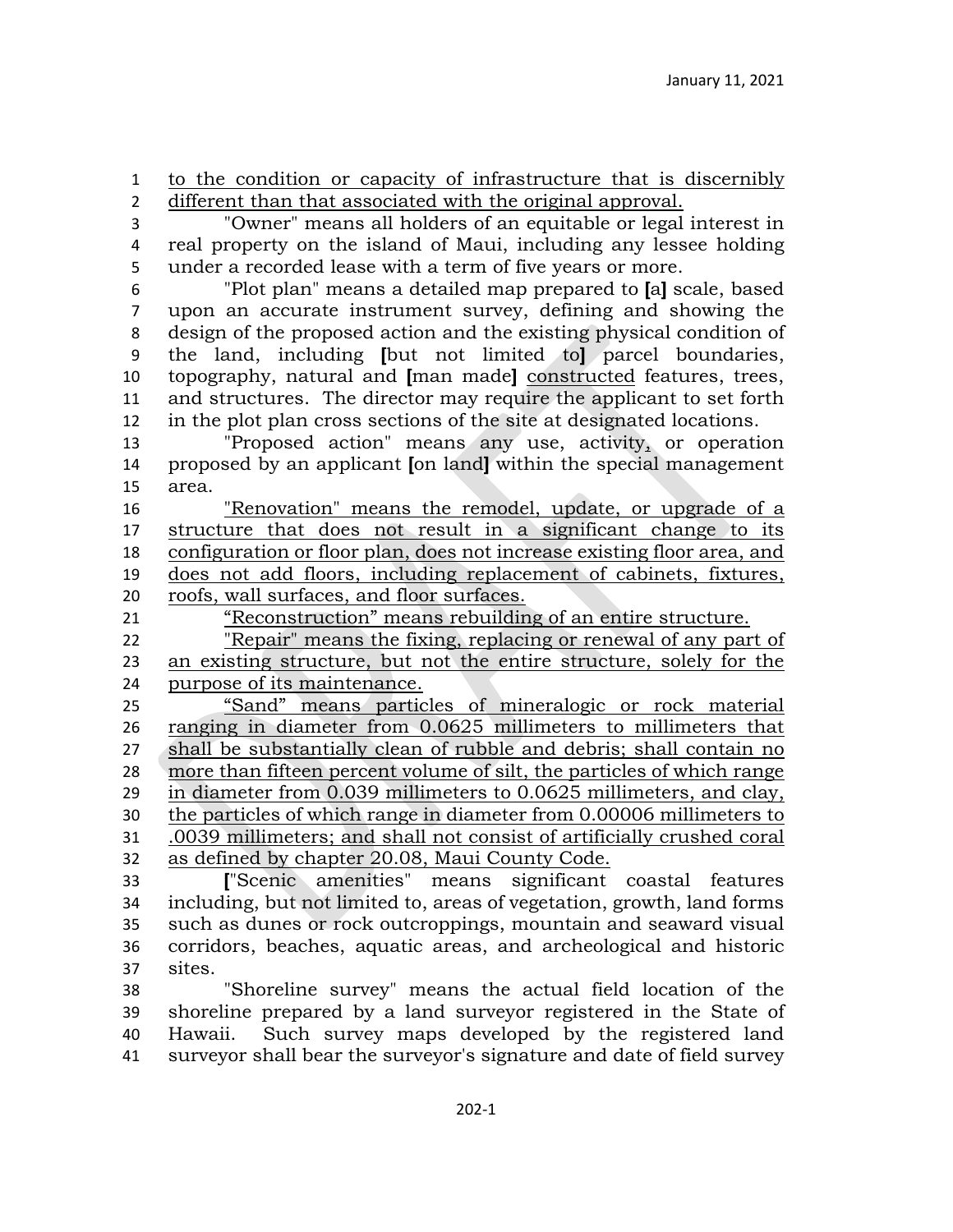to the condition or capacity of infrastructure that is discernibly different than that associated with the original approval.

 "Owner" means all holders of an equitable or legal interest in real property on the island of Maui, including any lessee holding under a recorded lease with a term of five years or more.

 "Plot plan" means a detailed map prepared to **[**a**]** scale, based upon an accurate instrument survey, defining and showing the design of the proposed action and the existing physical condition of the land, including **[**but not limited to**]** parcel boundaries, topography, natural and **[**man made**]** constructed features, trees, and structures. The director may require the applicant to set forth in the plot plan cross sections of the site at designated locations.

 "Proposed action" means any use, activity, or operation proposed by an applicant **[**on land**]** within the special management area.

 "Renovation" means the remodel, update, or upgrade of a structure that does not result in a significant change to its configuration or floor plan, does not increase existing floor area, and does not add floors, including replacement of cabinets, fixtures, roofs, wall surfaces, and floor surfaces.

"Reconstruction" means rebuilding of an entire structure.

 "Repair" means the fixing, replacing or renewal of any part of an existing structure, but not the entire structure, solely for the purpose of its maintenance.

 "Sand" means particles of mineralogic or rock material ranging in diameter from 0.0625 millimeters to millimeters that shall be substantially clean of rubble and debris; shall contain no more than fifteen percent volume of silt, the particles of which range in diameter from 0.039 millimeters to 0.0625 millimeters, and clay, the particles of which range in diameter from 0.00006 millimeters to .0039 millimeters; and shall not consist of artificially crushed coral as defined by chapter 20.08, Maui County Code.

 **[**"Scenic amenities" means significant coastal features including, but not limited to, areas of vegetation, growth, land forms such as dunes or rock outcroppings, mountain and seaward visual corridors, beaches, aquatic areas, and archeological and historic sites.

 "Shoreline survey" means the actual field location of the shoreline prepared by a land surveyor registered in the State of Hawaii. Such survey maps developed by the registered land surveyor shall bear the surveyor's signature and date of field survey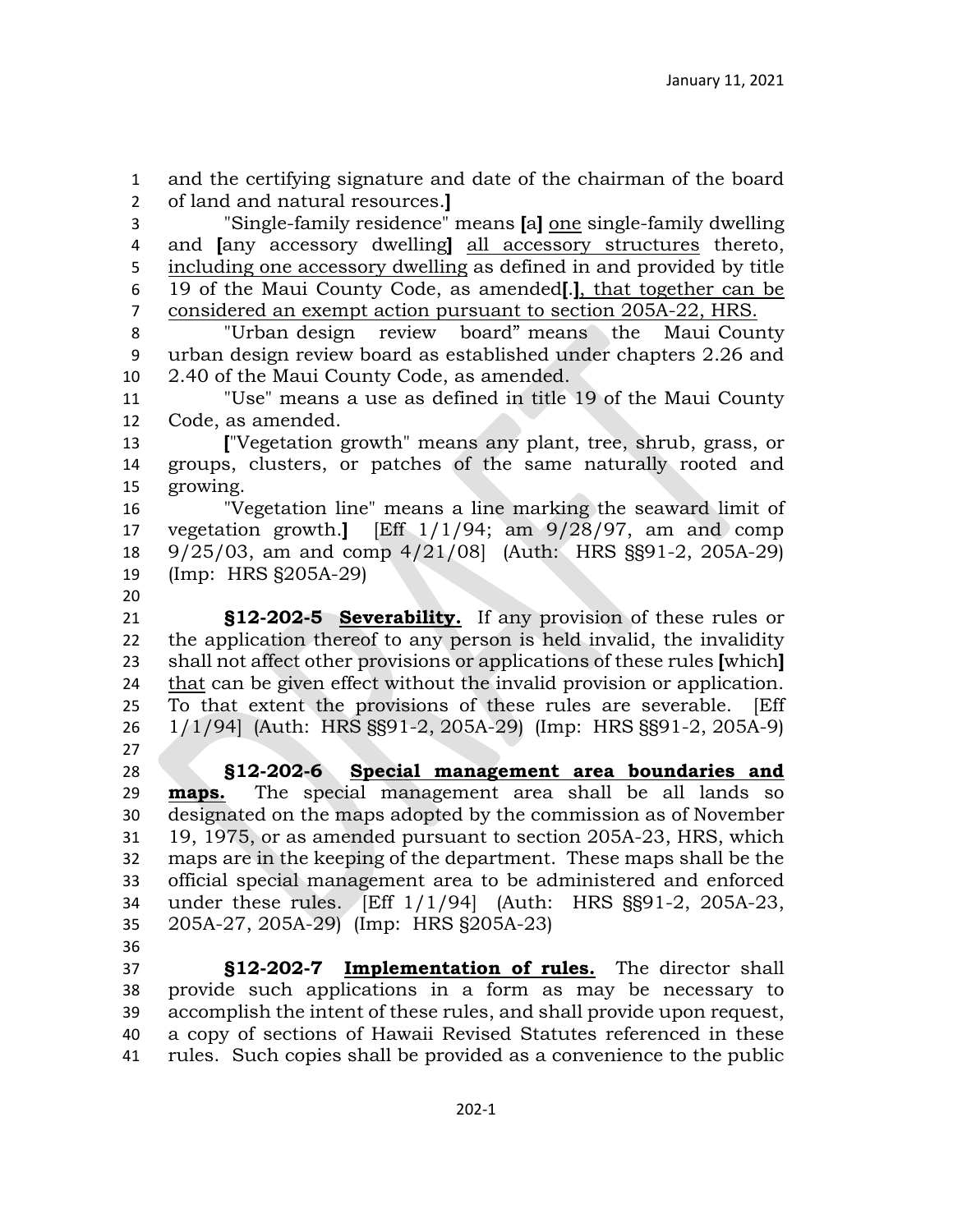and the certifying signature and date of the chairman of the board of land and natural resources.**]**

 "Single-family residence" means **[**a**]** one single-family dwelling and **[**any accessory dwelling**]** all accessory structures thereto, including one accessory dwelling as defined in and provided by title 19 of the Maui County Code, as amended**[**.**]**, that together can be considered an exempt action pursuant to section 205A-22, HRS.

 "Urban design review board" means the Maui County urban design review board as established under chapters 2.26 and 2.40 of the Maui County Code, as amended.

 "Use" means a use as defined in title 19 of the Maui County Code, as amended.

 **[**"Vegetation growth" means any plant, tree, shrub, grass, or groups, clusters, or patches of the same naturally rooted and growing.

 "Vegetation line" means a line marking the seaward limit of vegetation growth.**]** [Eff 1/1/94; am 9/28/97, am and comp 9/25/03, am and comp 4/21/08] (Auth: HRS §§91-2, 205A-29) (Imp: HRS §205A-29)

 **§12-202-5 Severability.** If any provision of these rules or the application thereof to any person is held invalid, the invalidity shall not affect other provisions or applications of these rules **[**which**]**  that can be given effect without the invalid provision or application. To that extent the provisions of these rules are severable. [Eff 1/1/94] (Auth: HRS §§91-2, 205A-29) (Imp: HRS §§91-2, 205A-9) 

 **§12-202-6 Special management area boundaries and maps.** The special management area shall be all lands so designated on the maps adopted by the commission as of November 19, 1975, or as amended pursuant to section 205A-23, HRS, which maps are in the keeping of the department. These maps shall be the official special management area to be administered and enforced under these rules. [Eff 1/1/94] (Auth: HRS §§91-2, 205A-23, 205A-27, 205A-29) (Imp: HRS §205A-23) 

 **§12-202-7 Implementation of rules.** The director shall provide such applications in a form as may be necessary to accomplish the intent of these rules, and shall provide upon request, a copy of sections of Hawaii Revised Statutes referenced in these rules. Such copies shall be provided as a convenience to the public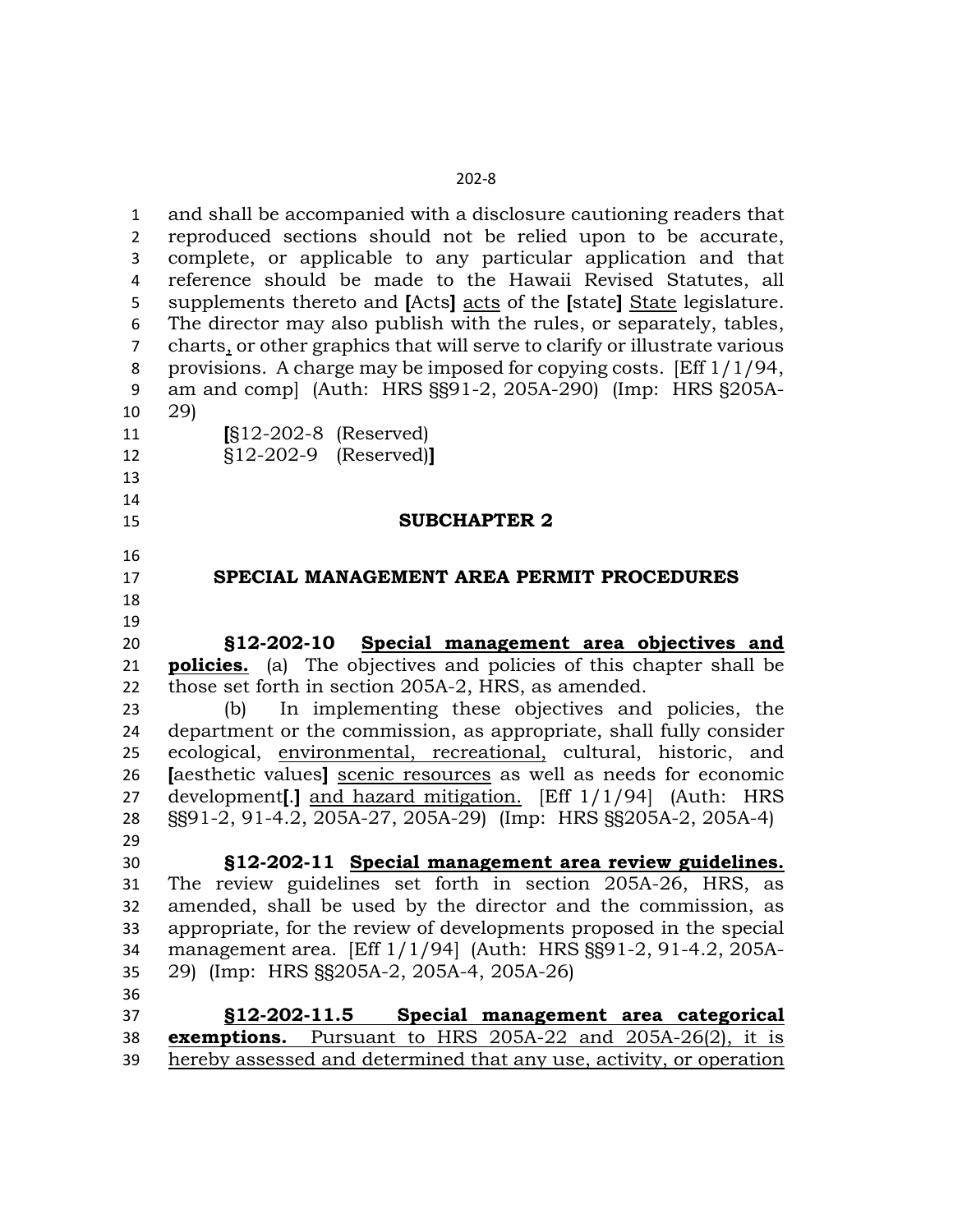and shall be accompanied with a disclosure cautioning readers that reproduced sections should not be relied upon to be accurate, complete, or applicable to any particular application and that reference should be made to the Hawaii Revised Statutes, all supplements thereto and **[**Acts**]** acts of the **[**state**]** State legislature. The director may also publish with the rules, or separately, tables, charts, or other graphics that will serve to clarify or illustrate various provisions. A charge may be imposed for copying costs. [Eff 1/1/94, am and comp] (Auth: HRS §§91-2, 205A-290) (Imp: HRS §205A- 29) **[**§12-202-8 (Reserved) §12-202-9 (Reserved)**] SUBCHAPTER 2 SPECIAL MANAGEMENT AREA PERMIT PROCEDURES §12-202-10 Special management area objectives and policies.** (a) The objectives and policies of this chapter shall be those set forth in section 205A-2, HRS, as amended. (b) In implementing these objectives and policies, the department or the commission, as appropriate, shall fully consider ecological, environmental, recreational, cultural, historic, and **[**aesthetic values**]** scenic resources as well as needs for economic development**[**.**]** and hazard mitigation. [Eff 1/1/94] (Auth: HRS §§91-2, 91-4.2, 205A-27, 205A-29) (Imp: HRS §§205A-2, 205A-4) **§12-202-11 Special management area review guidelines.** The review guidelines set forth in section 205A-26, HRS, as amended, shall be used by the director and the commission, as appropriate, for the review of developments proposed in the special management area. [Eff 1/1/94] (Auth: HRS §§91-2, 91-4.2, 205A- 29) (Imp: HRS §§205A-2, 205A-4, 205A-26) **§12-202-11.5 Special management area categorical exemptions.** Pursuant to HRS 205A-22 and 205A-26(2), it is hereby assessed and determined that any use, activity, or operation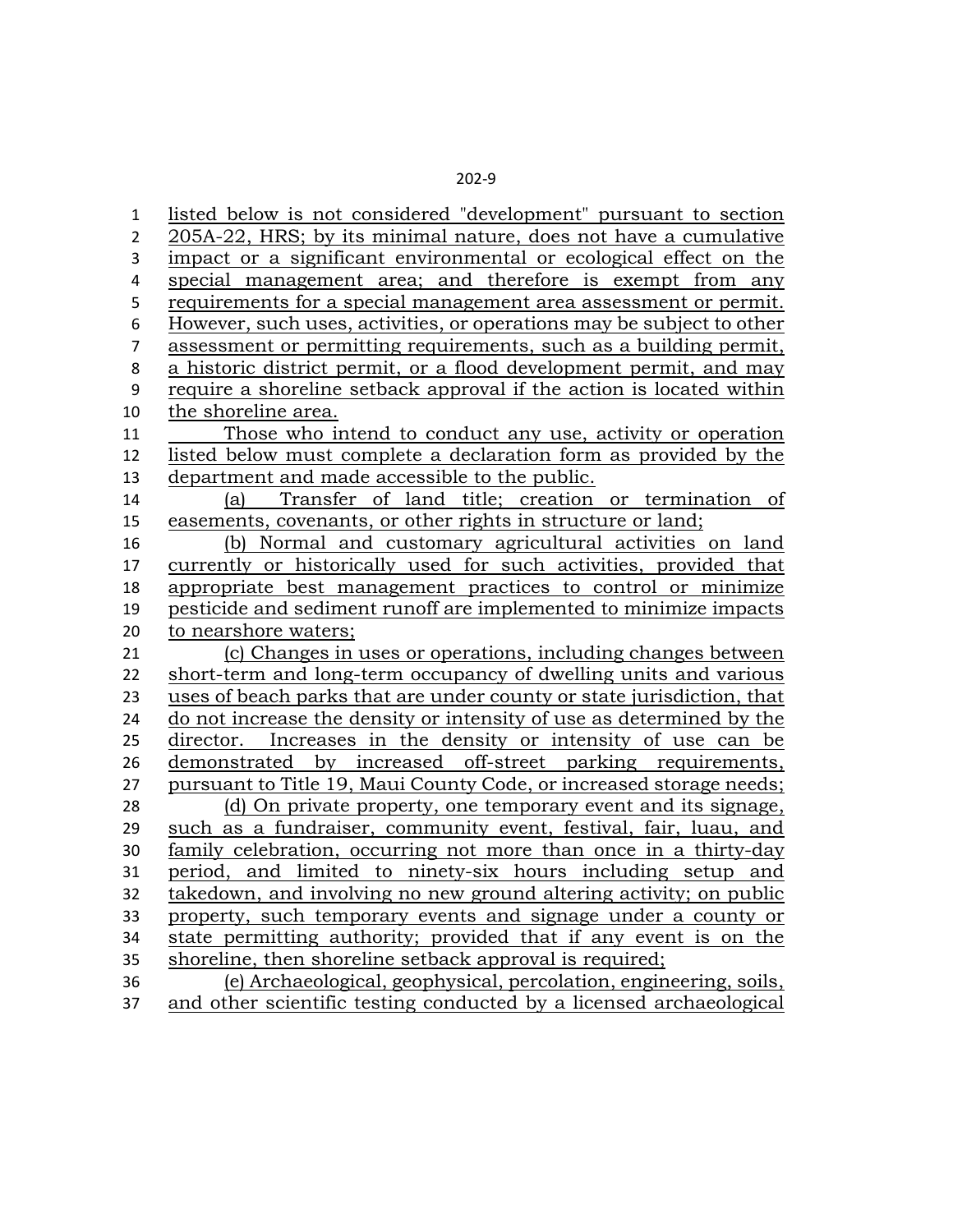listed below is not considered "development" pursuant to section 205A-22, HRS; by its minimal nature, does not have a cumulative impact or a significant environmental or ecological effect on the special management area; and therefore is exempt from any requirements for a special management area assessment or permit. However, such uses, activities, or operations may be subject to other assessment or permitting requirements, such as a building permit, a historic district permit, or a flood development permit, and may require a shoreline setback approval if the action is located within the shoreline area. Those who intend to conduct any use, activity or operation listed below must complete a declaration form as provided by the department and made accessible to the public. (a) Transfer of land title; creation or termination of easements, covenants, or other rights in structure or land; (b) Normal and customary agricultural activities on land currently or historically used for such activities, provided that appropriate best management practices to control or minimize pesticide and sediment runoff are implemented to minimize impacts to nearshore waters; (c) Changes in uses or operations, including changes between short-term and long-term occupancy of dwelling units and various uses of beach parks that are under county or state jurisdiction, that do not increase the density or intensity of use as determined by the director. Increases in the density or intensity of use can be demonstrated by increased off-street parking requirements, pursuant to Title 19, Maui County Code, or increased storage needs; (d) On private property, one temporary event and its signage, such as a fundraiser, community event, festival, fair, luau, and family celebration, occurring not more than once in a thirty-day period, and limited to ninety-six hours including setup and takedown, and involving no new ground altering activity; on public property, such temporary events and signage under a county or state permitting authority; provided that if any event is on the shoreline, then shoreline setback approval is required; (e) Archaeological, geophysical, percolation, engineering, soils, and other scientific testing conducted by a licensed archaeological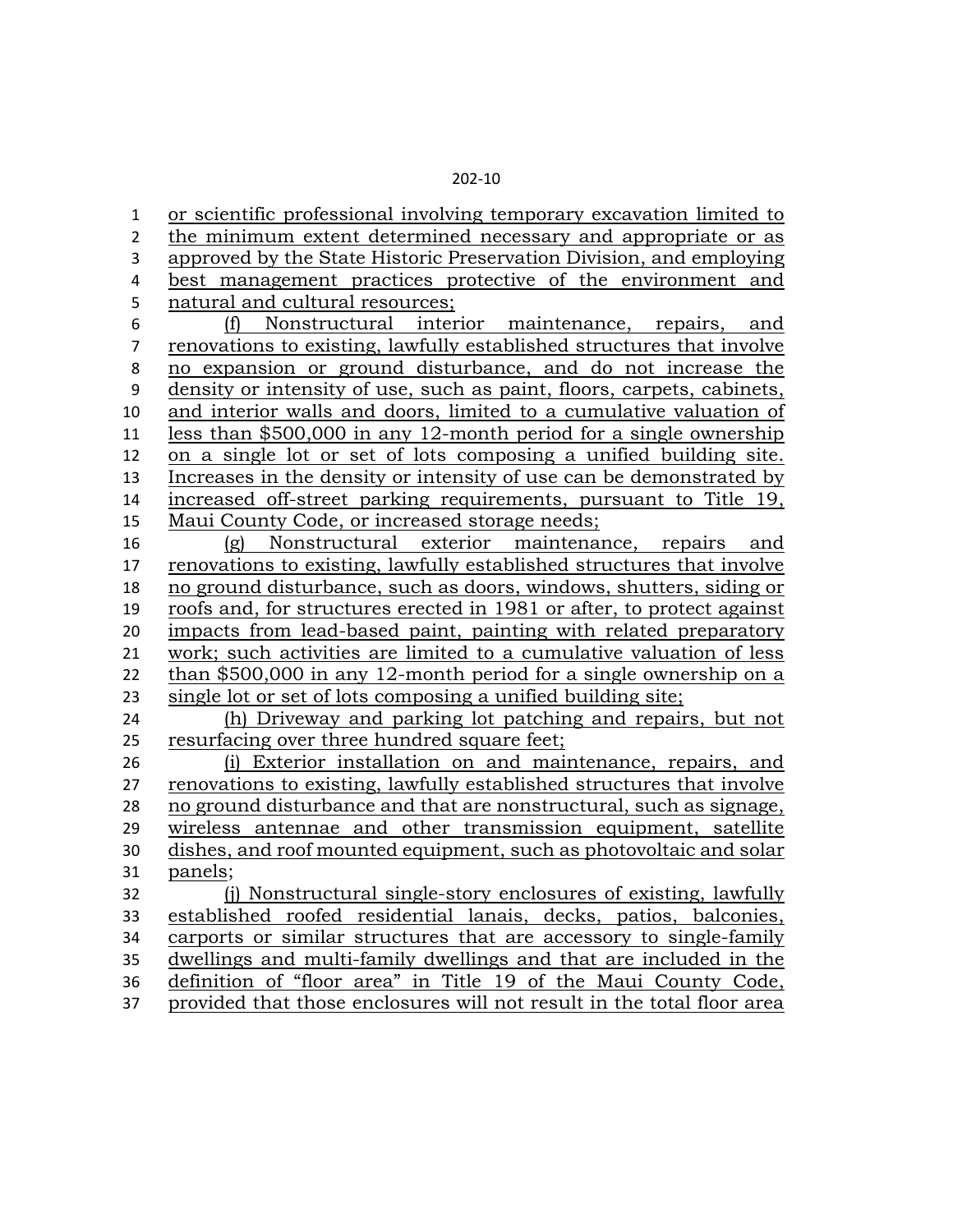or scientific professional involving temporary excavation limited to the minimum extent determined necessary and appropriate or as approved by the State Historic Preservation Division, and employing best management practices protective of the environment and natural and cultural resources; (f) Nonstructural interior maintenance, repairs, and renovations to existing, lawfully established structures that involve no expansion or ground disturbance, and do not increase the density or intensity of use, such as paint, floors, carpets, cabinets, and interior walls and doors, limited to a cumulative valuation of less than \$500,000 in any 12-month period for a single ownership on a single lot or set of lots composing a unified building site. Increases in the density or intensity of use can be demonstrated by increased off-street parking requirements, pursuant to Title 19, Maui County Code, or increased storage needs; (g) Nonstructural exterior maintenance, repairs and renovations to existing, lawfully established structures that involve no ground disturbance, such as doors, windows, shutters, siding or roofs and, for structures erected in 1981 or after, to protect against impacts from lead-based paint, painting with related preparatory work; such activities are limited to a cumulative valuation of less than \$500,000 in any 12-month period for a single ownership on a single lot or set of lots composing a unified building site; (h) Driveway and parking lot patching and repairs, but not resurfacing over three hundred square feet; (i) Exterior installation on and maintenance, repairs, and renovations to existing, lawfully established structures that involve no ground disturbance and that are nonstructural, such as signage, wireless antennae and other transmission equipment, satellite dishes, and roof mounted equipment, such as photovoltaic and solar panels; (j) Nonstructural single-story enclosures of existing, lawfully established roofed residential lanais, decks, patios, balconies, carports or similar structures that are accessory to single-family dwellings and multi-family dwellings and that are included in the definition of "floor area" in Title 19 of the Maui County Code, provided that those enclosures will not result in the total floor area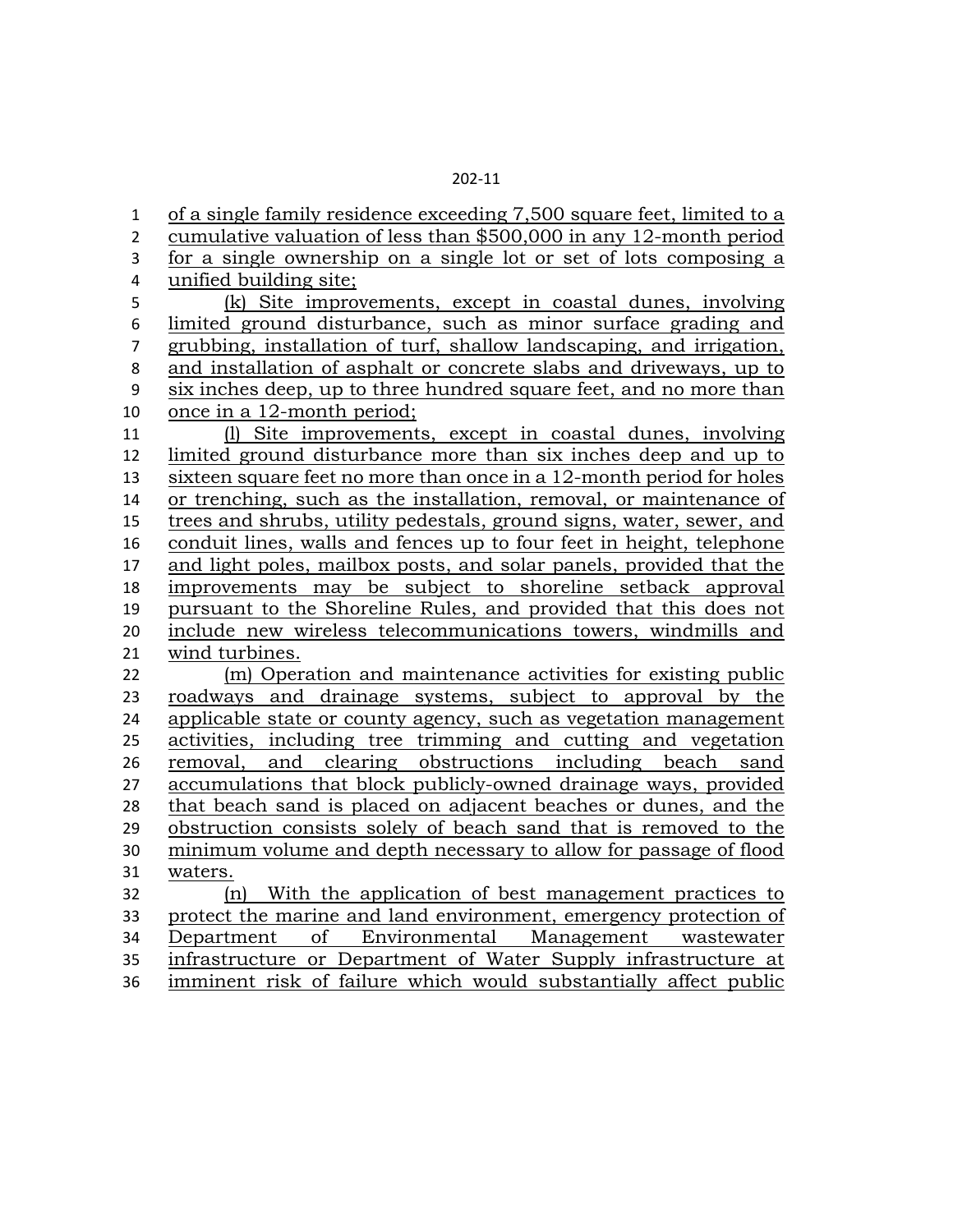of a single family residence exceeding 7,500 square feet, limited to a cumulative valuation of less than \$500,000 in any 12-month period for a single ownership on a single lot or set of lots composing a unified building site; (k) Site improvements, except in coastal dunes, involving limited ground disturbance, such as minor surface grading and grubbing, installation of turf, shallow landscaping, and irrigation, and installation of asphalt or concrete slabs and driveways, up to six inches deep, up to three hundred square feet, and no more than once in a 12-month period; (l) Site improvements, except in coastal dunes, involving limited ground disturbance more than six inches deep and up to sixteen square feet no more than once in a 12-month period for holes or trenching, such as the installation, removal, or maintenance of trees and shrubs, utility pedestals, ground signs, water, sewer, and conduit lines, walls and fences up to four feet in height, telephone 17 and light poles, mailbox posts, and solar panels, provided that the improvements may be subject to shoreline setback approval pursuant to the Shoreline Rules, and provided that this does not include new wireless telecommunications towers, windmills and wind turbines. (m) Operation and maintenance activities for existing public roadways and drainage systems, subject to approval by the applicable state or county agency, such as vegetation management activities, including tree trimming and cutting and vegetation removal, and clearing obstructions including beach sand accumulations that block publicly-owned drainage ways, provided that beach sand is placed on adjacent beaches or dunes, and the obstruction consists solely of beach sand that is removed to the minimum volume and depth necessary to allow for passage of flood waters. (n) With the application of best management practices to protect the marine and land environment, emergency protection of Department of Environmental Management wastewater infrastructure or Department of Water Supply infrastructure at imminent risk of failure which would substantially affect public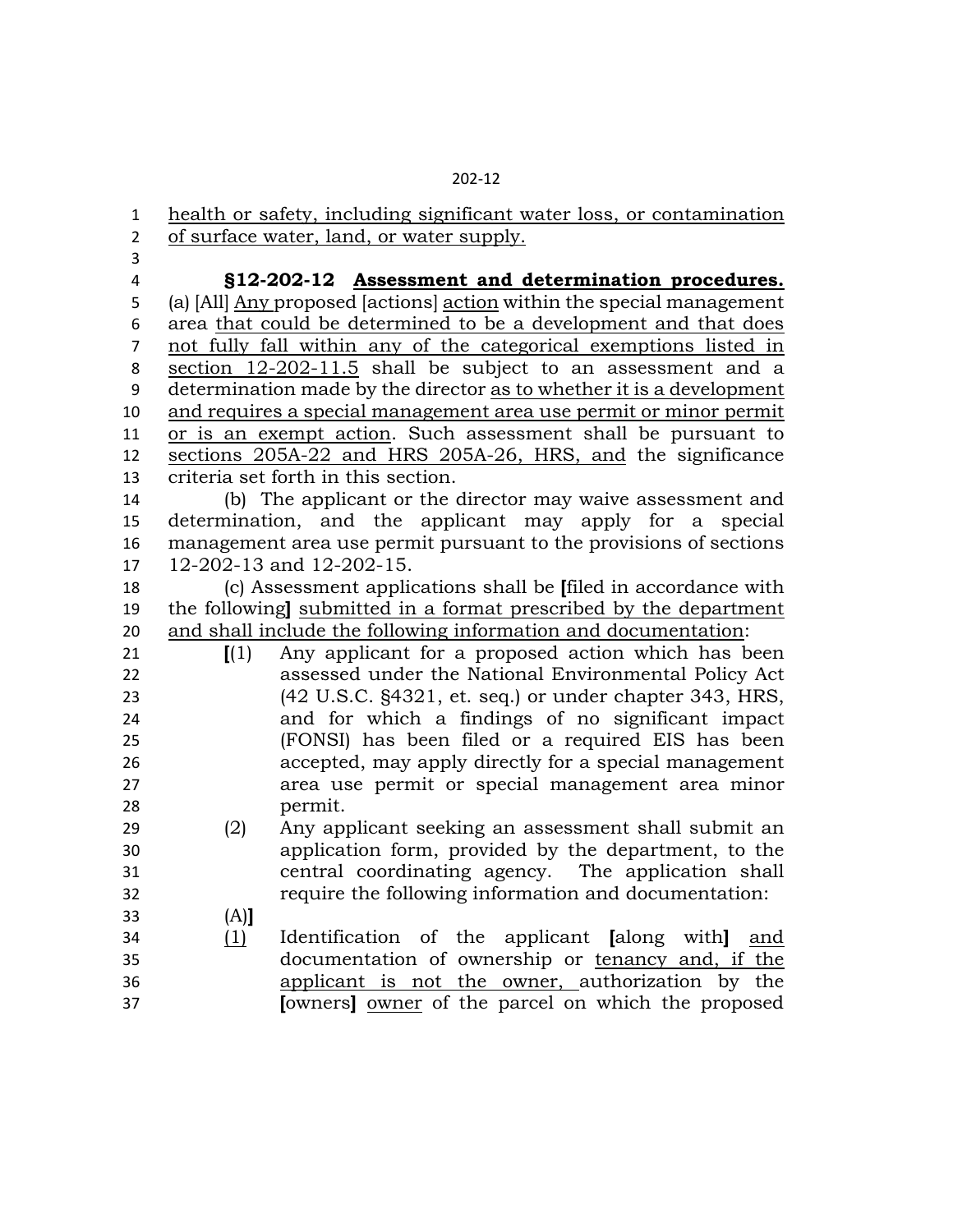health or safety, including significant water loss, or contamination of surface water, land, or water supply.

 **§12-202-12 Assessment and determination procedures.** (a) [All] Any proposed [actions] action within the special management

 area that could be determined to be a development and that does not fully fall within any of the categorical exemptions listed in section 12-202-11.5 shall be subject to an assessment and a determination made by the director as to whether it is a development and requires a special management area use permit or minor permit or is an exempt action. Such assessment shall be pursuant to sections 205A-22 and HRS 205A-26, HRS, and the significance criteria set forth in this section.

 (b) The applicant or the director may waive assessment and determination, and the applicant may apply for a special management area use permit pursuant to the provisions of sections 12-202-13 and 12-202-15.

 (c) Assessment applications shall be **[**filed in accordance with the following**]** submitted in a format prescribed by the department and shall include the following information and documentation:

| 21 | $\mathbf{I}(1)$ | Any applicant for a proposed action which has been                |
|----|-----------------|-------------------------------------------------------------------|
| 22 |                 | assessed under the National Environmental Policy Act              |
| 23 |                 | $(42 \text{ U.S.C.}$ \$4321, et. seq.) or under chapter 343, HRS, |
| 24 |                 | and for which a findings of no significant impact                 |
| 25 |                 | (FONSI) has been filed or a required EIS has been                 |
| 26 |                 | accepted, may apply directly for a special management             |
| 27 |                 | area use permit or special management area minor                  |
| 28 |                 | permit.                                                           |
|    |                 |                                                                   |

- (2) Any applicant seeking an assessment shall submit an application form, provided by the department, to the central coordinating agency. The application shall require the following information and documentation:
- (A)**]** (1) Identification of the applicant **[**along with**]** and documentation of ownership or tenancy and, if the applicant is not the owner, authorization by the **[**owners**]** owner of the parcel on which the proposed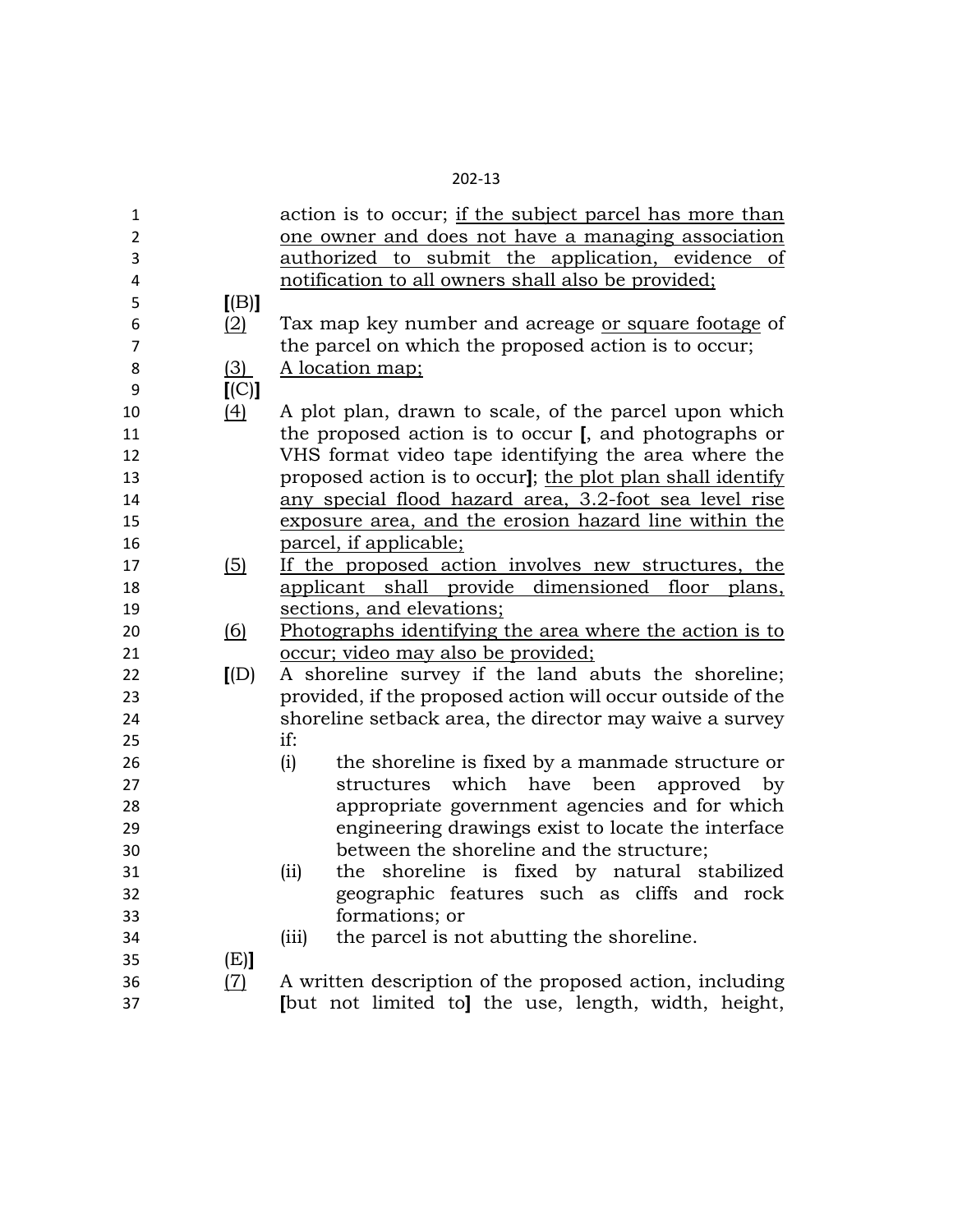| ×<br>۰. |  |
|---------|--|
|---------|--|

| 1              |                           | action is to occur; if the subject parcel has more than    |
|----------------|---------------------------|------------------------------------------------------------|
| $\overline{2}$ |                           | one owner and does not have a managing association         |
| 3              |                           | authorized to submit the application, evidence of          |
| 4              |                           | notification to all owners shall also be provided;         |
| 5              | [(B)]                     |                                                            |
| 6              | (2)                       | Tax map key number and acreage or square footage of        |
| $\overline{7}$ |                           | the parcel on which the proposed action is to occur;       |
| 8              | (3)                       | A location map;                                            |
| 9              | [(C)]                     |                                                            |
| 10             | $\left(4\right)$          | A plot plan, drawn to scale, of the parcel upon which      |
| 11             |                           | the proposed action is to occur [, and photographs or      |
| 12             |                           | VHS format video tape identifying the area where the       |
| 13             |                           | proposed action is to occur]; the plot plan shall identify |
| 14             |                           | any special flood hazard area, 3.2-foot sea level rise     |
| 15             |                           | exposure area, and the erosion hazard line within the      |
| 16             |                           | parcel, if applicable;                                     |
| 17             | (5)                       | If the proposed action involves new structures, the        |
| 18             |                           | applicant shall provide dimensioned floor<br>plans,        |
| 19             |                           | sections, and elevations;                                  |
| 20             | <u>(6)</u>                | Photographs identifying the area where the action is to    |
| 21             |                           | <u>occur; video may also be provided;</u>                  |
| 22             | $\left[\text{(D)}\right]$ | A shoreline survey if the land abuts the shoreline;        |
| 23             |                           | provided, if the proposed action will occur outside of the |
| 24             |                           | shoreline setback area, the director may waive a survey    |
| 25             |                           | if:                                                        |
| 26             |                           | the shoreline is fixed by a manmade structure or<br>(i)    |
| 27             |                           | which<br>have<br>been<br>approved by<br>structures         |
| 28             |                           | appropriate government agencies and for which              |
| 29             |                           | engineering drawings exist to locate the interface         |
| 30             |                           | between the shoreline and the structure;                   |
| 31             |                           | the shoreline is fixed by natural stabilized<br>(ii)       |
| 32             |                           | geographic features such as cliffs and rock                |
| 33             |                           | formations; or                                             |
| 34             |                           | the parcel is not abutting the shoreline.<br>(iii)         |
| 35             | (E)                       |                                                            |
| 36             | (7)                       | A written description of the proposed action, including    |
| 37             |                           | [but not limited to] the use, length, width, height,       |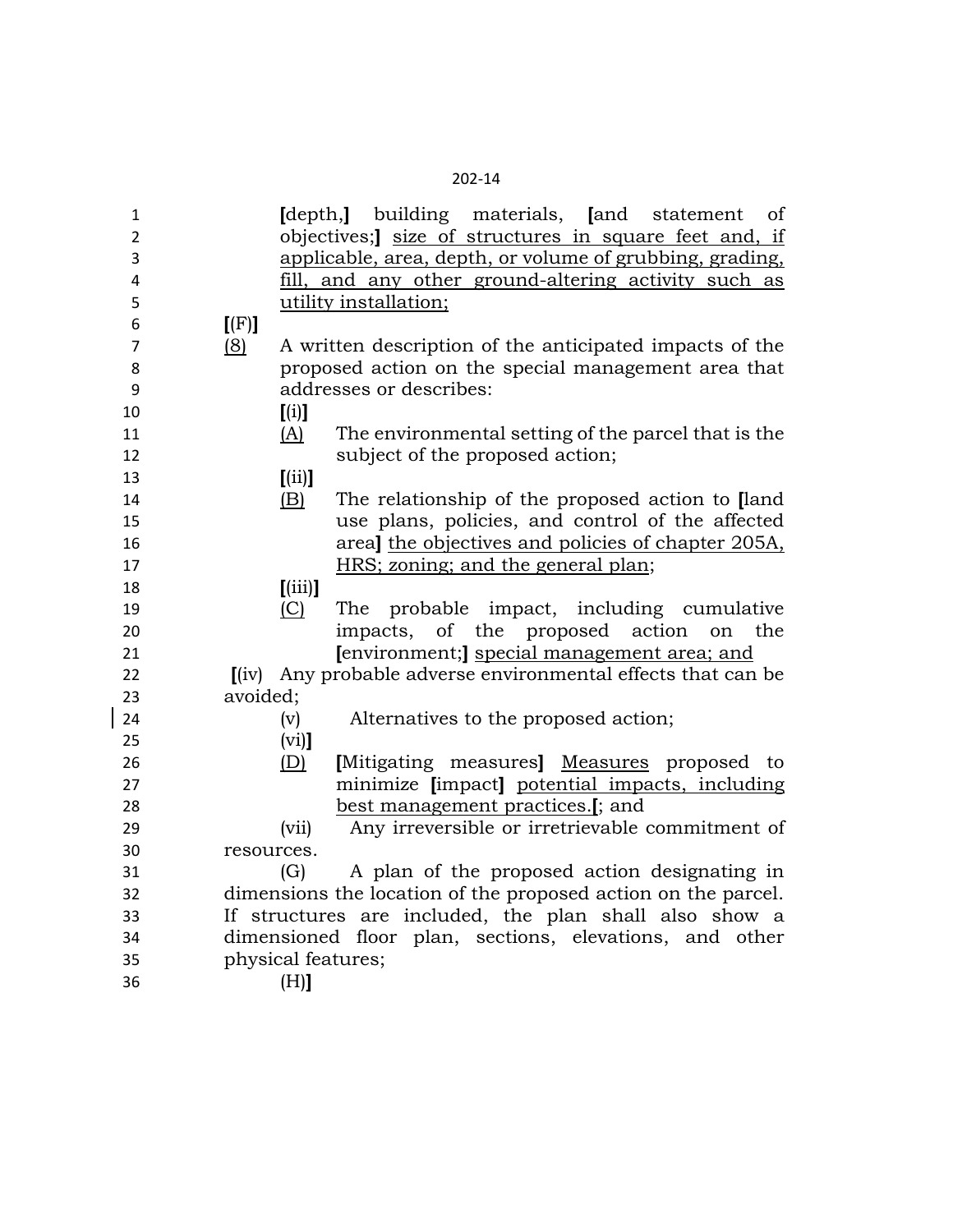| ×<br>ı |
|--------|
|--------|

| $\mathbf{1}$   | [depth,] building materials, [and<br>statement<br>οf           |
|----------------|----------------------------------------------------------------|
| $\overline{2}$ | objectives; size of structures in square feet and, if          |
| 3              | applicable, area, depth, or volume of grubbing, grading,       |
| 4              | fill, and any other ground-altering activity such as           |
| 5              | utility installation;                                          |
| 6              | [(F)]                                                          |
| $\overline{7}$ | (8)<br>A written description of the anticipated impacts of the |
| 8              | proposed action on the special management area that            |
| 9              | addresses or describes:                                        |
| 10             | [(i)]                                                          |
| 11             | (A)<br>The environmental setting of the parcel that is the     |
| 12             | subject of the proposed action;                                |
| 13             | [(ii)]                                                         |
| 14             | The relationship of the proposed action to [land]<br>(B)       |
| 15             | use plans, policies, and control of the affected               |
| 16             | areal the objectives and policies of chapter 205A,             |
| 17             | HRS; zoning; and the general plan;                             |
| 18             | [(iii)]                                                        |
| 19             | (C)<br>probable impact, including cumulative<br>The            |
| 20             | impacts, of the proposed action<br>the<br>on                   |
| 21             | [environment;] special management area; and                    |
| 22             | [(iv) Any probable adverse environmental effects that can be   |
| 23             | avoided;                                                       |
| 24             | (v)<br>Alternatives to the proposed action;                    |
| 25             | $(vi)$ ]                                                       |
| 26             | (D)<br>[Mitigating measures] Measures proposed to              |
| 27             | minimize [impact] potential impacts, including                 |
| 28             | best management practices.[; and                               |
| 29             | Any irreversible or irretrievable commitment of<br>(vii)       |
| 30             | resources.                                                     |
| 31             | A plan of the proposed action designating in<br>(G)            |
| 32             | dimensions the location of the proposed action on the parcel.  |
| 33             | If structures are included, the plan shall also show a         |
| 34             | dimensioned floor plan, sections, elevations, and other        |
| 35             | physical features;                                             |
| 36             | (H)]                                                           |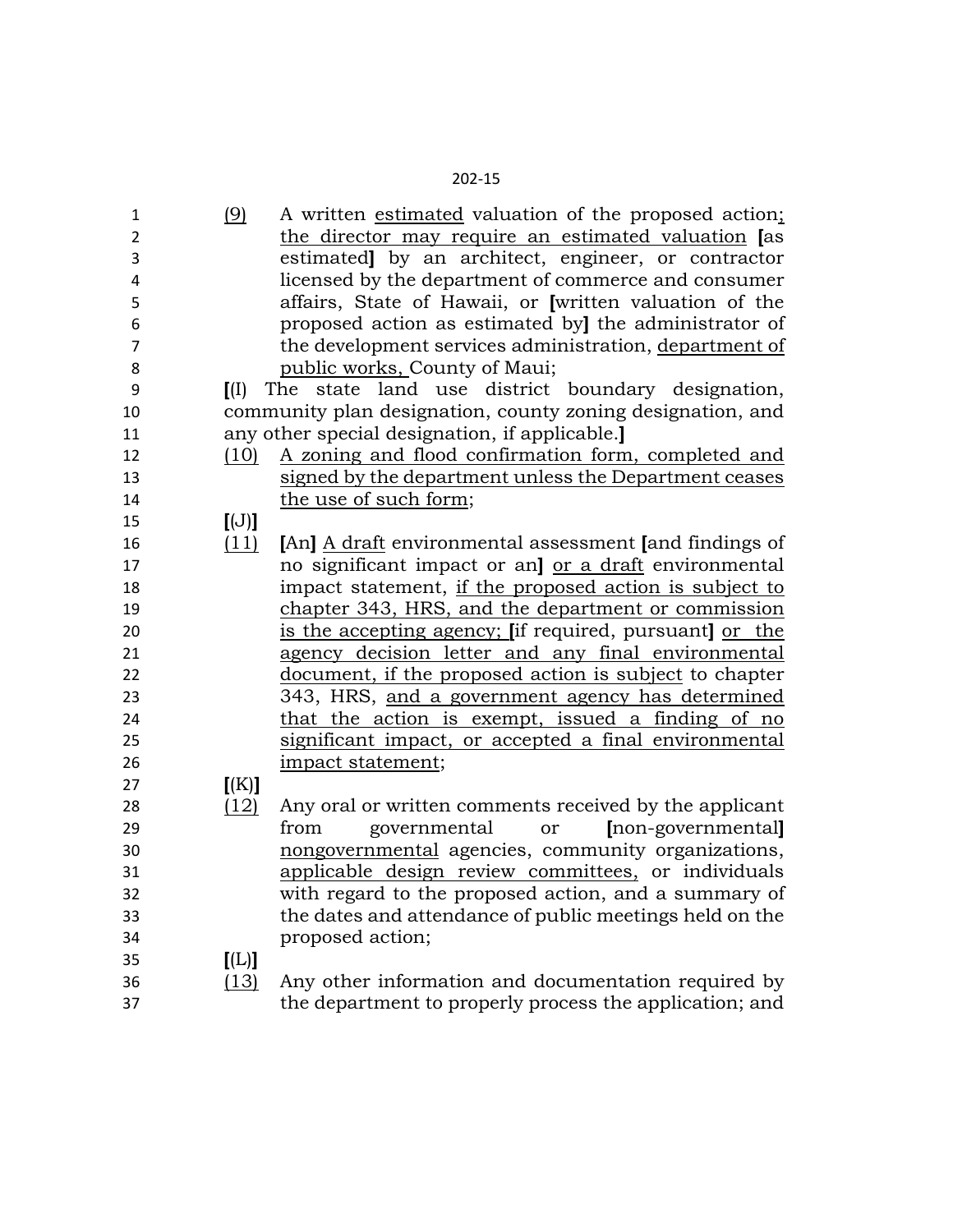| 1              | (9)               | A written estimated valuation of the proposed action;      |
|----------------|-------------------|------------------------------------------------------------|
| $\overline{2}$ |                   | the director may require an estimated valuation [as        |
| 3              |                   | estimated] by an architect, engineer, or contractor        |
| 4              |                   | licensed by the department of commerce and consumer        |
| 5              |                   | affairs, State of Hawaii, or [written valuation of the     |
| 6              |                   | proposed action as estimated by] the administrator of      |
| $\overline{7}$ |                   | the development services administration, department of     |
| 8              |                   | public works, County of Maui;                              |
| 9              | $\overline{I}(I)$ | The state land use district boundary designation,          |
| 10             |                   | community plan designation, county zoning designation, and |
| 11             |                   | any other special designation, if applicable.              |
| 12             | (10)              | A zoning and flood confirmation form, completed and        |
| 13             |                   | signed by the department unless the Department ceases      |
| 14             |                   | the use of such form;                                      |
| 15             | [(J)]             |                                                            |
| 16             | (11)              | [An] A draft environmental assessment [and findings of     |
| 17             |                   | no significant impact or an] or a draft environmental      |
| 18             |                   | impact statement, if the proposed action is subject to     |
| 19             |                   | chapter 343, HRS, and the department or commission         |
| 20             |                   | is the accepting agency; [if required, pursuant] or the    |
| 21             |                   | agency decision letter and any final environmental         |
| 22             |                   | document, if the proposed action is subject to chapter     |
| 23             |                   | 343, HRS, and a government agency has determined           |
| 24             |                   | that the action is exempt, issued a finding of no          |
| 25             |                   | significant impact, or accepted a final environmental      |
| 26             |                   | impact statement;                                          |
| 27             | K(K)              |                                                            |
| 28             | (12)              | Any oral or written comments received by the applicant     |
| 29             |                   | governmental<br>[non-governmental]<br>from<br><b>or</b>    |
| 30             |                   | nongovernmental agencies, community organizations,         |
| 31             |                   | applicable design review committees, or individuals        |
| 32             |                   | with regard to the proposed action, and a summary of       |
| 33             |                   | the dates and attendance of public meetings held on the    |
| 34             |                   | proposed action;                                           |
| 35             | [L]               |                                                            |
| 36             | (13)              | Any other information and documentation required by        |
| 37             |                   | the department to properly process the application; and    |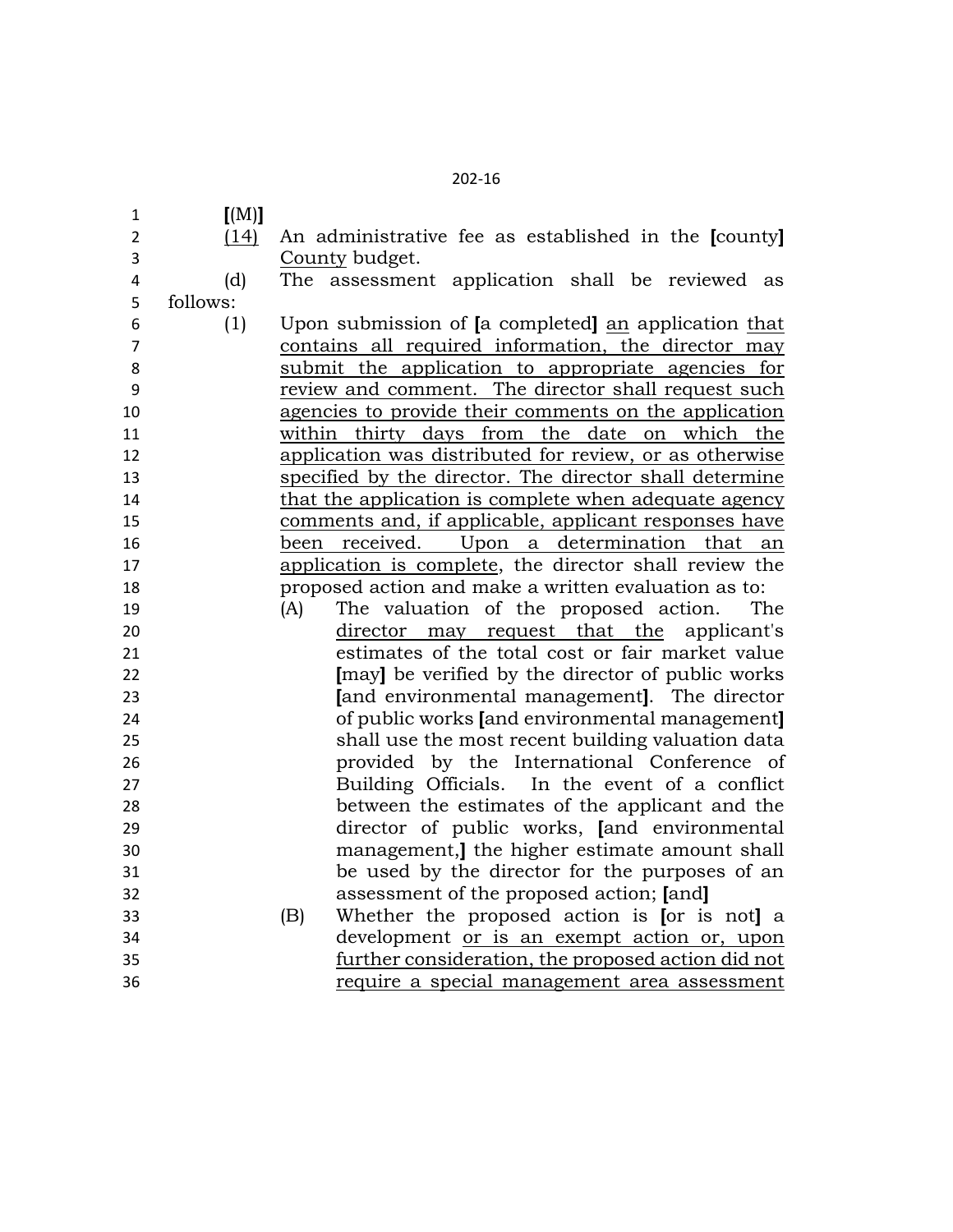| 1              | [M]      |                                                         |
|----------------|----------|---------------------------------------------------------|
| $\overline{2}$ | (14)     | An administrative fee as established in the [county]    |
| 3              |          | County budget.                                          |
| 4              | (d)      | The assessment application shall be reviewed as         |
| 5              | follows: |                                                         |
| 6              | (1)      | Upon submission of [a completed] an application that    |
| $\overline{7}$ |          | contains all required information, the director may     |
| 8              |          | submit the application to appropriate agencies for      |
| 9              |          | review and comment. The director shall request such     |
| 10             |          | agencies to provide their comments on the application   |
| 11             |          | within thirty days from the date on which the           |
| 12             |          | application was distributed for review, or as otherwise |
| 13             |          | specified by the director. The director shall determine |
| 14             |          | that the application is complete when adequate agency   |
| 15             |          | comments and, if applicable, applicant responses have   |
| 16             |          | received. Upon a determination<br>been<br>that<br>an    |
| 17             |          | application is complete, the director shall review the  |
| 18             |          | proposed action and make a written evaluation as to:    |
| 19             |          | The valuation of the proposed action.<br>(A)<br>The     |
| 20             |          | director may request that the<br>applicant's            |
| 21             |          | estimates of the total cost or fair market value        |
| 22             |          | [may] be verified by the director of public works       |
| 23             |          | [and environmental management]. The director            |
| 24             |          | of public works [and environmental management]          |
| 25             |          | shall use the most recent building valuation data       |
| 26             |          | provided by the International Conference of             |
| 27             |          | Building Officials. In the event of a conflict          |
| 28             |          | between the estimates of the applicant and the          |
| 29             |          | director of public works, [and environmental            |
| 30             |          | management, the higher estimate amount shall            |
| 31             |          | be used by the director for the purposes of an          |
| 32             |          | assessment of the proposed action; [and]                |
| 33             |          | Whether the proposed action is [or is not] a<br>(B)     |
| 34             |          | development or is an exempt action or, upon             |
| 35             |          | further consideration, the proposed action did not      |
| 36             |          | require a special management area assessment            |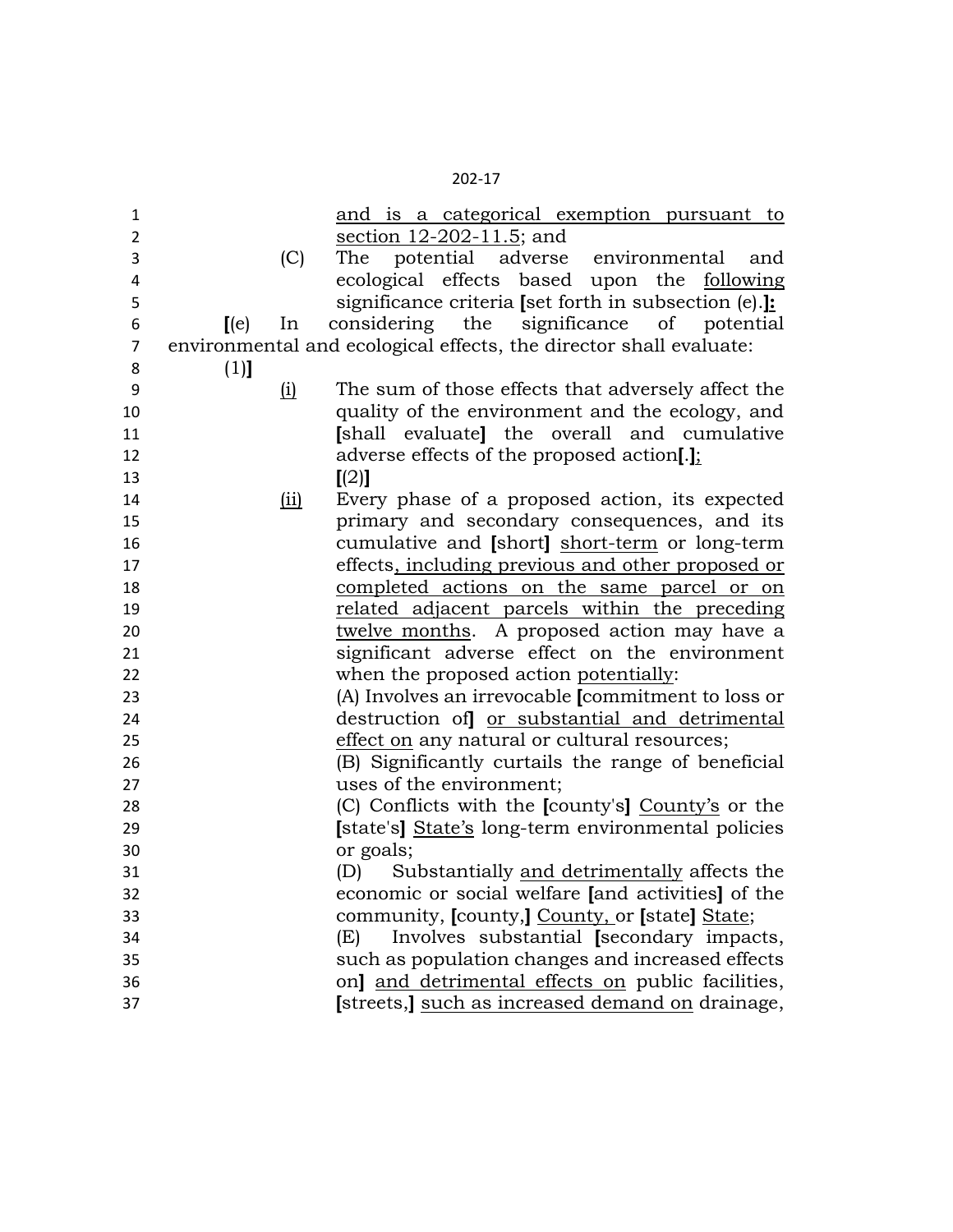| ۰.<br>× |
|---------|
|---------|

| $\mathbf{1}$   |         |     | and is a categorical exemption pursuant to                         |
|----------------|---------|-----|--------------------------------------------------------------------|
| $\overline{2}$ |         |     | section 12-202-11.5; and                                           |
| 3              |         | (C) | adverse environmental<br>potential<br>The<br>and                   |
| 4              |         |     | ecological effects based upon the following                        |
| 5              |         |     | significance criteria [set forth in subsection (e).]:              |
| 6              | $[$ (e) | In  | considering the significance of potential                          |
| $\overline{7}$ |         |     | environmental and ecological effects, the director shall evaluate: |
| 8              | $(1)$ ] |     |                                                                    |
| 9              |         | (i) | The sum of those effects that adversely affect the                 |
| 10             |         |     | quality of the environment and the ecology, and                    |
| 11             |         |     | [shall evaluate] the overall and cumulative                        |
| 12             |         |     | adverse effects of the proposed action[.];                         |
| 13             |         |     | [(2)]                                                              |
| 14             |         | (i) | Every phase of a proposed action, its expected                     |
| 15             |         |     | primary and secondary consequences, and its                        |
| 16             |         |     | cumulative and [short] short-term or long-term                     |
| 17             |         |     | effects, including previous and other proposed or                  |
| 18             |         |     | completed actions on the same parcel or on                         |
| 19             |         |     | related adjacent parcels within the preceding                      |
| 20             |         |     | twelve months. A proposed action may have a                        |
| 21             |         |     | significant adverse effect on the environment                      |
| 22             |         |     | when the proposed action potentially:                              |
| 23             |         |     | (A) Involves an irrevocable [commitment to loss or                 |
| 24             |         |     | destruction of or substantial and detrimental                      |
| 25             |         |     | effect on any natural or cultural resources;                       |
| 26             |         |     | (B) Significantly curtails the range of beneficial                 |
| 27             |         |     | uses of the environment;                                           |
| 28             |         |     | (C) Conflicts with the [county's] County's or the                  |
| 29             |         |     | [state's] State's long-term environmental policies                 |
| 30             |         |     | or goals;                                                          |
| 31             |         |     | Substantially and detrimentally affects the<br>(D)                 |
| 32             |         |     | economic or social welfare [and activities] of the                 |
| 33             |         |     | community, [county,] County, or [state] State;                     |
| 34             |         |     | Involves substantial [secondary impacts,<br>(E)                    |
| 35             |         |     | such as population changes and increased effects                   |
| 36             |         |     | on] and detrimental effects on public facilities,                  |
| 37             |         |     | [streets,] such as increased demand on drainage,                   |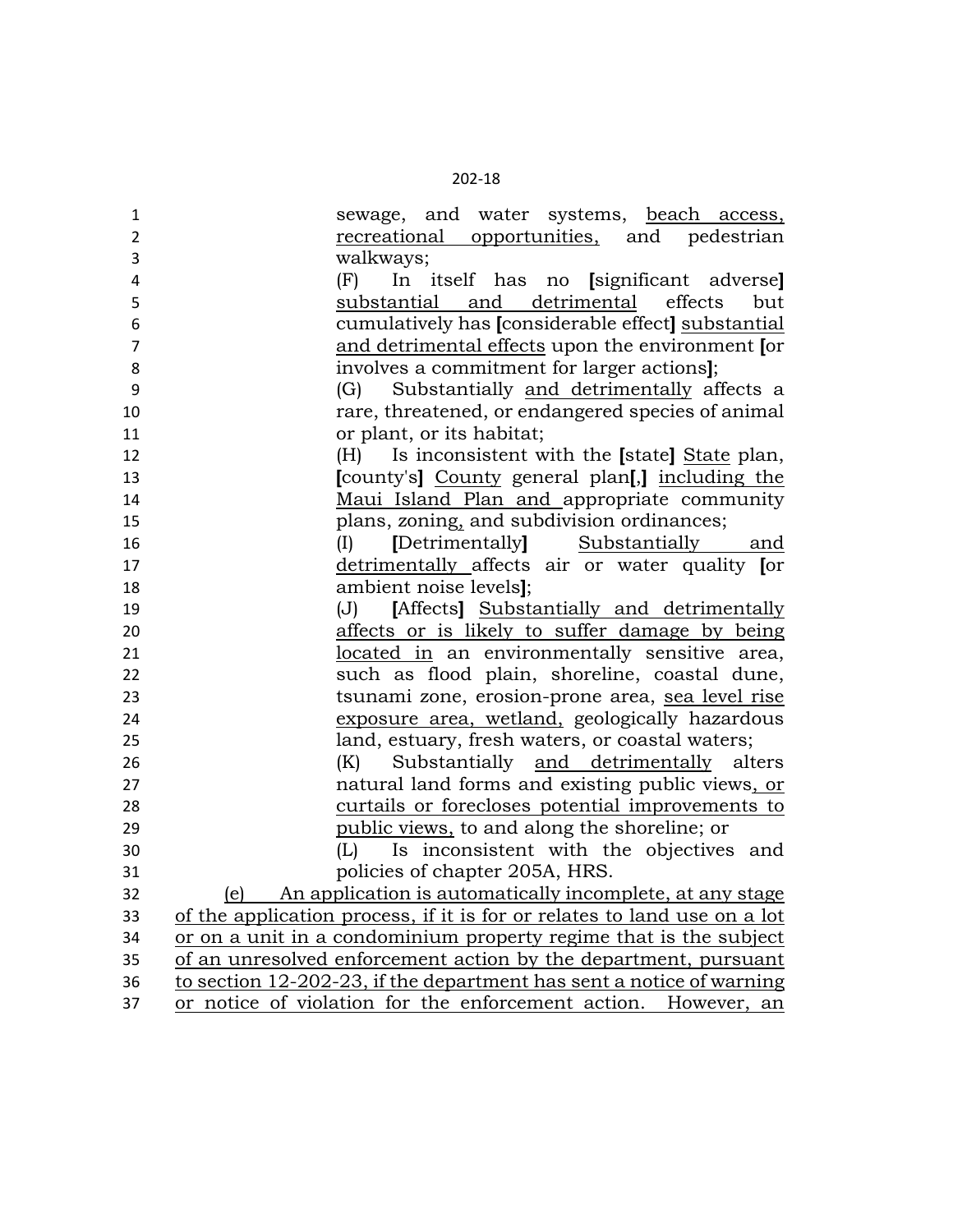| 1              | sewage, and water systems, beach access,                                 |
|----------------|--------------------------------------------------------------------------|
| $\overline{2}$ | recreational opportunities, and pedestrian                               |
| 3              | walkways;                                                                |
| 4              | In itself has no [significant adverse]<br>(F)                            |
| 5              | substantial and detrimental<br>effects<br>but                            |
| 6              | cumulatively has [considerable effect] substantial                       |
| $\overline{7}$ | and detrimental effects upon the environment [or                         |
| 8              | involves a commitment for larger actions];                               |
| 9              | Substantially and detrimentally affects a<br>(G)                         |
| 10             | rare, threatened, or endangered species of animal                        |
| 11             | or plant, or its habitat;                                                |
| 12             | Is inconsistent with the [state] State plan,<br>(H)                      |
| 13             | [county's] County general plan[,] including the                          |
| 14             | Maui Island Plan and appropriate community                               |
| 15             | plans, zoning, and subdivision ordinances;                               |
| 16             | [Detrimentally] Substantially and<br>(I)                                 |
| 17             | detrimentally affects air or water quality [or                           |
| 18             | ambient noise levels];                                                   |
| 19             | [Affects] Substantially and detrimentally<br>(J)                         |
| 20             | affects or is likely to suffer damage by being                           |
| 21             | located in an environmentally sensitive area,                            |
| 22             | such as flood plain, shoreline, coastal dune,                            |
| 23             | tsunami zone, erosion-prone area, sea level rise                         |
| 24             | exposure area, wetland, geologically hazardous                           |
| 25             | land, estuary, fresh waters, or coastal waters;                          |
| 26             | (K) Substantially and detrimentally alters                               |
| 27             | natural land forms and existing public views, or                         |
| 28             | curtails or forecloses potential improvements to                         |
| 29             | public views, to and along the shoreline; or                             |
| 30             | (L) Is inconsistent with the objectives and                              |
| 31             | policies of chapter 205A, HRS.                                           |
| 32             | (e) An application is automatically incomplete, at any stage             |
| 33             | of the application process, if it is for or relates to land use on a lot |
| 34             | or on a unit in a condominium property regime that is the subject        |
| 35             | of an unresolved enforcement action by the department, pursuant          |
| 36             | to section 12-202-23, if the department has sent a notice of warning     |
| 37             | or notice of violation for the enforcement action. However, an           |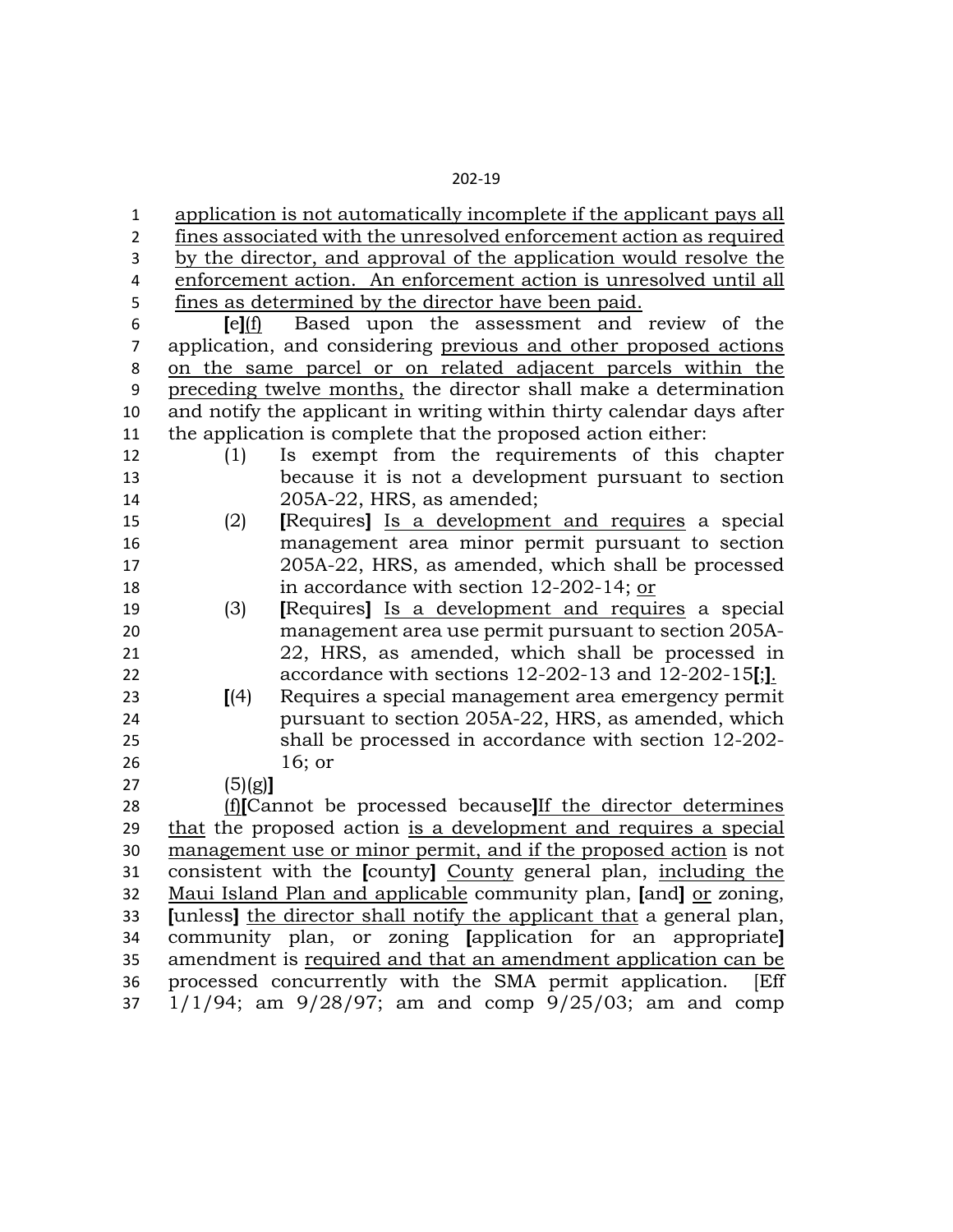| $\mathbf{1}$   |         | application is not automatically incomplete if the applicant pays all                                       |
|----------------|---------|-------------------------------------------------------------------------------------------------------------|
| $\overline{2}$ |         | fines associated with the unresolved enforcement action as required                                         |
| 3              |         | by the director, and approval of the application would resolve the                                          |
| 4              |         | enforcement action. An enforcement action is unresolved until all                                           |
| 5              |         | fines as determined by the director have been paid.                                                         |
| 6              | [el(f)] | Based upon the assessment and review of the                                                                 |
| $\overline{7}$ |         | application, and considering previous and other proposed actions                                            |
| 8              |         | on the same parcel or on related adjacent parcels within the                                                |
| 9              |         | preceding twelve months, the director shall make a determination                                            |
| 10             |         | and notify the applicant in writing within thirty calendar days after                                       |
| 11             |         | the application is complete that the proposed action either:                                                |
| 12             | (1)     | Is exempt from the requirements of this chapter                                                             |
| 13             |         | because it is not a development pursuant to section                                                         |
| 14             |         | 205A-22, HRS, as amended;                                                                                   |
| 15             | (2)     | [Requires] Is a development and requires a special                                                          |
| 16             |         | management area minor permit pursuant to section                                                            |
| 17             |         | 205A-22, HRS, as amended, which shall be processed                                                          |
| 18             |         | in accordance with section 12-202-14; or                                                                    |
| 19             | (3)     | [Requires] Is a development and requires a special                                                          |
| 20             |         | management area use permit pursuant to section 205A-                                                        |
| 21             |         | 22, HRS, as amended, which shall be processed in                                                            |
| 22<br>23       |         | accordance with sections 12-202-13 and 12-202-15[;].<br>Requires a special management area emergency permit |
| 24             | [(4)]   | pursuant to section 205A-22, HRS, as amended, which                                                         |
| 25             |         | shall be processed in accordance with section 12-202-                                                       |
| 26             |         | 16; or                                                                                                      |
| 27             | (5)(g)  |                                                                                                             |
| 28             |         | (f)[Cannot be processed because] If the director determines                                                 |
| 29             |         | that the proposed action is a development and requires a special                                            |
| 30             |         | management use or minor permit, and if the proposed action is not                                           |
| 31             |         | consistent with the [county] County general plan, including the                                             |
| 32             |         | Maui Island Plan and applicable community plan, [and] or zoning,                                            |
| 33             |         | [unless] the director shall notify the applicant that a general plan,                                       |
| 34             |         | community plan, or zoning [application for an appropriate]                                                  |
| 35             |         | amendment is required and that an amendment application can be                                              |
| 36             |         |                                                                                                             |
|                |         | processed concurrently with the SMA permit application.<br>[Eff                                             |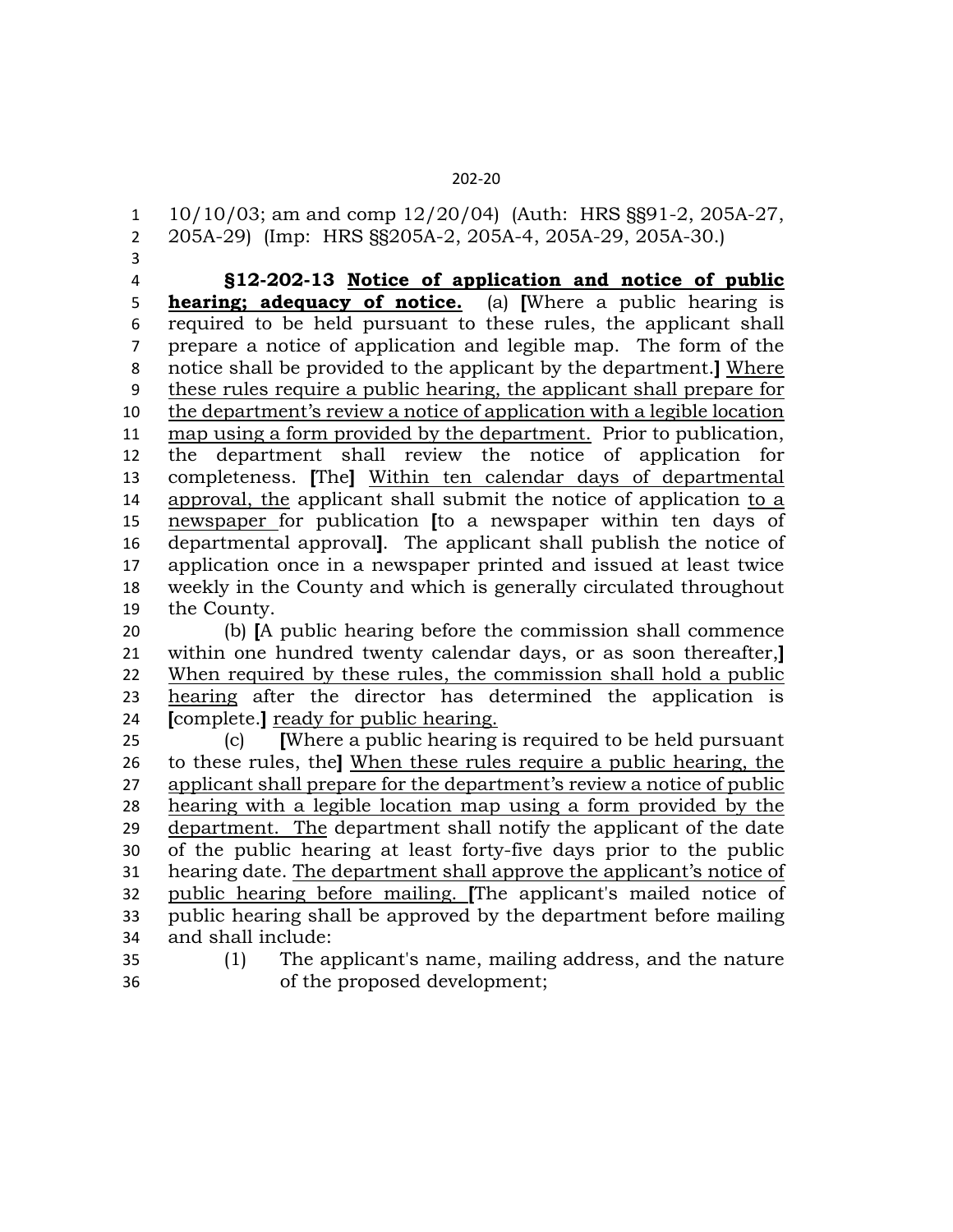10/10/03; am and comp 12/20/04) (Auth: HRS §§91-2, 205A-27, 205A-29) (Imp: HRS §§205A-2, 205A-4, 205A-29, 205A-30.)

 **§12-202-13 Notice of application and notice of public hearing; adequacy of notice.** (a) **[**Where a public hearing is required to be held pursuant to these rules, the applicant shall prepare a notice of application and legible map. The form of the notice shall be provided to the applicant by the department.**]** Where these rules require a public hearing, the applicant shall prepare for the department's review a notice of application with a legible location map using a form provided by the department. Prior to publication, the department shall review the notice of application for completeness. **[**The**]** Within ten calendar days of departmental approval, the applicant shall submit the notice of application to a newspaper for publication **[**to a newspaper within ten days of departmental approval**]**. The applicant shall publish the notice of application once in a newspaper printed and issued at least twice weekly in the County and which is generally circulated throughout the County.

 (b) **[**A public hearing before the commission shall commence within one hundred twenty calendar days, or as soon thereafter,**]** When required by these rules, the commission shall hold a public hearing after the director has determined the application is **[**complete.**]** ready for public hearing.

 (c) **[**Where a public hearing is required to be held pursuant to these rules, the**]** When these rules require a public hearing, the applicant shall prepare for the department's review a notice of public hearing with a legible location map using a form provided by the department. The department shall notify the applicant of the date of the public hearing at least forty-five days prior to the public hearing date. The department shall approve the applicant's notice of public hearing before mailing. **[**The applicant's mailed notice of public hearing shall be approved by the department before mailing and shall include:

 (1) The applicant's name, mailing address, and the nature of the proposed development;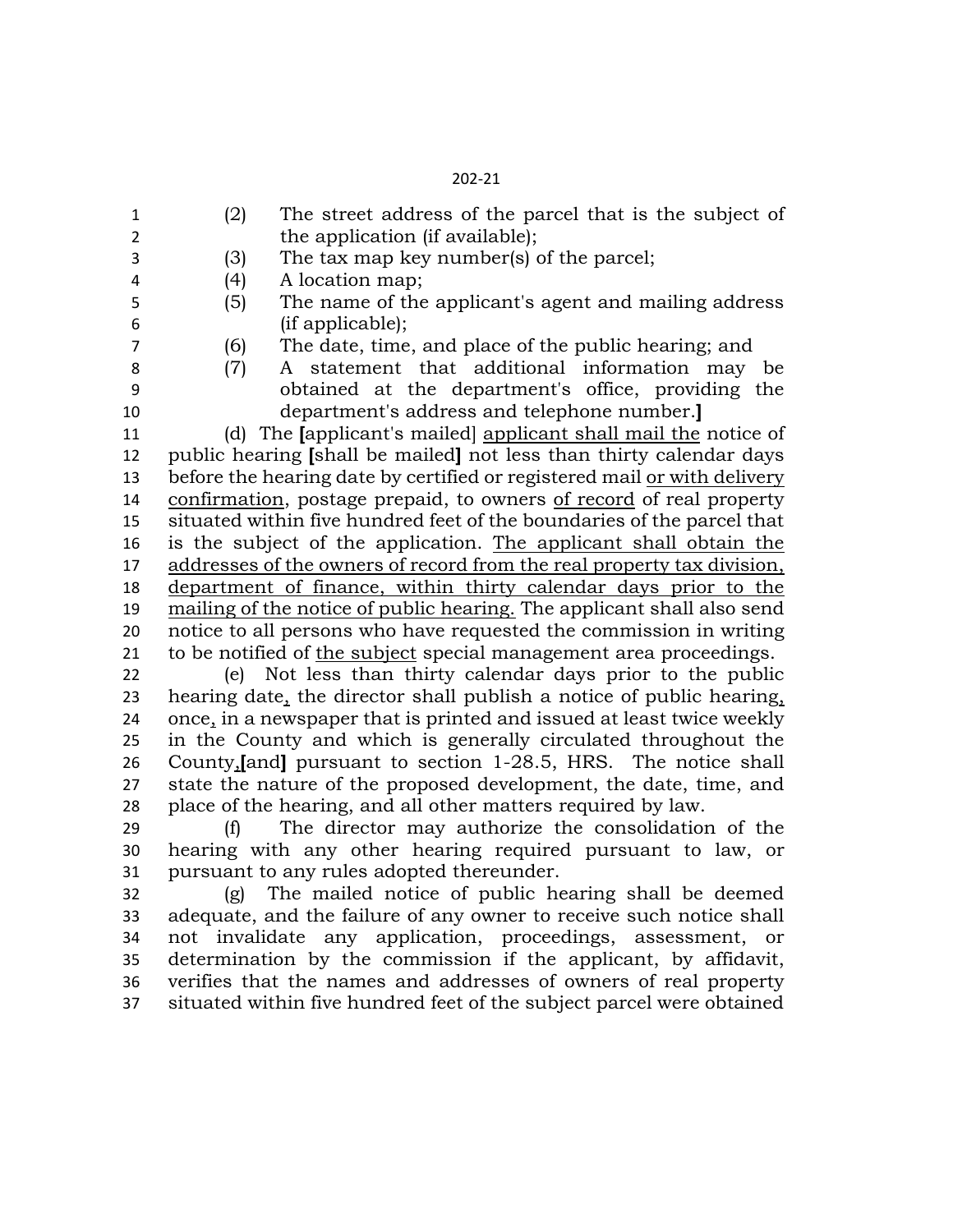(2) The street address of the parcel that is the subject of 2 the application (if available); (3) The tax map key number(s) of the parcel; (4) A location map; (5) The name of the applicant's agent and mailing address (if applicable); (6) The date, time, and place of the public hearing; and (7) A statement that additional information may be obtained at the department's office, providing the department's address and telephone number.**]** (d) The **[**applicant's mailed] applicant shall mail the notice of public hearing **[**shall be mailed**]** not less than thirty calendar days before the hearing date by certified or registered mail or with delivery confirmation, postage prepaid, to owners of record of real property situated within five hundred feet of the boundaries of the parcel that is the subject of the application. The applicant shall obtain the addresses of the owners of record from the real property tax division, department of finance, within thirty calendar days prior to the mailing of the notice of public hearing. The applicant shall also send notice to all persons who have requested the commission in writing to be notified of the subject special management area proceedings. (e) Not less than thirty calendar days prior to the public hearing date, the director shall publish a notice of public hearing, once, in a newspaper that is printed and issued at least twice weekly in the County and which is generally circulated throughout the County,**[**and**]** pursuant to section 1-28.5, HRS. The notice shall state the nature of the proposed development, the date, time, and place of the hearing, and all other matters required by law. (f) The director may authorize the consolidation of the

 hearing with any other hearing required pursuant to law, or pursuant to any rules adopted thereunder.

 (g) The mailed notice of public hearing shall be deemed adequate, and the failure of any owner to receive such notice shall not invalidate any application, proceedings, assessment, or determination by the commission if the applicant, by affidavit, verifies that the names and addresses of owners of real property situated within five hundred feet of the subject parcel were obtained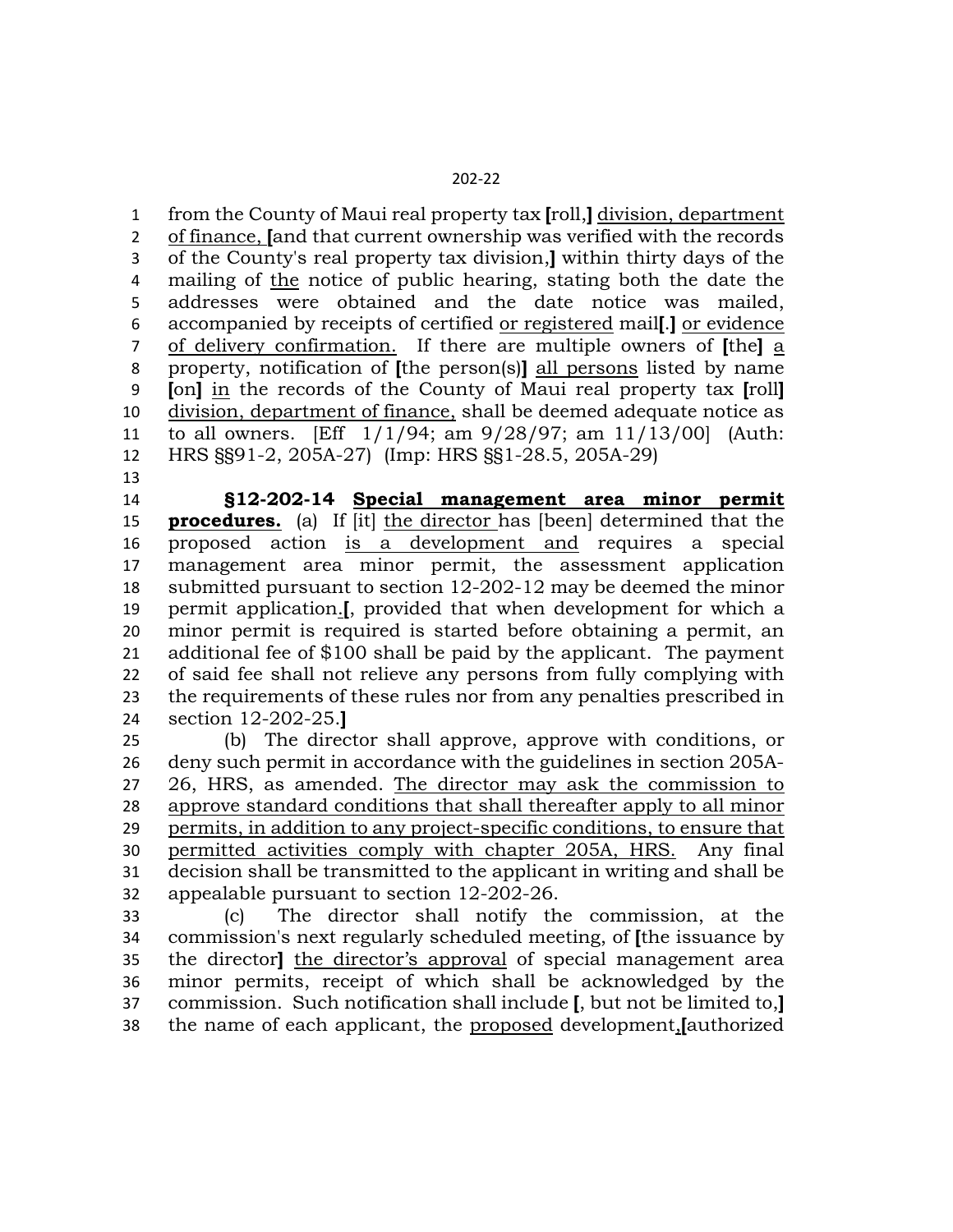from the County of Maui real property tax **[**roll,**]** division, department of finance, **[**and that current ownership was verified with the records of the County's real property tax division,**]** within thirty days of the mailing of the notice of public hearing, stating both the date the addresses were obtained and the date notice was mailed, accompanied by receipts of certified or registered mail**[**.**]** or evidence of delivery confirmation. If there are multiple owners of **[**the**]** a property, notification of **[**the person(s)**]** all persons listed by name **[**on**]** in the records of the County of Maui real property tax **[**roll**]** division, department of finance, shall be deemed adequate notice as to all owners. [Eff 1/1/94; am 9/28/97; am 11/13/00] (Auth: HRS §§91-2, 205A-27) (Imp: HRS §§1-28.5, 205A-29)

 **§12-202-14 Special management area minor permit procedures.** (a) If [it] the director has [been] determined that the proposed action is a development and requires a special management area minor permit, the assessment application submitted pursuant to section 12-202-12 may be deemed the minor permit application.**[**, provided that when development for which a minor permit is required is started before obtaining a permit, an additional fee of \$100 shall be paid by the applicant. The payment of said fee shall not relieve any persons from fully complying with the requirements of these rules nor from any penalties prescribed in section 12-202-25.**]**

 (b) The director shall approve, approve with conditions, or deny such permit in accordance with the guidelines in section 205A- 26, HRS, as amended. The director may ask the commission to approve standard conditions that shall thereafter apply to all minor permits, in addition to any project-specific conditions, to ensure that permitted activities comply with chapter 205A, HRS. Any final decision shall be transmitted to the applicant in writing and shall be appealable pursuant to section 12-202-26.

 (c) The director shall notify the commission, at the commission's next regularly scheduled meeting, of **[**the issuance by the director**]** the director's approval of special management area minor permits, receipt of which shall be acknowledged by the commission. Such notification shall include **[**, but not be limited to,**]** the name of each applicant, the proposed development,**[**authorized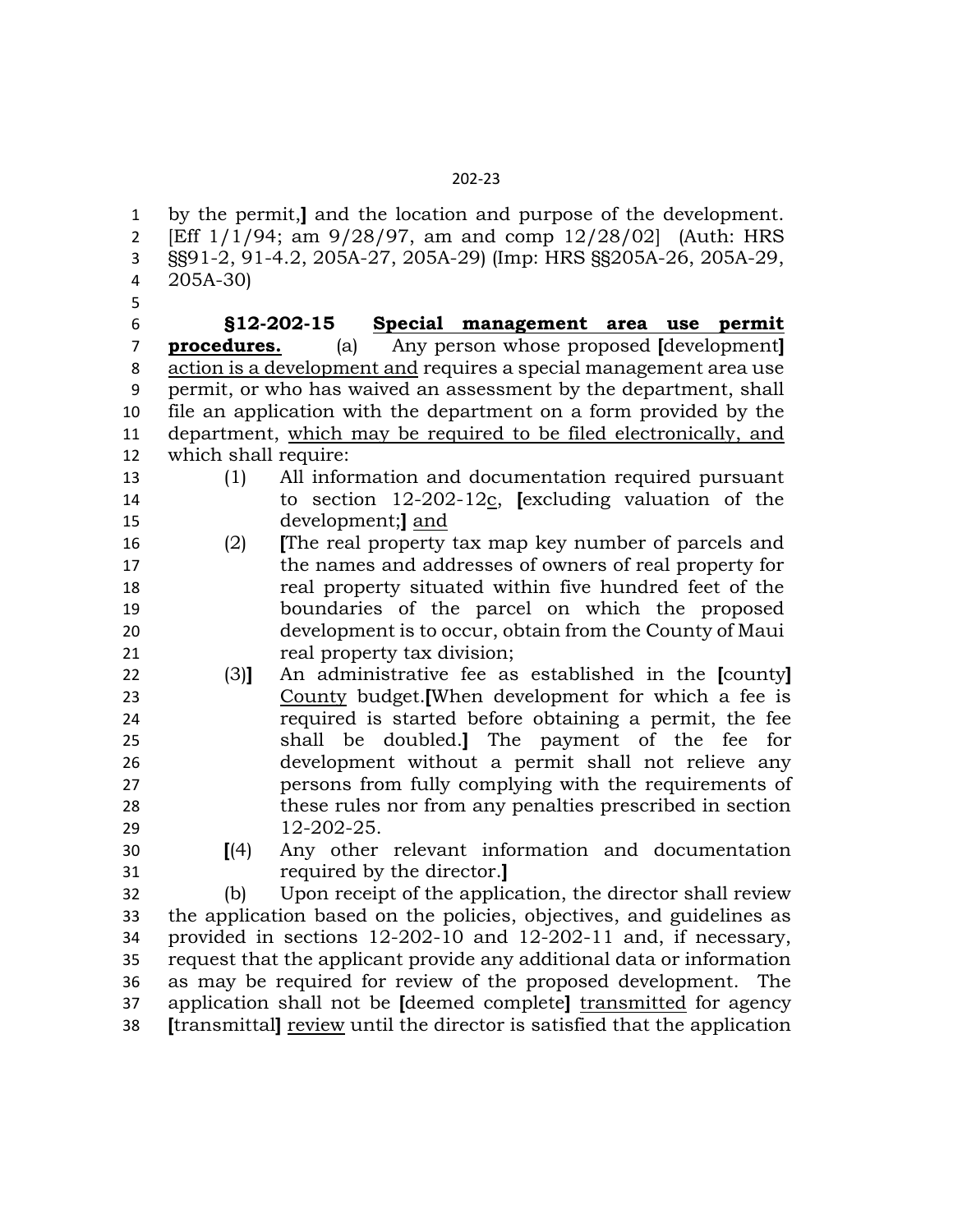by the permit,**]** and the location and purpose of the development. [Eff 1/1/94; am 9/28/97, am and comp 12/28/02] (Auth: HRS §§91-2, 91-4.2, 205A-27, 205A-29) (Imp: HRS §§205A-26, 205A-29, 205A-30) **§12-202-15 Special management area use permit procedures.** (a) Any person whose proposed **[**development**]** action is a development and requires a special management area use permit, or who has waived an assessment by the department, shall file an application with the department on a form provided by the department, which may be required to be filed electronically, and which shall require: (1) All information and documentation required pursuant to section 12-202-12c, **[**excluding valuation of the development;**]** and (2) **[**The real property tax map key number of parcels and the names and addresses of owners of real property for real property situated within five hundred feet of the boundaries of the parcel on which the proposed development is to occur, obtain from the County of Maui 21 real property tax division; (3)**]** An administrative fee as established in the **[**county**]**  County budget.**[**When development for which a fee is required is started before obtaining a permit, the fee shall be doubled.**]** The payment of the fee for development without a permit shall not relieve any persons from fully complying with the requirements of these rules nor from any penalties prescribed in section 12-202-25. **[**(4) Any other relevant information and documentation required by the director.**]** (b) Upon receipt of the application, the director shall review the application based on the policies, objectives, and guidelines as provided in sections 12-202-10 and 12-202-11 and, if necessary, request that the applicant provide any additional data or information as may be required for review of the proposed development. The application shall not be **[**deemed complete**]** transmitted for agency

**[**transmittal**]** review until the director is satisfied that the application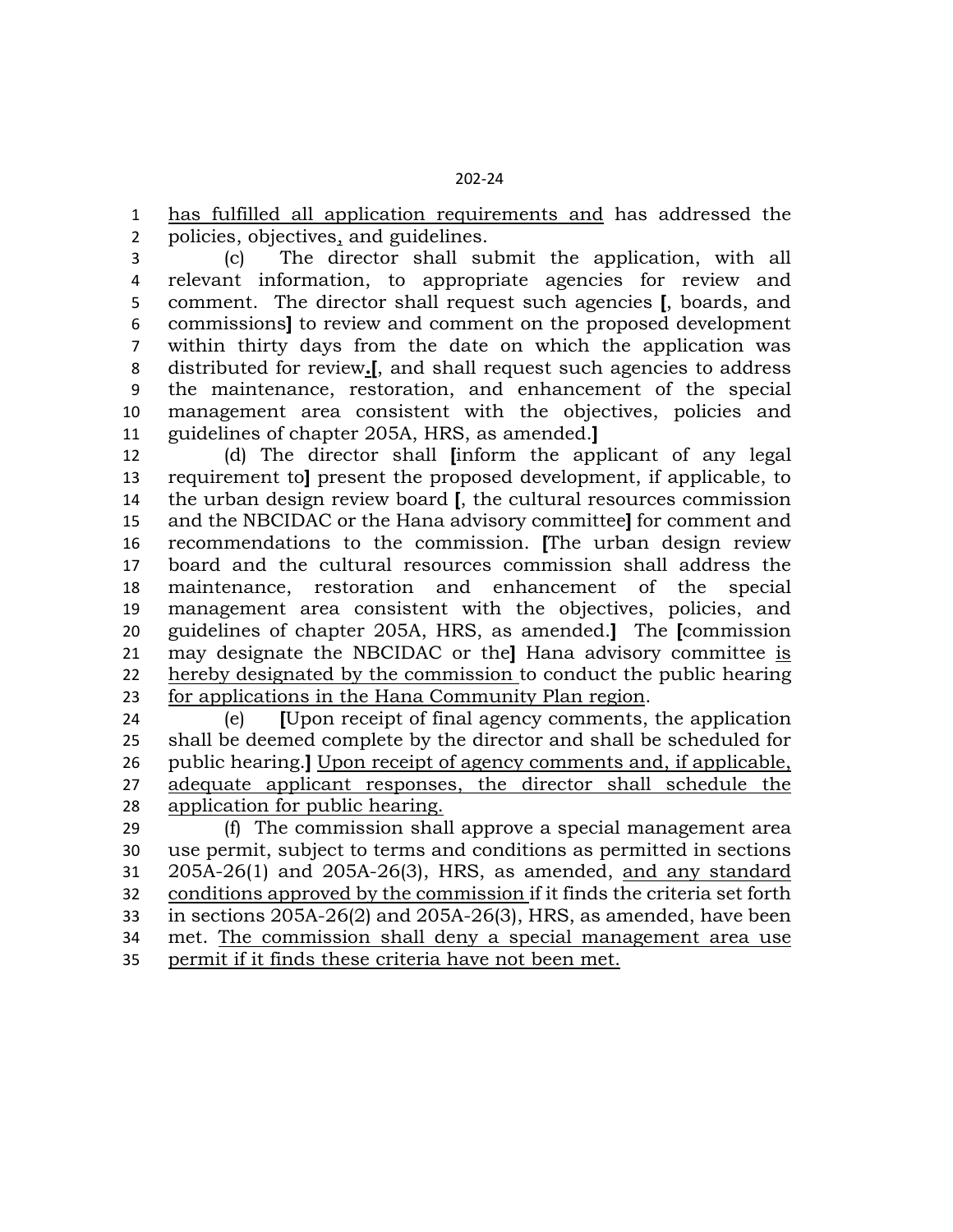has fulfilled all application requirements and has addressed the policies, objectives, and guidelines.

 (c) The director shall submit the application, with all relevant information, to appropriate agencies for review and comment. The director shall request such agencies **[**, boards, and commissions**]** to review and comment on the proposed development within thirty days from the date on which the application was distributed for review**.[**, and shall request such agencies to address the maintenance, restoration, and enhancement of the special management area consistent with the objectives, policies and guidelines of chapter 205A, HRS, as amended.**]**

 (d) The director shall **[**inform the applicant of any legal requirement to**]** present the proposed development, if applicable, to the urban design review board **[**, the cultural resources commission and the NBCIDAC or the Hana advisory committee**]** for comment and recommendations to the commission. **[**The urban design review board and the cultural resources commission shall address the maintenance, restoration and enhancement of the special management area consistent with the objectives, policies, and guidelines of chapter 205A, HRS, as amended.**]** The **[**commission may designate the NBCIDAC or the**]** Hana advisory committee is hereby designated by the commission to conduct the public hearing for applications in the Hana Community Plan region.

 (e) **[**Upon receipt of final agency comments, the application shall be deemed complete by the director and shall be scheduled for public hearing.**]** Upon receipt of agency comments and, if applicable, adequate applicant responses, the director shall schedule the application for public hearing.

 (f) The commission shall approve a special management area use permit, subject to terms and conditions as permitted in sections 205A-26(1) and 205A-26(3), HRS, as amended, and any standard conditions approved by the commission if it finds the criteria set forth in sections 205A-26(2) and 205A-26(3), HRS, as amended, have been met. The commission shall deny a special management area use permit if it finds these criteria have not been met.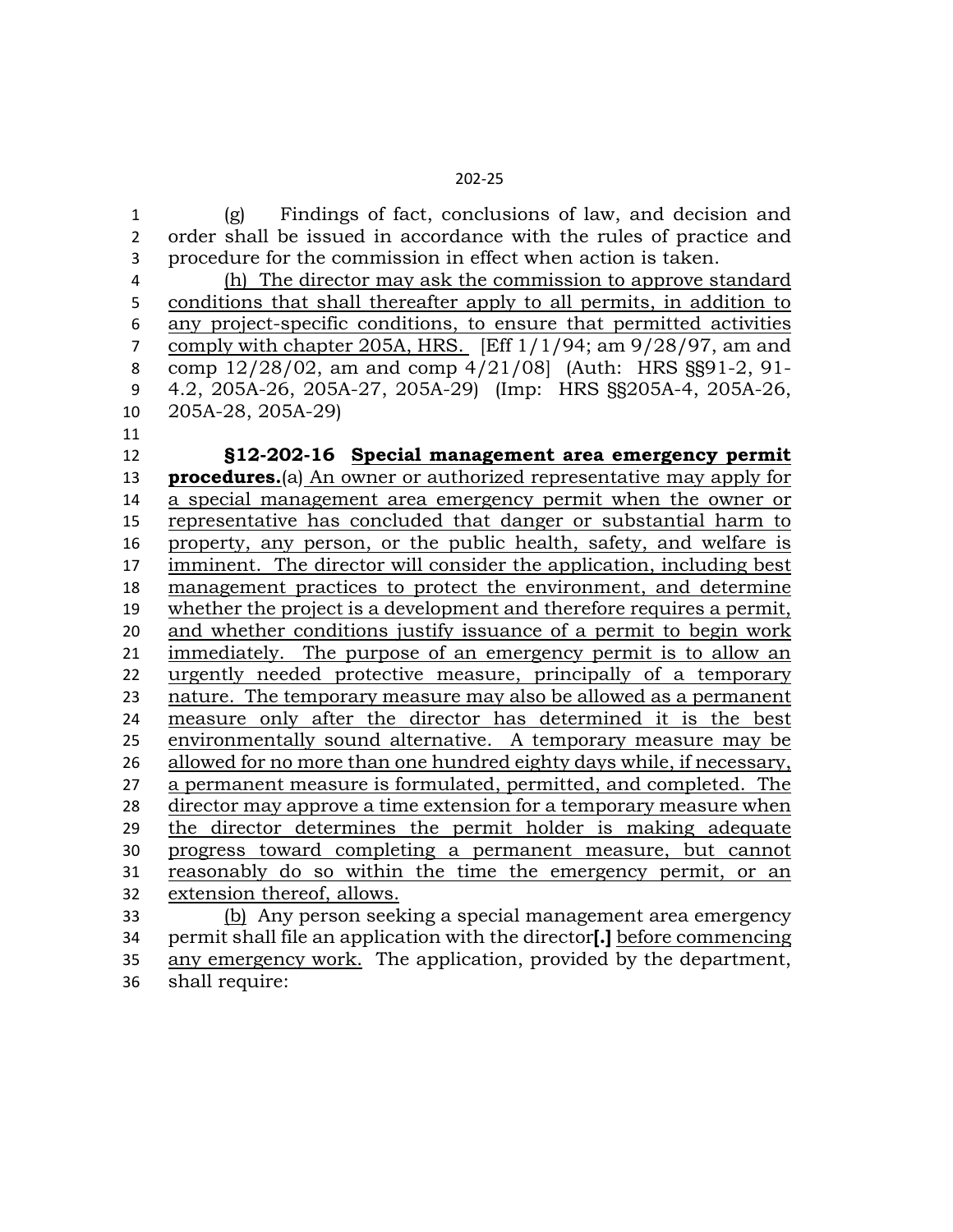(g) Findings of fact, conclusions of law, and decision and order shall be issued in accordance with the rules of practice and procedure for the commission in effect when action is taken.

 (h) The director may ask the commission to approve standard conditions that shall thereafter apply to all permits, in addition to any project-specific conditions, to ensure that permitted activities comply with chapter 205A, HRS. [Eff 1/1/94; am 9/28/97, am and comp 12/28/02, am and comp 4/21/08] (Auth: HRS §§91-2, 91- 4.2, 205A-26, 205A-27, 205A-29) (Imp: HRS §§205A-4, 205A-26, 205A-28, 205A-29)

 **§12-202-16 Special management area emergency permit procedures.**(a) An owner or authorized representative may apply for a special management area emergency permit when the owner or representative has concluded that danger or substantial harm to property, any person, or the public health, safety, and welfare is imminent. The director will consider the application, including best management practices to protect the environment, and determine whether the project is a development and therefore requires a permit, and whether conditions justify issuance of a permit to begin work immediately. The purpose of an emergency permit is to allow an urgently needed protective measure, principally of a temporary nature. The temporary measure may also be allowed as a permanent measure only after the director has determined it is the best environmentally sound alternative. A temporary measure may be allowed for no more than one hundred eighty days while, if necessary, a permanent measure is formulated, permitted, and completed. The 28 director may approve a time extension for a temporary measure when the director determines the permit holder is making adequate progress toward completing a permanent measure, but cannot reasonably do so within the time the emergency permit, or an extension thereof, allows. (b) Any person seeking a special management area emergency

 permit shall file an application with the director**[.]** before commencing any emergency work. The application, provided by the department, shall require: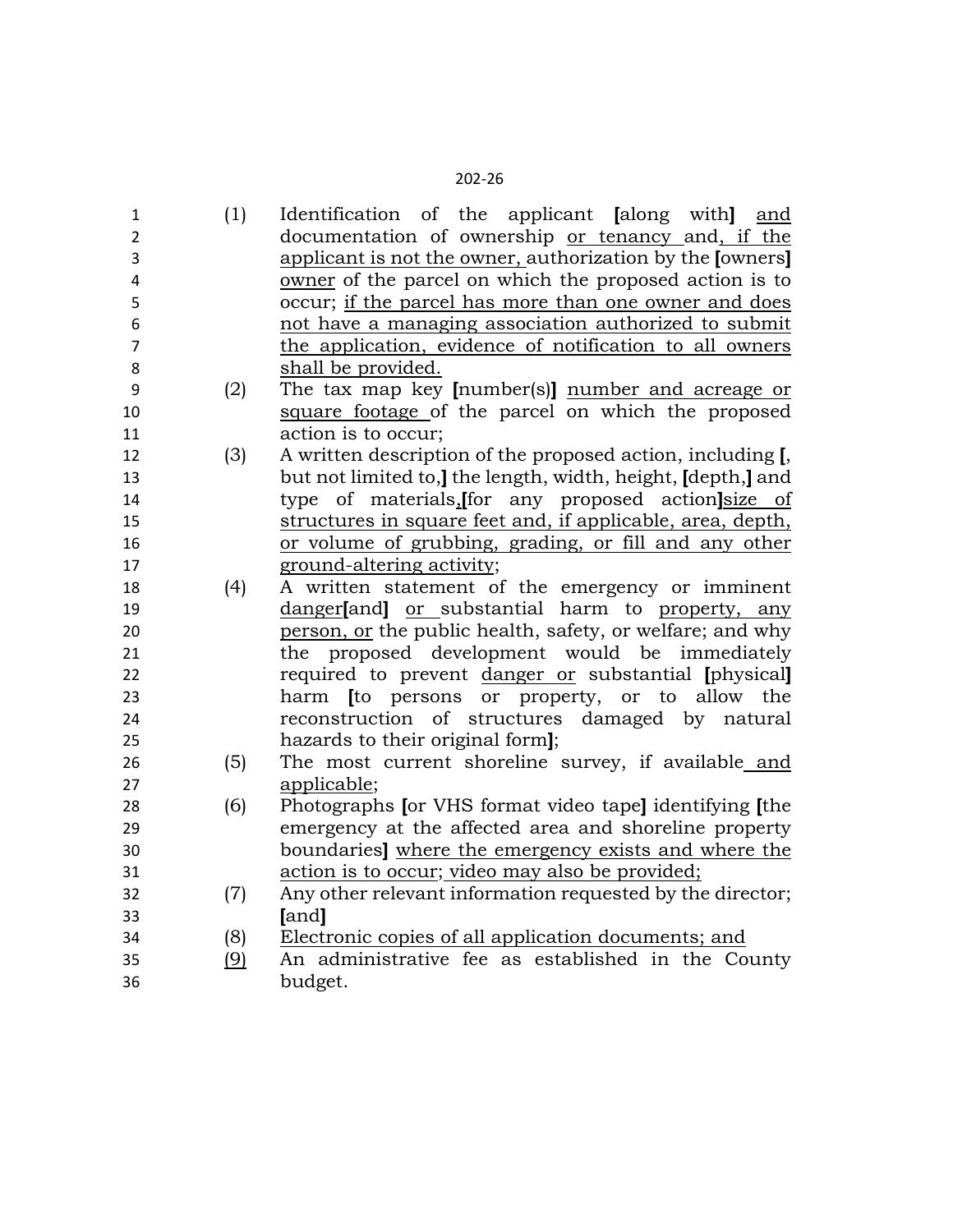| $\mathbf{1}$   | (1)        | Identification of the applicant [along with] and            |
|----------------|------------|-------------------------------------------------------------|
| $\overline{2}$ |            | documentation of ownership or tenancy and, if the           |
| 3              |            | applicant is not the owner, authorization by the [owners]   |
| 4              |            | owner of the parcel on which the proposed action is to      |
| 5              |            | occur; if the parcel has more than one owner and does       |
| 6              |            | not have a managing association authorized to submit        |
| $\overline{7}$ |            | the application, evidence of notification to all owners     |
| 8              |            | shall be provided.                                          |
| 9              | (2)        | The tax map key [number(s)] number and acreage or           |
| 10             |            | square footage of the parcel on which the proposed          |
| 11             |            | action is to occur;                                         |
| 12             | (3)        | A written description of the proposed action, including [,  |
| 13             |            | but not limited to, the length, width, height, [depth,] and |
| 14             |            | type of materials, for any proposed action size of          |
| 15             |            | structures in square feet and, if applicable, area, depth,  |
| 16             |            | or volume of grubbing, grading, or fill and any other       |
| 17             |            | ground-altering activity;                                   |
| 18             | (4)        | A written statement of the emergency or imminent            |
| 19             |            | danger[and] or substantial harm to property, any            |
| 20             |            | person, or the public health, safety, or welfare; and why   |
| 21             |            | the proposed development would be<br>immediately            |
| 22             |            | required to prevent danger or substantial [physical]        |
| 23             |            | harm <i>to</i> persons or property, or to allow the         |
| 24             |            | reconstruction of structures damaged by natural             |
| 25             |            | hazards to their original form];                            |
| 26             | (5)        | The most current shoreline survey, if available and         |
| 27             |            | applicable;                                                 |
| 28             | (6)        | Photographs [or VHS format video tape] identifying [the     |
| 29             |            | emergency at the affected area and shoreline property       |
| 30             |            | boundaries] where the emergency exists and where the        |
| 31             |            | action is to occur; video may also be provided;             |
| 32             | (7)        | Any other relevant information requested by the director;   |
| 33             |            | [and]                                                       |
| 34             | (8)        | Electronic copies of all application documents; and         |
| 35             | <u>(9)</u> | An administrative fee as established in the County          |
| 36             |            | budget.                                                     |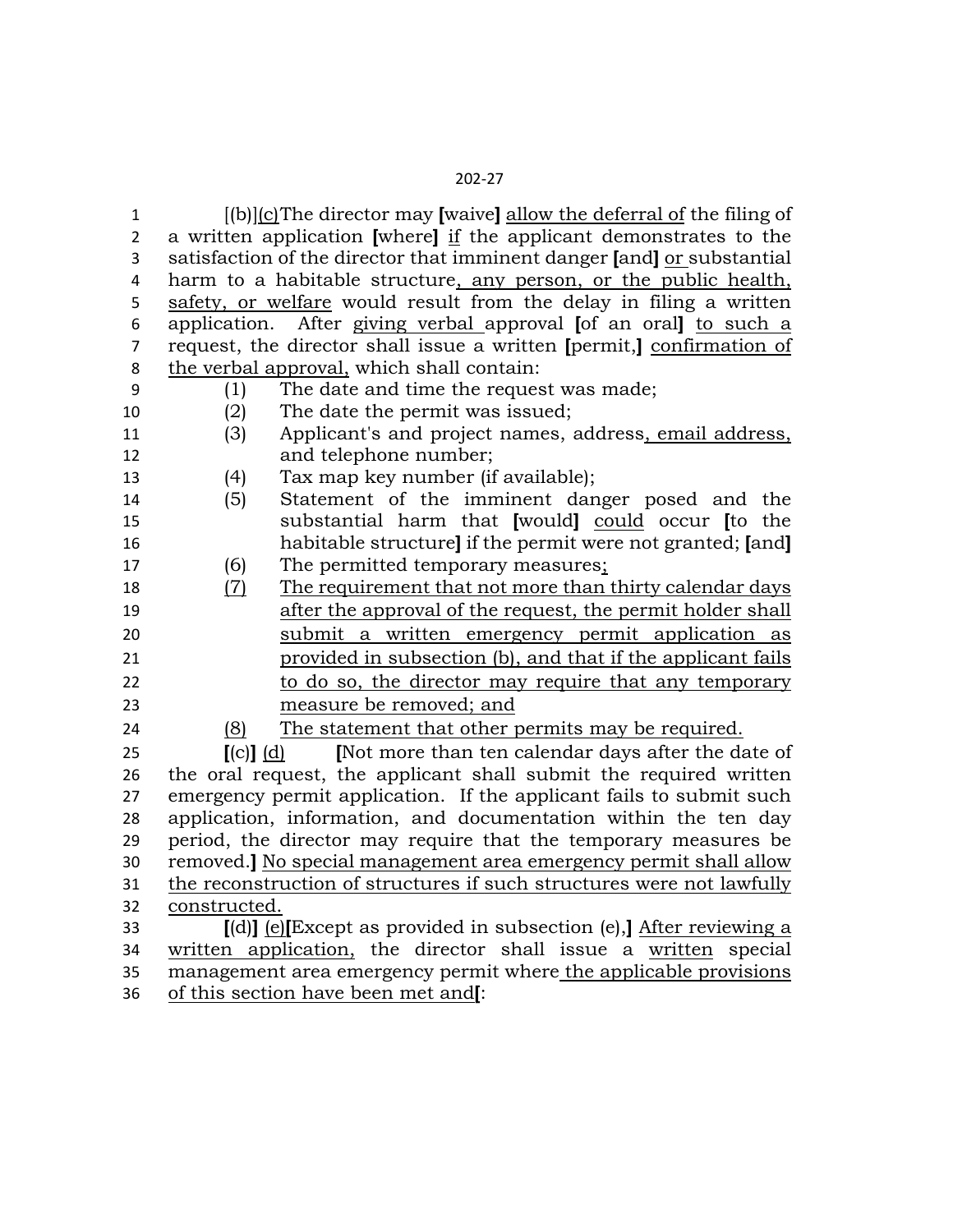| 1<br>$\overline{2}$<br>3 |                           | $[(b)](c)$ The director may [waive] allow the deferral of the filing of<br>a written application [where] if the applicant demonstrates to the<br>satisfaction of the director that imminent danger [and] or substantial |
|--------------------------|---------------------------|-------------------------------------------------------------------------------------------------------------------------------------------------------------------------------------------------------------------------|
| 4                        |                           | harm to a habitable structure, any person, or the public health,                                                                                                                                                        |
| 5                        |                           | safety, or welfare would result from the delay in filing a written                                                                                                                                                      |
| 6                        |                           | application. After giving verbal approval [of an oral] to such a                                                                                                                                                        |
| $\overline{7}$           |                           | request, the director shall issue a written [permit,] confirmation of<br>the verbal approval, which shall contain:                                                                                                      |
| 8<br>9                   | (1)                       | The date and time the request was made;                                                                                                                                                                                 |
| 10                       | (2)                       | The date the permit was issued;                                                                                                                                                                                         |
| 11                       | (3)                       | Applicant's and project names, address, email address,                                                                                                                                                                  |
| 12                       |                           | and telephone number;                                                                                                                                                                                                   |
| 13                       | (4)                       | Tax map key number (if available);                                                                                                                                                                                      |
| 14                       | (5)                       | Statement of the imminent danger posed and the                                                                                                                                                                          |
| 15                       |                           | substantial harm that [would] could occur [to the                                                                                                                                                                       |
| 16                       |                           | habitable structure] if the permit were not granted; [and]                                                                                                                                                              |
| 17                       | (6)                       | The permitted temporary measures;                                                                                                                                                                                       |
| 18                       | <u>(7)</u>                | The requirement that not more than thirty calendar days                                                                                                                                                                 |
| 19                       |                           | after the approval of the request, the permit holder shall                                                                                                                                                              |
| 20                       |                           | submit a written emergency permit application as                                                                                                                                                                        |
| 21                       |                           | provided in subsection (b), and that if the applicant fails                                                                                                                                                             |
| 22                       |                           | to do so, the director may require that any temporary                                                                                                                                                                   |
| 23                       |                           | measure be removed; and                                                                                                                                                                                                 |
| 24                       | (8)                       | The statement that other permits may be required.                                                                                                                                                                       |
| 25                       | $\lceil$ (c) $\lceil$ (d) | [Not more than ten calendar days after the date of                                                                                                                                                                      |
| 26                       |                           | the oral request, the applicant shall submit the required written                                                                                                                                                       |
| 27                       |                           | emergency permit application. If the applicant fails to submit such                                                                                                                                                     |
| 28                       |                           | application, information, and documentation within the ten day                                                                                                                                                          |
| 29                       |                           | period, the director may require that the temporary measures be                                                                                                                                                         |
| 30                       |                           | removed.] No special management area emergency permit shall allow                                                                                                                                                       |
| 31                       |                           | the reconstruction of structures if such structures were not lawfully                                                                                                                                                   |
| 32                       | constructed.              |                                                                                                                                                                                                                         |
| 33                       |                           | $\lceil$ (d)] (e) Except as provided in subsection (e), After reviewing a                                                                                                                                               |
|                          |                           |                                                                                                                                                                                                                         |
|                          |                           |                                                                                                                                                                                                                         |
| 34<br>35<br>36           |                           | written application, the director shall issue a written special<br>management area emergency permit where the applicable provisions<br>of this section have been met and[:                                              |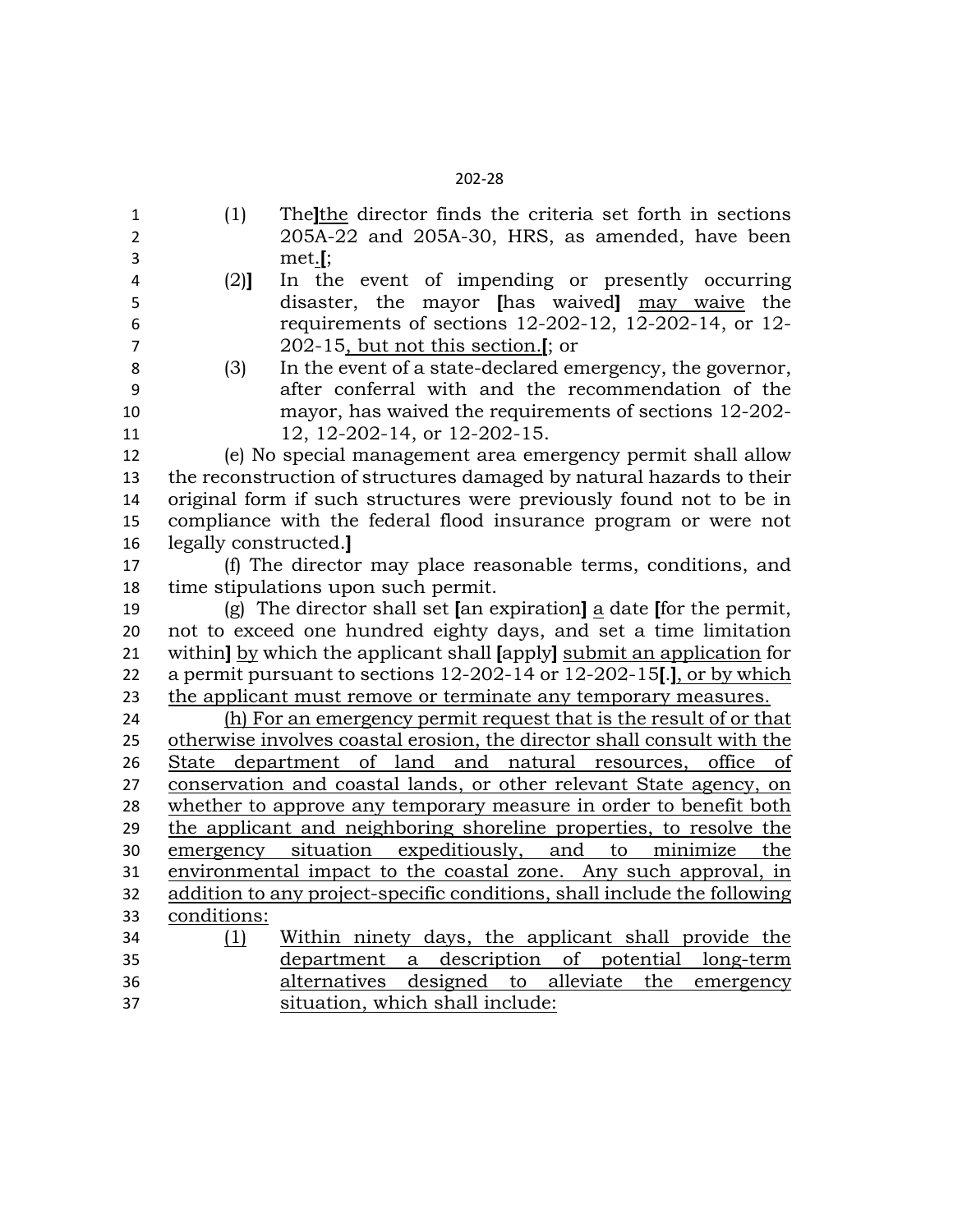| $\mathbf{1}$            | (1)                  | The the director finds the criteria set forth in sections                |
|-------------------------|----------------------|--------------------------------------------------------------------------|
| $\overline{2}$          |                      | 205A-22 and 205A-30, HRS, as amended, have been                          |
| 3                       |                      | $met.$ [;                                                                |
| $\overline{\mathbf{4}}$ | $(2)$ ]              | In the event of impending or presently occurring                         |
| 5                       |                      | disaster, the mayor [has waived] may waive the                           |
| 6                       |                      | requirements of sections 12-202-12, 12-202-14, or 12-                    |
| $\overline{7}$          |                      | 202-15, but not this section.[; or                                       |
| 8                       | (3)                  | In the event of a state-declared emergency, the governor,                |
| 9                       |                      | after conferral with and the recommendation of the                       |
| 10                      |                      | mayor, has waived the requirements of sections 12-202-                   |
| 11                      |                      | 12, 12-202-14, or 12-202-15.                                             |
| 12                      |                      | (e) No special management area emergency permit shall allow              |
| 13                      |                      | the reconstruction of structures damaged by natural hazards to their     |
| 14                      |                      | original form if such structures were previously found not to be in      |
| 15                      |                      | compliance with the federal flood insurance program or were not          |
| 16                      | legally constructed. |                                                                          |
| 17                      |                      | (f) The director may place reasonable terms, conditions, and             |
| 18                      |                      | time stipulations upon such permit.                                      |
| 19                      |                      | (g) The director shall set [an expiration] a date [for the permit,       |
| 20                      |                      | not to exceed one hundred eighty days, and set a time limitation         |
| 21                      |                      | within] by which the applicant shall [apply] submit an application for   |
| 22                      |                      | a permit pursuant to sections 12-202-14 or 12-202-15[.], or by which     |
| 23                      |                      | the applicant must remove or terminate any temporary measures.           |
| 24                      |                      | (h) For an emergency permit request that is the result of or that        |
| 25                      |                      | otherwise involves coastal erosion, the director shall consult with the  |
| 26                      |                      | State department of land and natural resources, office of                |
| 27                      |                      | conservation and coastal lands, or other relevant State agency, on       |
| 28                      |                      | whether to approve any temporary measure in order to benefit both        |
| 29                      |                      | the applicant and neighboring shoreline properties, to resolve the       |
| 30                      |                      | emergency situation expeditiously, and to minimize the                   |
| 31                      |                      | environmental impact to the coastal zone. Any such approval, in          |
| 32                      |                      | addition to any project-specific conditions, shall include the following |
| 33                      | conditions:          |                                                                          |
| 34                      | (1)                  | Within ninety days, the applicant shall provide the                      |
| 35                      |                      | department a description of potential long-term                          |
| 36                      |                      | alternatives designed to alleviate<br>the<br>emergency                   |
| 37                      |                      | situation, which shall include:                                          |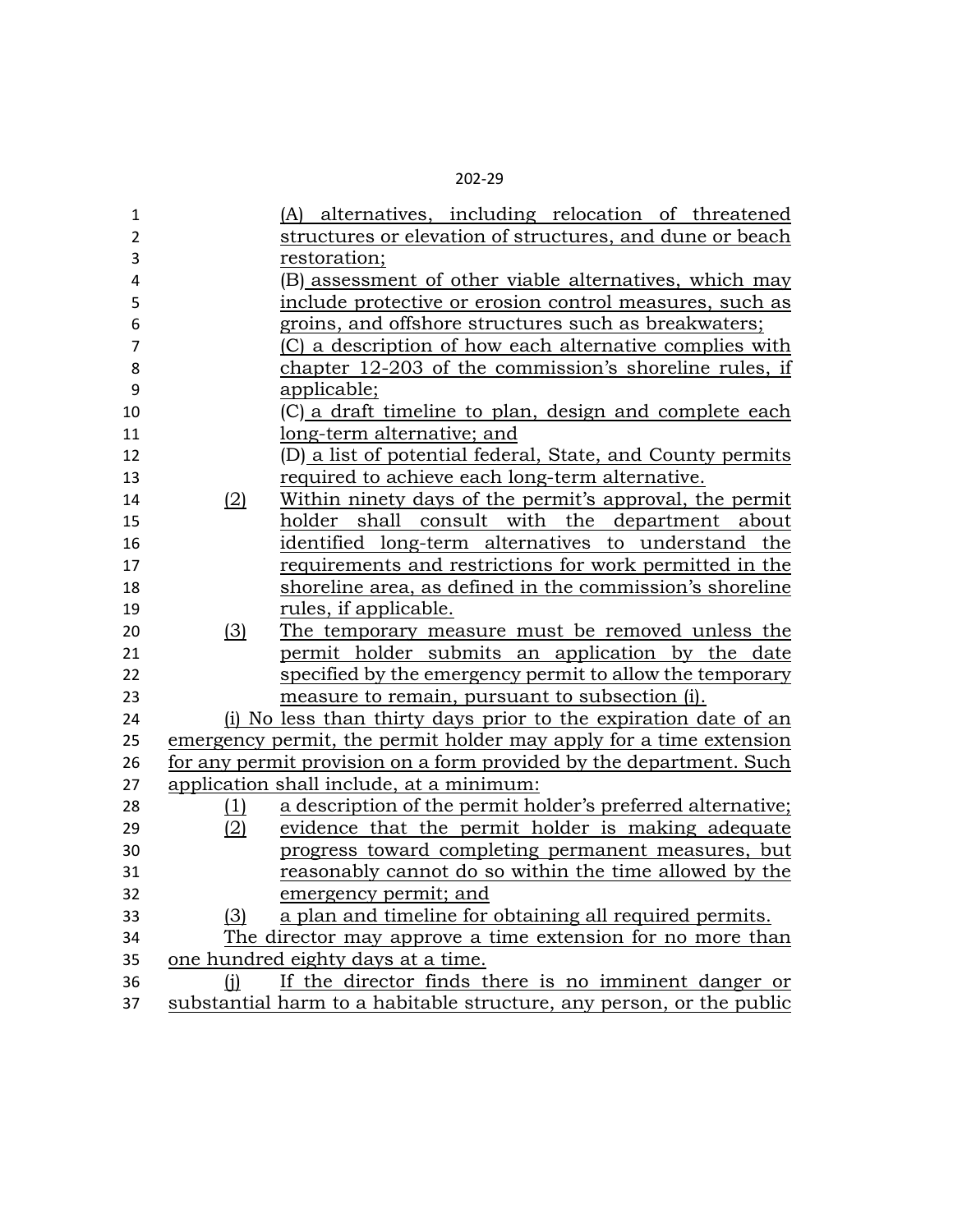| 1              |     | (A) alternatives, including relocation of threatened                 |
|----------------|-----|----------------------------------------------------------------------|
| 2              |     | structures or elevation of structures, and dune or beach             |
| 3              |     | restoration;                                                         |
| 4              |     | (B) assessment of other viable alternatives, which may               |
| 5              |     | include protective or erosion control measures, such as              |
| 6              |     | groins, and offshore structures such as breakwaters;                 |
| $\overline{7}$ |     | (C) a description of how each alternative complies with              |
| 8              |     | chapter 12-203 of the commission's shoreline rules, if               |
| 9              |     | applicable;                                                          |
| 10             |     | (C) a draft timeline to plan, design and complete each               |
| 11             |     | long-term alternative; and                                           |
| 12             |     | (D) a list of potential federal, State, and County permits           |
| 13             |     | required to achieve each long-term alternative.                      |
| 14             | (2) | Within ninety days of the permit's approval, the permit              |
| 15             |     | holder shall consult with the department about                       |
| 16             |     | identified long-term alternatives to understand the                  |
| 17             |     | requirements and restrictions for work permitted in the              |
| 18             |     | shoreline area, as defined in the commission's shoreline             |
| 19             |     | rules, if applicable.                                                |
| 20             | (3) | The temporary measure must be removed unless the                     |
| 21             |     | permit holder submits an application by the date                     |
| 22             |     | specified by the emergency permit to allow the temporary             |
| 23             |     | measure to remain, pursuant to subsection (i).                       |
| 24             |     | (i) No less than thirty days prior to the expiration date of an      |
| 25             |     | emergency permit, the permit holder may apply for a time extension   |
| 26             |     | for any permit provision on a form provided by the department. Such  |
| 27             |     | application shall include, at a minimum:                             |
| 28             | (1) | a description of the permit holder's preferred alternative;          |
| 29             | (2) | evidence that the permit holder is making adequate                   |
| 30             |     | progress toward completing permanent measures, but                   |
| 31             |     | reasonably cannot do so within the time allowed by the               |
| 32             |     | emergency permit; and                                                |
| 33             | (3) | a plan and timeline for obtaining all required permits.              |
| 34             |     | The director may approve a time extension for no more than           |
| 35             |     | one hundred eighty days at a time.                                   |
| 36             | (i) | If the director finds there is no imminent danger or                 |
| 37             |     | substantial harm to a habitable structure, any person, or the public |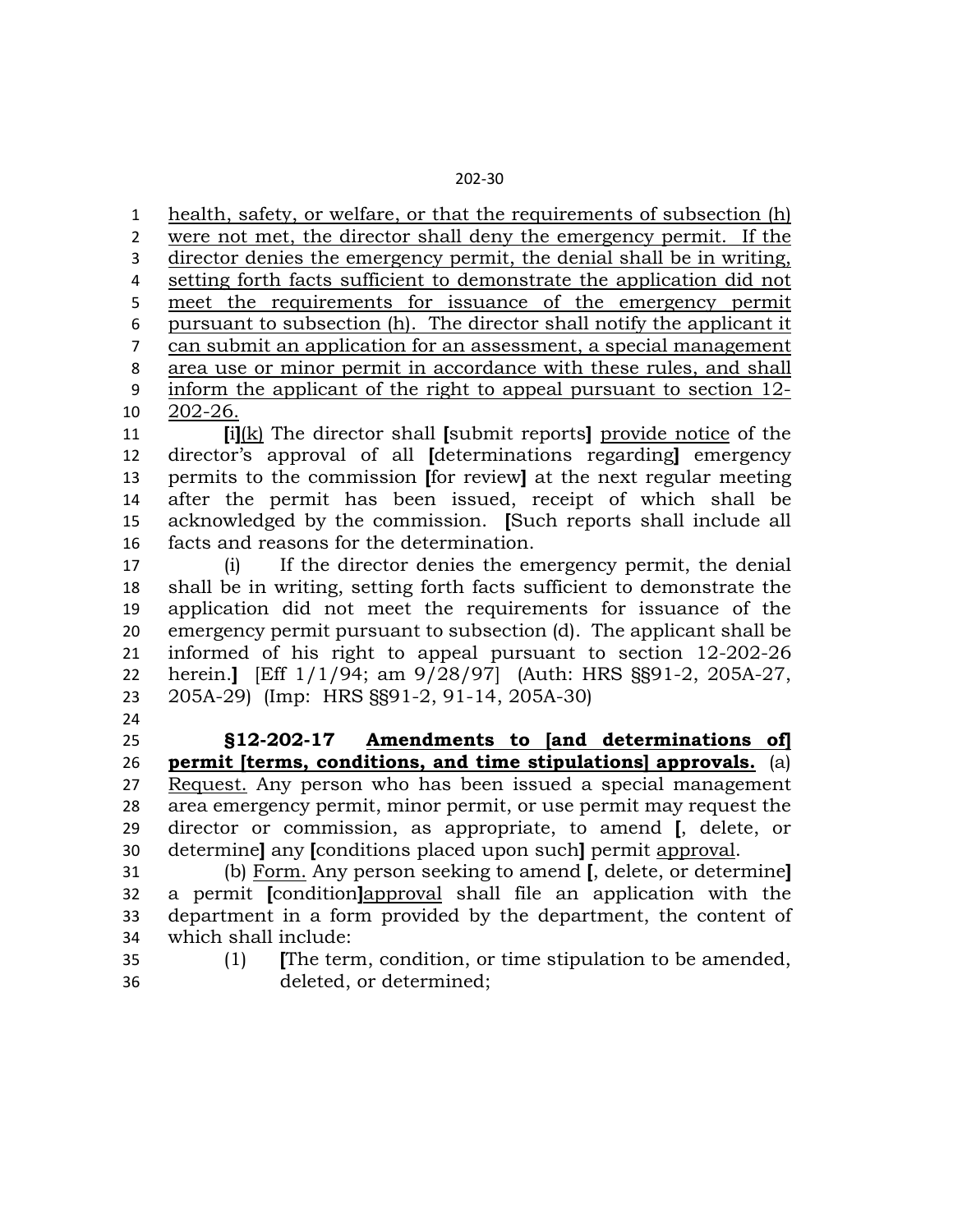health, safety, or welfare, or that the requirements of subsection (h) were not met, the director shall deny the emergency permit. If the director denies the emergency permit, the denial shall be in writing, setting forth facts sufficient to demonstrate the application did not meet the requirements for issuance of the emergency permit pursuant to subsection (h). The director shall notify the applicant it can submit an application for an assessment, a special management area use or minor permit in accordance with these rules, and shall inform the applicant of the right to appeal pursuant to section 12- 202-26.

 **[**i**]**(k) The director shall **[**submit reports**]** provide notice of the director's approval of all **[**determinations regarding**]** emergency permits to the commission **[**for review**]** at the next regular meeting after the permit has been issued, receipt of which shall be acknowledged by the commission. **[**Such reports shall include all facts and reasons for the determination.

 (i) If the director denies the emergency permit, the denial shall be in writing, setting forth facts sufficient to demonstrate the application did not meet the requirements for issuance of the emergency permit pursuant to subsection (d). The applicant shall be informed of his right to appeal pursuant to section 12-202-26 herein.**]** [Eff 1/1/94; am 9/28/97] (Auth: HRS §§91-2, 205A-27, 205A-29) (Imp: HRS §§91-2, 91-14, 205A-30)

 **§12-202-17 Amendments to [and determinations of] permit [terms, conditions, and time stipulations] approvals.** (a) Request. Any person who has been issued a special management area emergency permit, minor permit, or use permit may request the director or commission, as appropriate, to amend **[**, delete, or determine**]** any **[**conditions placed upon such**]** permit approval.

 (b) Form. Any person seeking to amend **[**, delete, or determine**]** a permit **[**condition**]**approval shall file an application with the department in a form provided by the department, the content of which shall include:

 (1) **[**The term, condition, or time stipulation to be amended, deleted, or determined;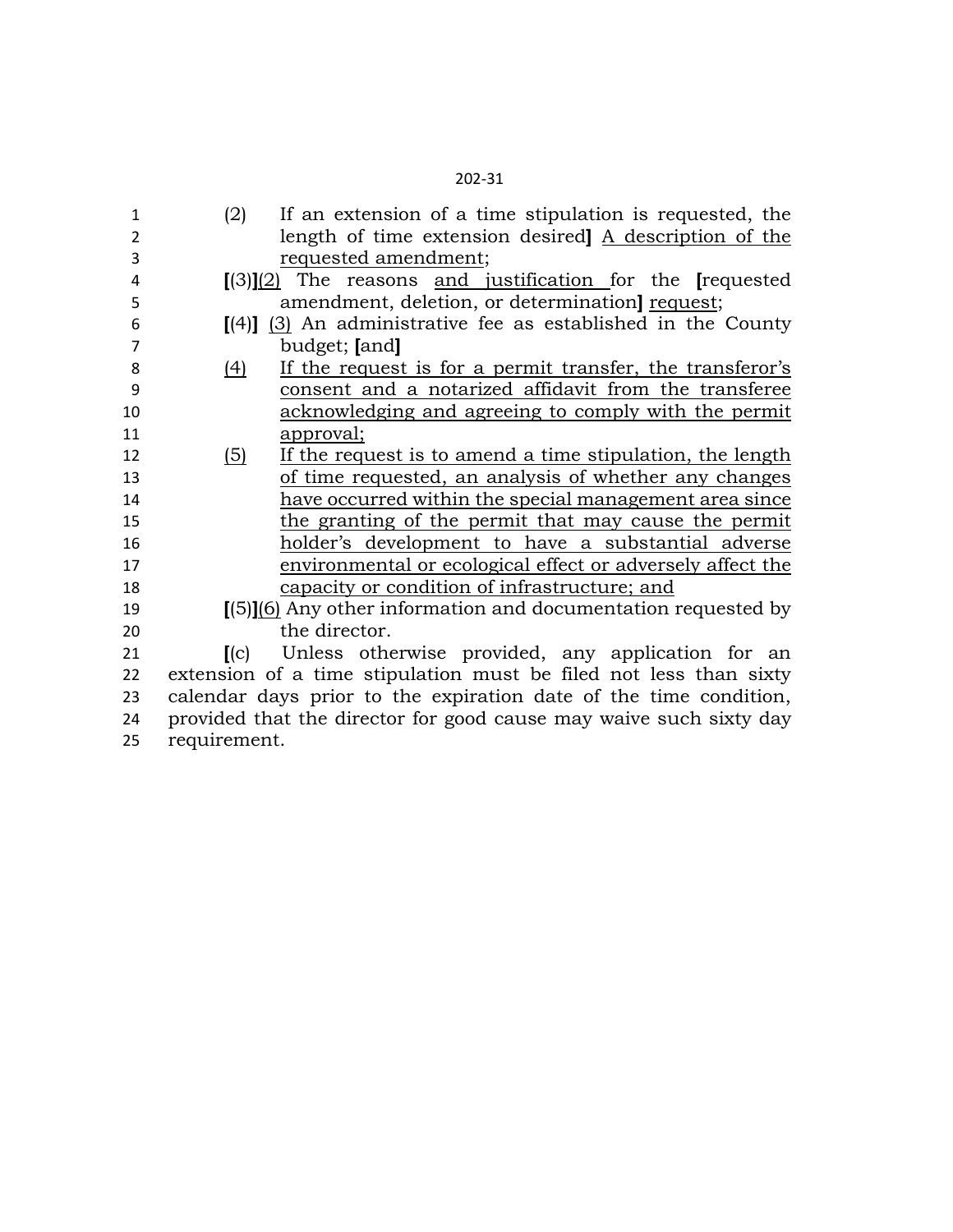| 1    | (2)                      | If an extension of a time stipulation is requested, the                    |
|------|--------------------------|----------------------------------------------------------------------------|
| 2    |                          | length of time extension desired] A description of the                     |
| 3    |                          | requested amendment;                                                       |
| 4    |                          | $[(3)](2)$ The reasons and justification for the [requested]               |
| 5    |                          | amendment, deletion, or determination request;                             |
| 6    |                          | $\lceil (4) \rceil$ (3) An administrative fee as established in the County |
| 7    |                          | budget; [and]                                                              |
| 8    | (4)                      | If the request is for a permit transfer, the transferor's                  |
| 9    |                          | consent and a notarized affidavit from the transferee                      |
| 10   |                          | acknowledging and agreeing to comply with the permit                       |
| 11   |                          | approval;                                                                  |
| 12   | <u>(5)</u>               | If the request is to amend a time stipulation, the length                  |
| 13   |                          | of time requested, an analysis of whether any changes                      |
| 14   |                          | have occurred within the special management area since                     |
| 15   |                          | the granting of the permit that may cause the permit                       |
| 16   |                          | holder's development to have a substantial adverse                         |
| 17   |                          | environmental or ecological effect or adversely affect the                 |
| 18   |                          | capacity or condition of infrastructure; and                               |
| 19   |                          | [(5)] <sup>(6)</sup> Any other information and documentation requested by  |
| 20   |                          | the director.                                                              |
| 21   | $\mathbf{I}(\mathbf{c})$ | Unless otherwise provided, any application for an                          |
| 22   |                          | extension of a time stipulation must be filed not less than sixty          |
| 23   |                          | calendar days prior to the expiration date of the time condition,          |
| 24   |                          | provided that the director for good cause may waive such sixty day         |
| n Fi | $n \sim$                 |                                                                            |

- requirement.
-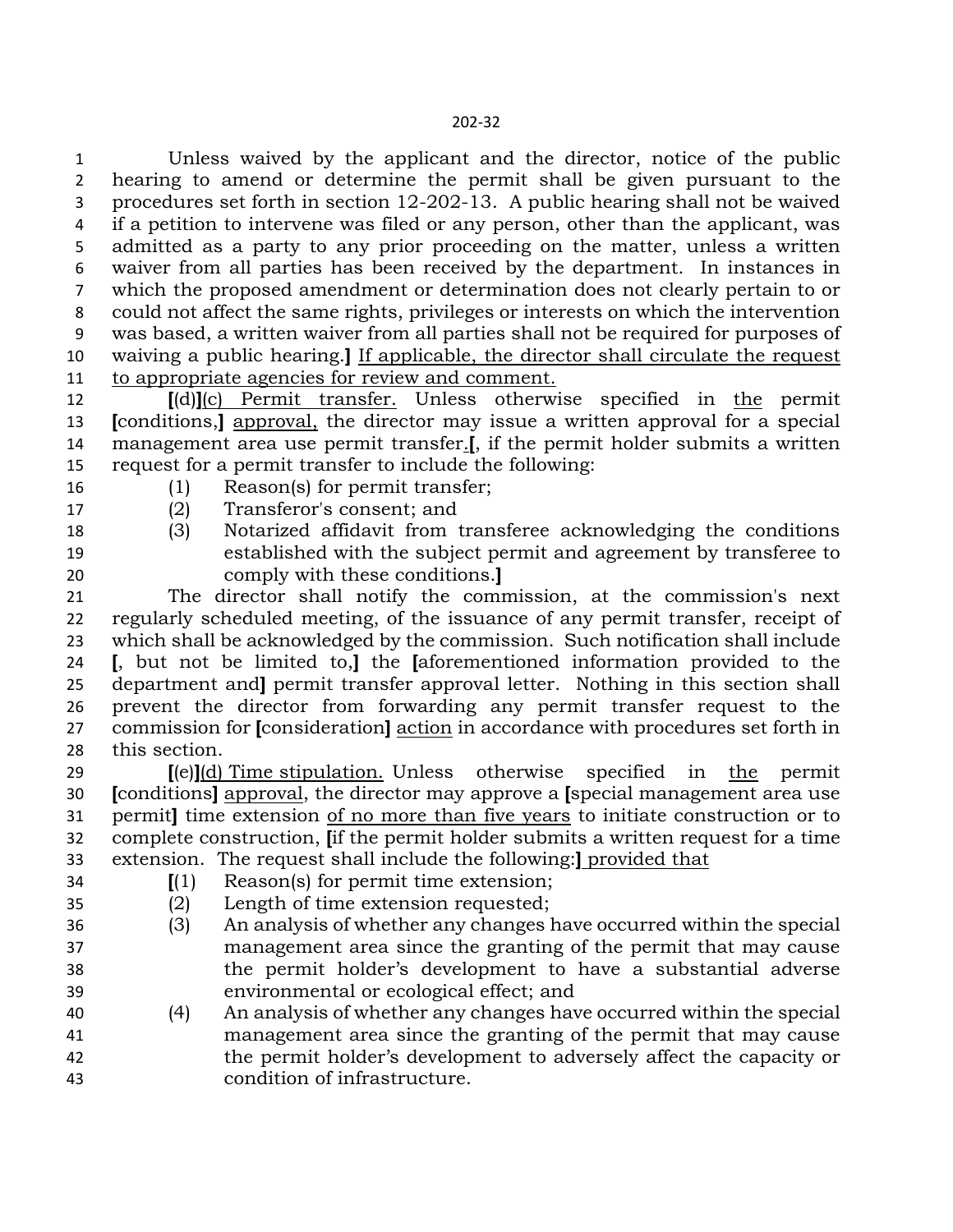Unless waived by the applicant and the director, notice of the public hearing to amend or determine the permit shall be given pursuant to the procedures set forth in section 12-202-13. A public hearing shall not be waived if a petition to intervene was filed or any person, other than the applicant, was admitted as a party to any prior proceeding on the matter, unless a written waiver from all parties has been received by the department. In instances in which the proposed amendment or determination does not clearly pertain to or could not affect the same rights, privileges or interests on which the intervention was based, a written waiver from all parties shall not be required for purposes of waiving a public hearing.**]** If applicable, the director shall circulate the request to appropriate agencies for review and comment.

 **[**(d)**]**(c) Permit transfer. Unless otherwise specified in the permit **[**conditions,**]** approval, the director may issue a written approval for a special management area use permit transfer.**[**, if the permit holder submits a written request for a permit transfer to include the following:

- (1) Reason(s) for permit transfer;
- (2) Transferor's consent; and
- (3) Notarized affidavit from transferee acknowledging the conditions established with the subject permit and agreement by transferee to comply with these conditions.**]**
- The director shall notify the commission, at the commission's next regularly scheduled meeting, of the issuance of any permit transfer, receipt of which shall be acknowledged by the commission. Such notification shall include **[**, but not be limited to,**]** the **[**aforementioned information provided to the department and**]** permit transfer approval letter. Nothing in this section shall prevent the director from forwarding any permit transfer request to the commission for **[**consideration**]** action in accordance with procedures set forth in this section.

 **[**(e)**]**(d) Time stipulation. Unless otherwise specified in the permit **[**conditions**]** approval, the director may approve a **[**special management area use permit**]** time extension of no more than five years to initiate construction or to complete construction, **[**if the permit holder submits a written request for a time extension. The request shall include the following:**]** provided that

- 
- **[**(1) Reason(s) for permit time extension;

(2) Length of time extension requested;

- (3) An analysis of whether any changes have occurred within the special management area since the granting of the permit that may cause the permit holder's development to have a substantial adverse environmental or ecological effect; and
- (4) An analysis of whether any changes have occurred within the special management area since the granting of the permit that may cause the permit holder's development to adversely affect the capacity or condition of infrastructure.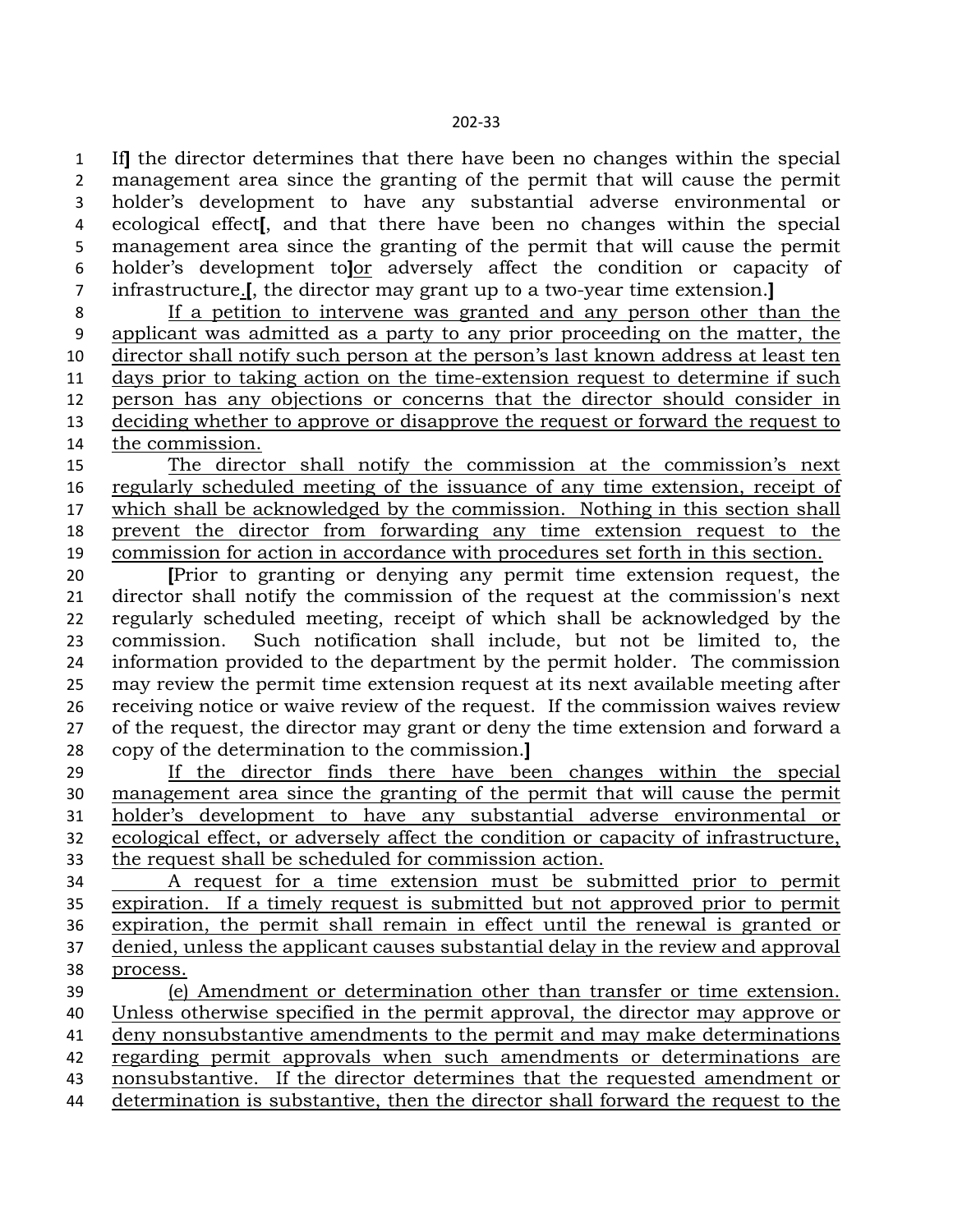If**]** the director determines that there have been no changes within the special management area since the granting of the permit that will cause the permit holder's development to have any substantial adverse environmental or ecological effect**[**, and that there have been no changes within the special management area since the granting of the permit that will cause the permit holder's development to**]**or adversely affect the condition or capacity of infrastructure.**[**, the director may grant up to a two-year time extension.**]**

 If a petition to intervene was granted and any person other than the applicant was admitted as a party to any prior proceeding on the matter, the director shall notify such person at the person's last known address at least ten days prior to taking action on the time-extension request to determine if such person has any objections or concerns that the director should consider in deciding whether to approve or disapprove the request or forward the request to the commission.

 The director shall notify the commission at the commission's next regularly scheduled meeting of the issuance of any time extension, receipt of which shall be acknowledged by the commission. Nothing in this section shall prevent the director from forwarding any time extension request to the commission for action in accordance with procedures set forth in this section.

 **[**Prior to granting or denying any permit time extension request, the director shall notify the commission of the request at the commission's next regularly scheduled meeting, receipt of which shall be acknowledged by the commission. Such notification shall include, but not be limited to, the information provided to the department by the permit holder. The commission may review the permit time extension request at its next available meeting after receiving notice or waive review of the request. If the commission waives review of the request, the director may grant or deny the time extension and forward a copy of the determination to the commission.**]**

 If the director finds there have been changes within the special management area since the granting of the permit that will cause the permit holder's development to have any substantial adverse environmental or ecological effect, or adversely affect the condition or capacity of infrastructure, the request shall be scheduled for commission action.

 A request for a time extension must be submitted prior to permit expiration. If a timely request is submitted but not approved prior to permit expiration, the permit shall remain in effect until the renewal is granted or denied, unless the applicant causes substantial delay in the review and approval process.

 (e) Amendment or determination other than transfer or time extension. Unless otherwise specified in the permit approval, the director may approve or deny nonsubstantive amendments to the permit and may make determinations regarding permit approvals when such amendments or determinations are nonsubstantive. If the director determines that the requested amendment or determination is substantive, then the director shall forward the request to the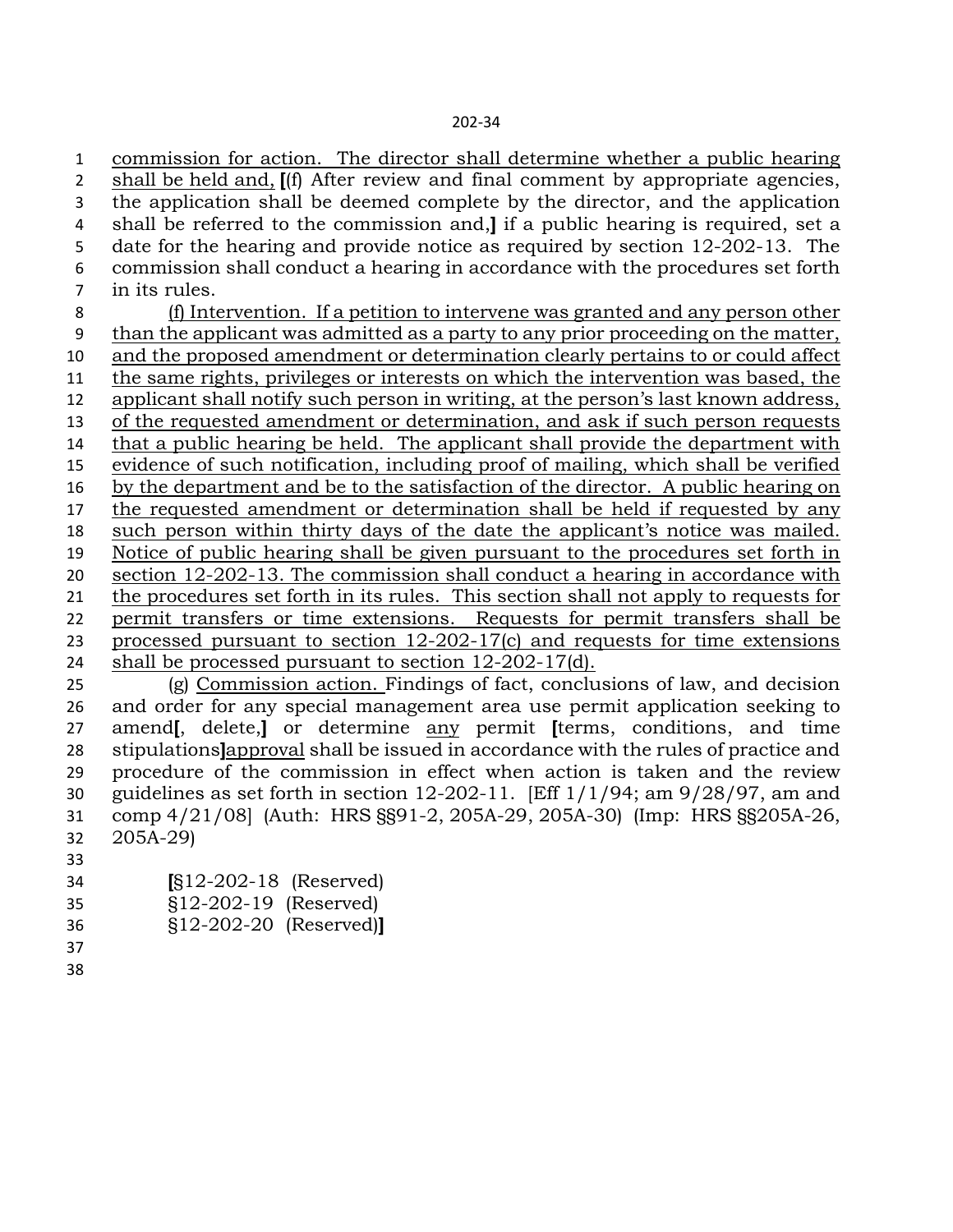commission for action. The director shall determine whether a public hearing shall be held and, **[**(f) After review and final comment by appropriate agencies, the application shall be deemed complete by the director, and the application shall be referred to the commission and,**]** if a public hearing is required, set a date for the hearing and provide notice as required by section 12-202-13. The commission shall conduct a hearing in accordance with the procedures set forth in its rules. (f) Intervention. If a petition to intervene was granted and any person other than the applicant was admitted as a party to any prior proceeding on the matter, and the proposed amendment or determination clearly pertains to or could affect the same rights, privileges or interests on which the intervention was based, the applicant shall notify such person in writing, at the person's last known address, of the requested amendment or determination, and ask if such person requests that a public hearing be held. The applicant shall provide the department with evidence of such notification, including proof of mailing, which shall be verified by the department and be to the satisfaction of the director. A public hearing on the requested amendment or determination shall be held if requested by any such person within thirty days of the date the applicant's notice was mailed. Notice of public hearing shall be given pursuant to the procedures set forth in section 12-202-13. The commission shall conduct a hearing in accordance with 21 the procedures set forth in its rules. This section shall not apply to requests for permit transfers or time extensions. Requests for permit transfers shall be processed pursuant to section 12-202-17(c) and requests for time extensions shall be processed pursuant to section 12-202-17(d). (g) Commission action. Findings of fact, conclusions of law, and decision and order for any special management area use permit application seeking to amend**[**, delete,**]** or determine any permit **[**terms, conditions, and time stipulations**]**approval shall be issued in accordance with the rules of practice and procedure of the commission in effect when action is taken and the review guidelines as set forth in section 12-202-11. [Eff 1/1/94; am 9/28/97, am and comp 4/21/08] (Auth: HRS §§91-2, 205A-29, 205A-30) (Imp: HRS §§205A-26, 205A-29)

- 
- **[**§12-202-18 (Reserved)
- §12-202-19 (Reserved)
- §12-202-20 (Reserved)**]**
- -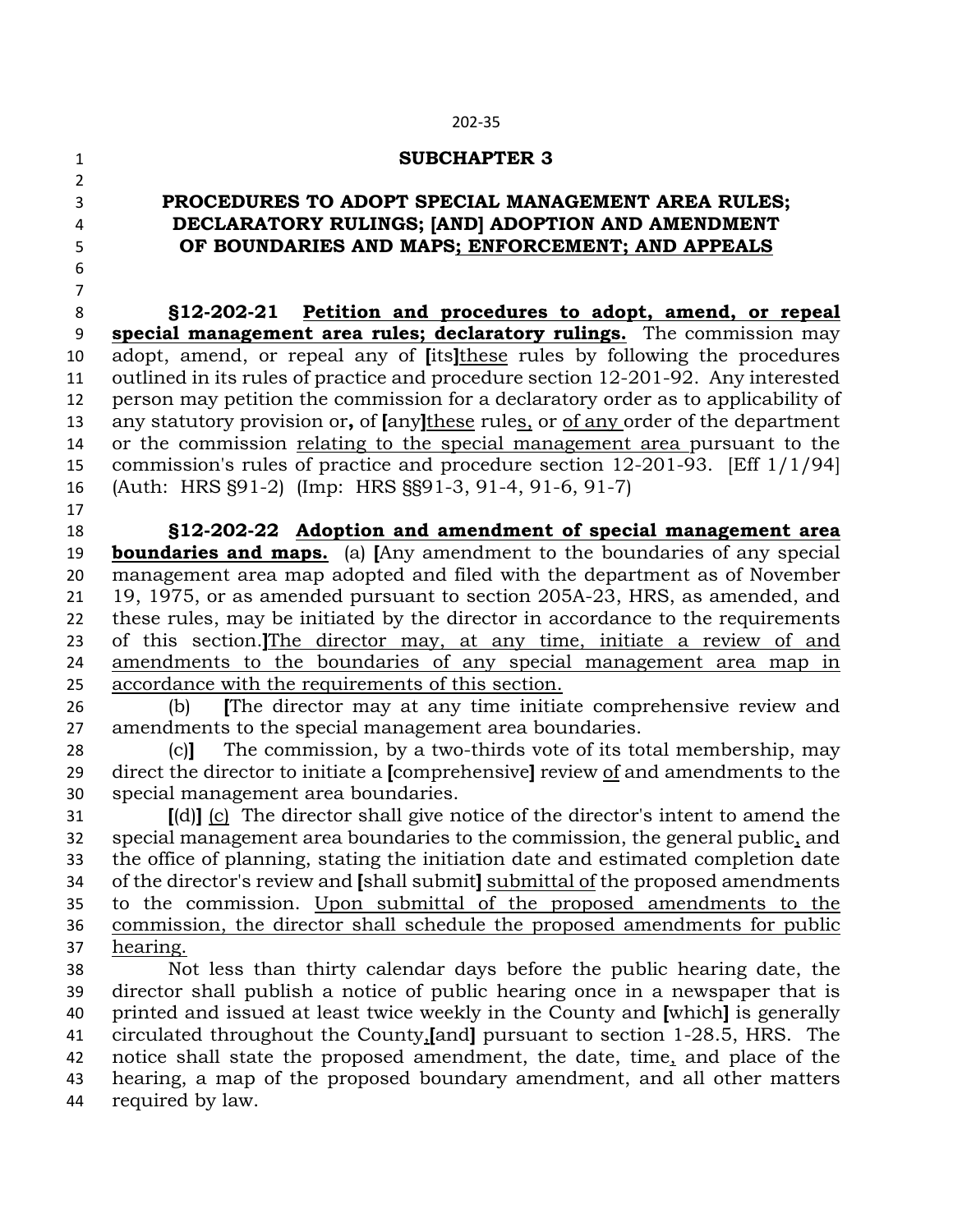#### **SUBCHAPTER 3**

# **PROCEDURES TO ADOPT SPECIAL MANAGEMENT AREA RULES; DECLARATORY RULINGS; [AND] ADOPTION AND AMENDMENT OF BOUNDARIES AND MAPS; ENFORCEMENT; AND APPEALS**

 **§12-202-21 Petition and procedures to adopt, amend, or repeal special management area rules; declaratory rulings.** The commission may adopt, amend, or repeal any of **[**its**]**these rules by following the procedures outlined in its rules of practice and procedure section 12-201-92. Any interested person may petition the commission for a declaratory order as to applicability of any statutory provision or**,** of **[**any**]**these rules, or of any order of the department or the commission relating to the special management area pursuant to the commission's rules of practice and procedure section 12-201-93. [Eff 1/1/94] (Auth: HRS §91-2) (Imp: HRS §§91-3, 91-4, 91-6, 91-7) 

 **§12-202-22 Adoption and amendment of special management area boundaries and maps.** (a) **[**Any amendment to the boundaries of any special management area map adopted and filed with the department as of November 19, 1975, or as amended pursuant to section 205A-23, HRS, as amended, and these rules, may be initiated by the director in accordance to the requirements of this section.**]**The director may, at any time, initiate a review of and amendments to the boundaries of any special management area map in accordance with the requirements of this section.

 (b) **[**The director may at any time initiate comprehensive review and amendments to the special management area boundaries.

 (c)**]** The commission, by a two-thirds vote of its total membership, may direct the director to initiate a **[**comprehensive**]** review of and amendments to the special management area boundaries.

 **[**(d)**]** (c) The director shall give notice of the director's intent to amend the special management area boundaries to the commission, the general public, and the office of planning, stating the initiation date and estimated completion date of the director's review and **[**shall submit**]** submittal of the proposed amendments to the commission. Upon submittal of the proposed amendments to the commission, the director shall schedule the proposed amendments for public hearing.

 Not less than thirty calendar days before the public hearing date, the director shall publish a notice of public hearing once in a newspaper that is printed and issued at least twice weekly in the County and **[**which**]** is generally circulated throughout the County,**[**and**]** pursuant to section 1-28.5, HRS. The notice shall state the proposed amendment, the date, time, and place of the hearing, a map of the proposed boundary amendment, and all other matters required by law.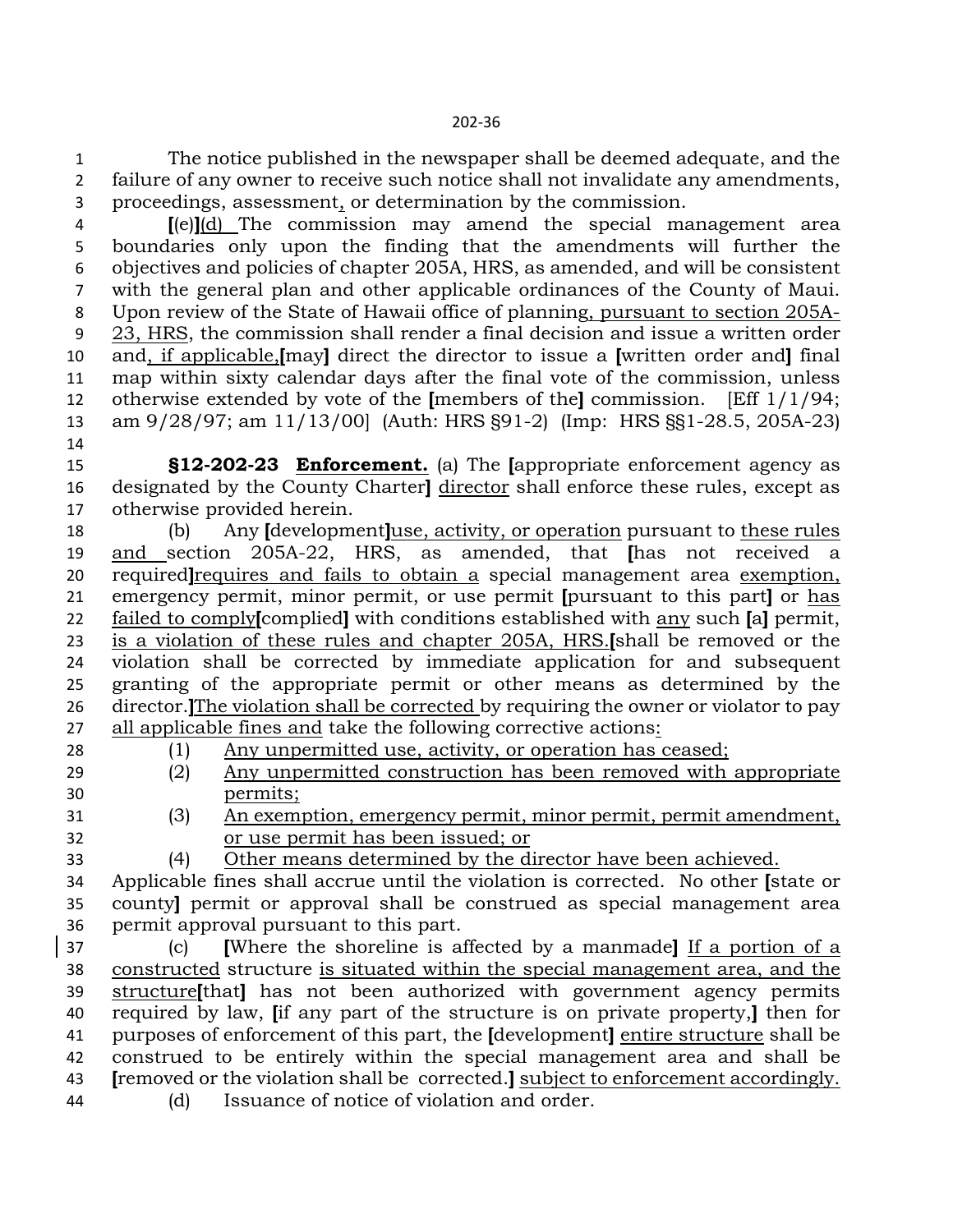The notice published in the newspaper shall be deemed adequate, and the failure of any owner to receive such notice shall not invalidate any amendments, proceedings, assessment, or determination by the commission.

 **[**(e)**]**(d) The commission may amend the special management area boundaries only upon the finding that the amendments will further the objectives and policies of chapter 205A, HRS, as amended, and will be consistent with the general plan and other applicable ordinances of the County of Maui. Upon review of the State of Hawaii office of planning, pursuant to section 205A- 23, HRS, the commission shall render a final decision and issue a written order and, if applicable,**[**may**]** direct the director to issue a **[**written order and**]** final map within sixty calendar days after the final vote of the commission, unless otherwise extended by vote of the **[**members of the**]** commission. [Eff 1/1/94; am 9/28/97; am 11/13/00] (Auth: HRS §91-2) (Imp: HRS §§1-28.5, 205A-23)

 **§12-202-23 Enforcement.** (a) The **[**appropriate enforcement agency as designated by the County Charter**]** director shall enforce these rules, except as otherwise provided herein.

 (b) Any **[**development**]**use, activity, or operation pursuant to these rules and section 205A-22, HRS, as amended, that **[**has not received a required**]**requires and fails to obtain a special management area exemption, emergency permit, minor permit, or use permit **[**pursuant to this part**]** or has failed to comply**[**complied**]** with conditions established with any such **[**a**]** permit, is a violation of these rules and chapter 205A, HRS.**[**shall be removed or the violation shall be corrected by immediate application for and subsequent granting of the appropriate permit or other means as determined by the director.**]**The violation shall be corrected by requiring the owner or violator to pay all applicable fines and take the following corrective actions:

(1) Any unpermitted use, activity, or operation has ceased;

- (2) Any unpermitted construction has been removed with appropriate permits;
- 

 (3) An exemption, emergency permit, minor permit, permit amendment, or use permit has been issued; or

(4) Other means determined by the director have been achieved.

 Applicable fines shall accrue until the violation is corrected. No other **[**state or county**]** permit or approval shall be construed as special management area permit approval pursuant to this part.

 (c) **[**Where the shoreline is affected by a manmade**]** If a portion of a constructed structure is situated within the special management area, and the structure**[**that**]** has not been authorized with government agency permits required by law, **[**if any part of the structure is on private property,**]** then for purposes of enforcement of this part, the **[**development**]** entire structure shall be construed to be entirely within the special management area and shall be **[**removed or the violation shall be corrected.**]** subject to enforcement accordingly. (d) Issuance of notice of violation and order.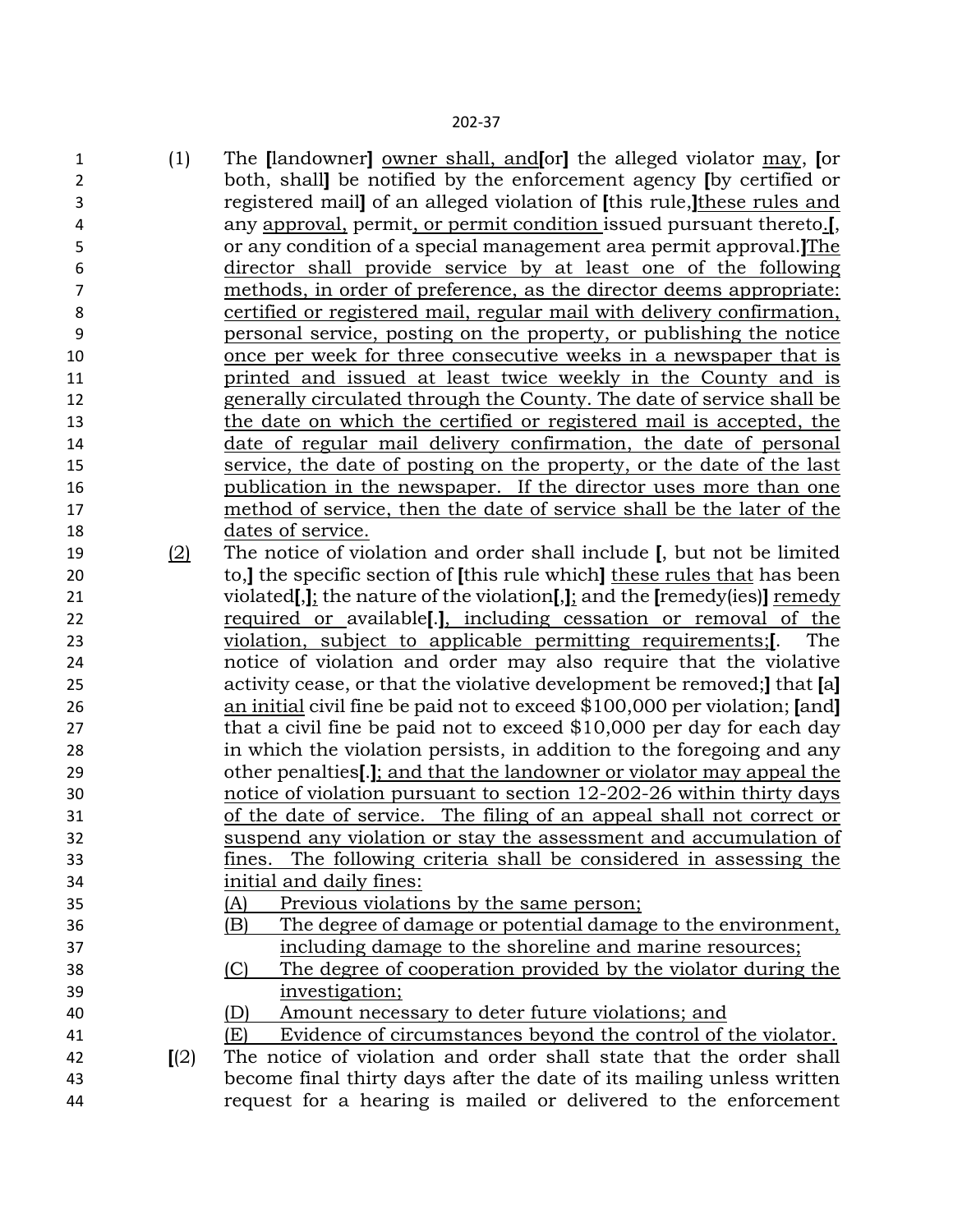(1) The **[**landowner**]** owner shall, and**[**or**]** the alleged violator may, **[**or both, shall**]** be notified by the enforcement agency **[**by certified or registered mail**]** of an alleged violation of **[**this rule,**]**these rules and any approval, permit, or permit condition issued pursuant thereto.**[**, or any condition of a special management area permit approval.**]**The director shall provide service by at least one of the following methods, in order of preference, as the director deems appropriate: certified or registered mail, regular mail with delivery confirmation, personal service, posting on the property, or publishing the notice once per week for three consecutive weeks in a newspaper that is printed and issued at least twice weekly in the County and is generally circulated through the County. The date of service shall be the date on which the certified or registered mail is accepted, the date of regular mail delivery confirmation, the date of personal service, the date of posting on the property, or the date of the last publication in the newspaper. If the director uses more than one method of service, then the date of service shall be the later of the dates of service. (2) The notice of violation and order shall include **[**, but not be limited to,**]** the specific section of **[**this rule which**]** these rules that has been violated**[**,**]**; the nature of the violation**[**,**]**; and the **[**remedy(ies)**]** remedy required or available**[**.**]**, including cessation or removal of the violation, subject to applicable permitting requirements;**[**. The notice of violation and order may also require that the violative activity cease, or that the violative development be removed;**]** that **[**a**]**  an initial civil fine be paid not to exceed \$100,000 per violation; **[**and**]** that a civil fine be paid not to exceed \$10,000 per day for each day in which the violation persists, in addition to the foregoing and any other penalties**[**.**]**; and that the landowner or violator may appeal the notice of violation pursuant to section 12-202-26 within thirty days of the date of service. The filing of an appeal shall not correct or suspend any violation or stay the assessment and accumulation of fines. The following criteria shall be considered in assessing the initial and daily fines: (A) Previous violations by the same person; (B) The degree of damage or potential damage to the environment, including damage to the shoreline and marine resources; (C) The degree of cooperation provided by the violator during the investigation; (D) Amount necessary to deter future violations; and (E) Evidence of circumstances beyond the control of the violator. **[**(2) The notice of violation and order shall state that the order shall become final thirty days after the date of its mailing unless written request for a hearing is mailed or delivered to the enforcement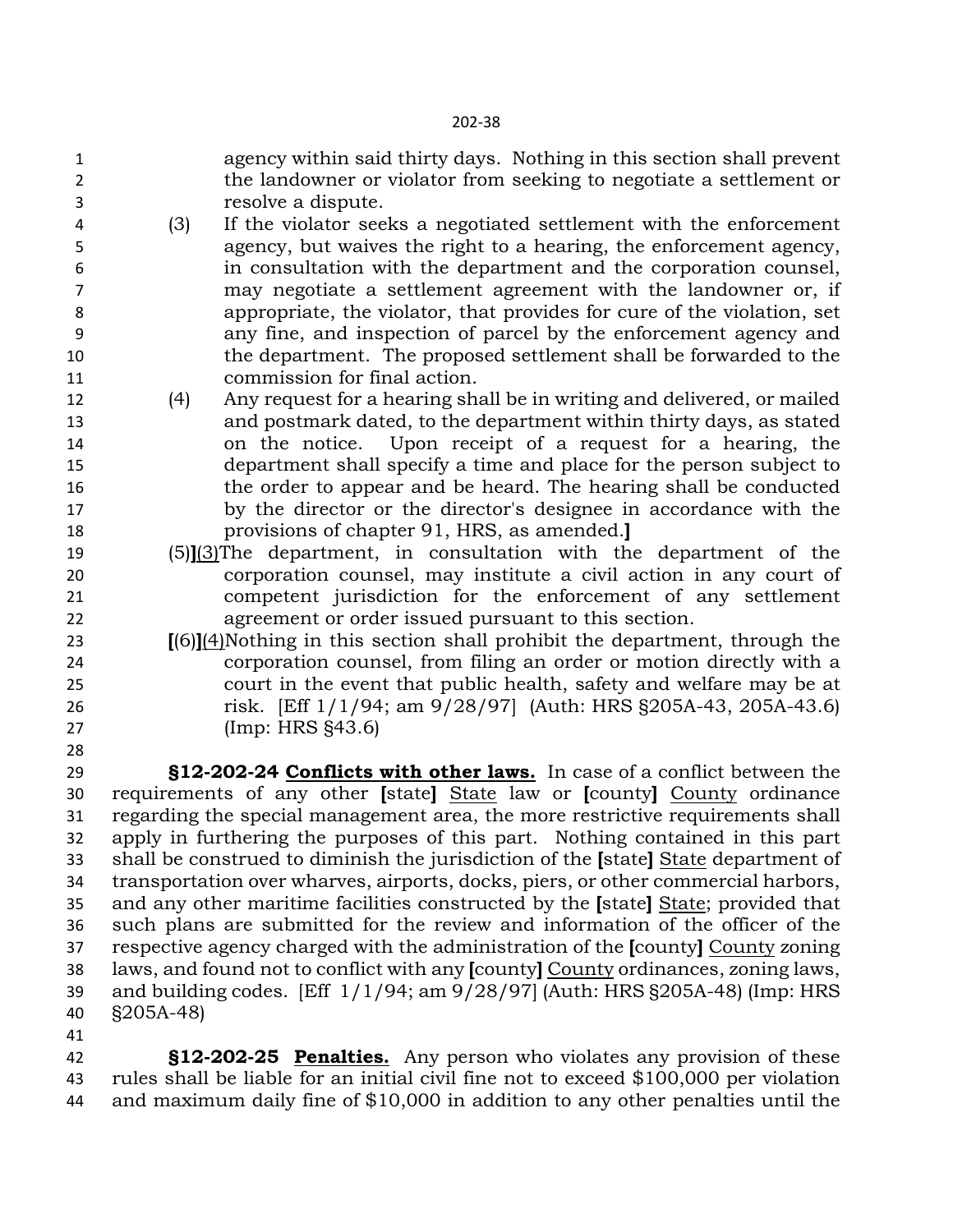- agency within said thirty days. Nothing in this section shall prevent the landowner or violator from seeking to negotiate a settlement or resolve a dispute.
- (3) If the violator seeks a negotiated settlement with the enforcement agency, but waives the right to a hearing, the enforcement agency, in consultation with the department and the corporation counsel, may negotiate a settlement agreement with the landowner or, if appropriate, the violator, that provides for cure of the violation, set any fine, and inspection of parcel by the enforcement agency and the department. The proposed settlement shall be forwarded to the commission for final action.
- (4) Any request for a hearing shall be in writing and delivered, or mailed and postmark dated, to the department within thirty days, as stated on the notice. Upon receipt of a request for a hearing, the department shall specify a time and place for the person subject to the order to appear and be heard. The hearing shall be conducted by the director or the director's designee in accordance with the provisions of chapter 91, HRS, as amended.**]**
- (5)**]**(3)The department, in consultation with the department of the corporation counsel, may institute a civil action in any court of competent jurisdiction for the enforcement of any settlement agreement or order issued pursuant to this section.
- **[**(6)**]**(4)Nothing in this section shall prohibit the department, through the corporation counsel, from filing an order or motion directly with a court in the event that public health, safety and welfare may be at risk. [Eff 1/1/94; am 9/28/97] (Auth: HRS §205A-43, 205A-43.6) (Imp: HRS §43.6)

 **§12-202-24 Conflicts with other laws.** In case of a conflict between the requirements of any other **[**state**]** State law or **[**county**]** County ordinance regarding the special management area, the more restrictive requirements shall apply in furthering the purposes of this part. Nothing contained in this part shall be construed to diminish the jurisdiction of the **[**state**]** State department of transportation over wharves, airports, docks, piers, or other commercial harbors, and any other maritime facilities constructed by the **[**state**]** State; provided that such plans are submitted for the review and information of the officer of the respective agency charged with the administration of the **[**county**]** County zoning laws, and found not to conflict with any **[**county**]** County ordinances, zoning laws, and building codes. [Eff 1/1/94; am 9/28/97] (Auth: HRS §205A-48) (Imp: HRS §205A-48)

 **§12-202-25 Penalties.** Any person who violates any provision of these rules shall be liable for an initial civil fine not to exceed \$100,000 per violation and maximum daily fine of \$10,000 in addition to any other penalties until the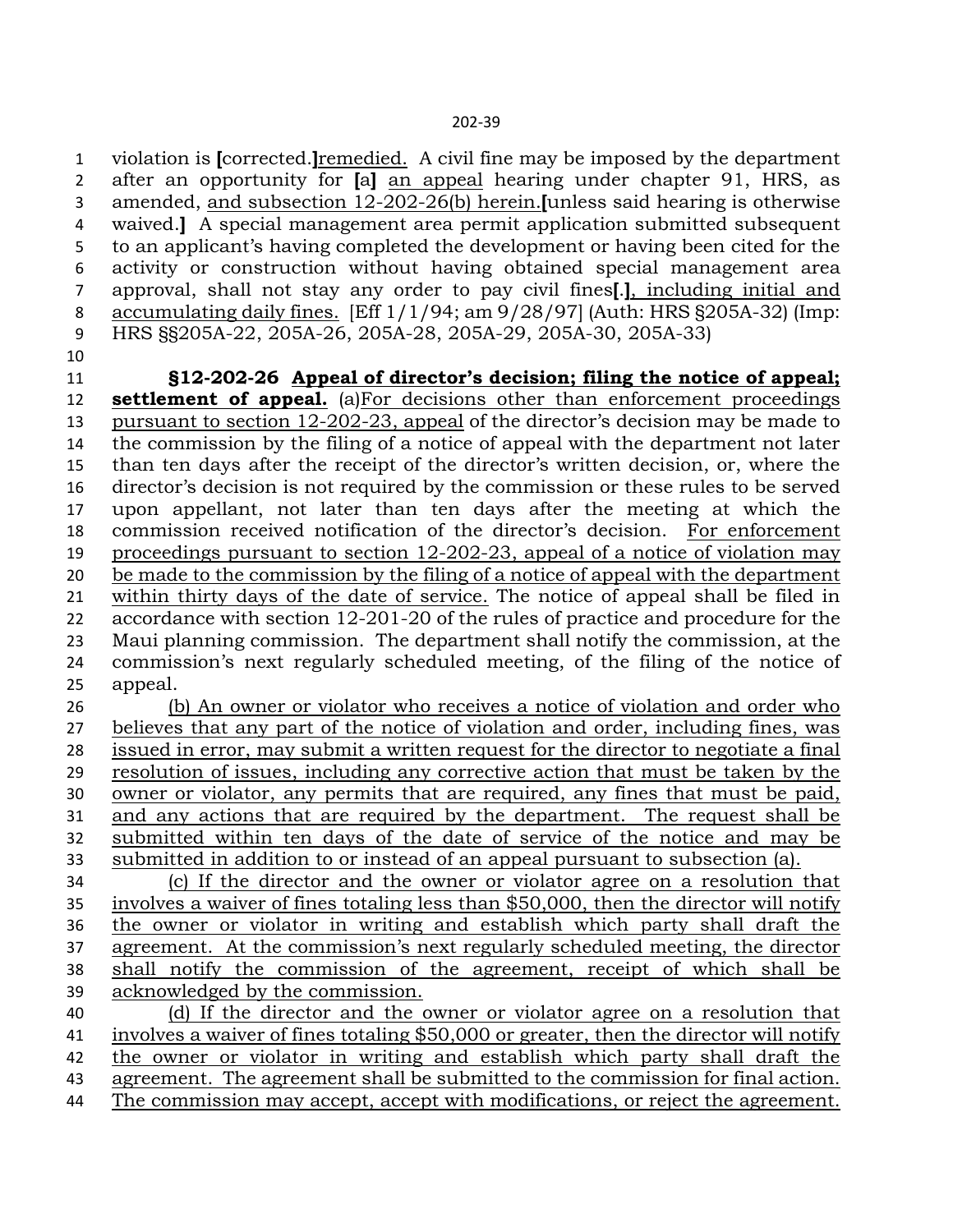violation is **[**corrected.**]**remedied. A civil fine may be imposed by the department after an opportunity for **[**a**]** an appeal hearing under chapter 91, HRS, as amended, and subsection 12-202-26(b) herein.**[**unless said hearing is otherwise waived.**]** A special management area permit application submitted subsequent to an applicant's having completed the development or having been cited for the activity or construction without having obtained special management area approval, shall not stay any order to pay civil fines**[**.**]**, including initial and accumulating daily fines. [Eff 1/1/94; am 9/28/97] (Auth: HRS §205A-32) (Imp: HRS §§205A-22, 205A-26, 205A-28, 205A-29, 205A-30, 205A-33)

 **§12-202-26 Appeal of director's decision; filing the notice of appeal; settlement of appeal.** (a)For decisions other than enforcement proceedings pursuant to section 12-202-23, appeal of the director's decision may be made to the commission by the filing of a notice of appeal with the department not later than ten days after the receipt of the director's written decision, or, where the director's decision is not required by the commission or these rules to be served upon appellant, not later than ten days after the meeting at which the commission received notification of the director's decision. For enforcement proceedings pursuant to section 12-202-23, appeal of a notice of violation may be made to the commission by the filing of a notice of appeal with the department within thirty days of the date of service. The notice of appeal shall be filed in accordance with section 12-201-20 of the rules of practice and procedure for the Maui planning commission. The department shall notify the commission, at the commission's next regularly scheduled meeting, of the filing of the notice of appeal.

 (b) An owner or violator who receives a notice of violation and order who believes that any part of the notice of violation and order, including fines, was issued in error, may submit a written request for the director to negotiate a final resolution of issues, including any corrective action that must be taken by the owner or violator, any permits that are required, any fines that must be paid, and any actions that are required by the department. The request shall be submitted within ten days of the date of service of the notice and may be submitted in addition to or instead of an appeal pursuant to subsection (a).

 (c) If the director and the owner or violator agree on a resolution that involves a waiver of fines totaling less than \$50,000, then the director will notify the owner or violator in writing and establish which party shall draft the agreement. At the commission's next regularly scheduled meeting, the director shall notify the commission of the agreement, receipt of which shall be acknowledged by the commission.

 (d) If the director and the owner or violator agree on a resolution that involves a waiver of fines totaling \$50,000 or greater, then the director will notify the owner or violator in writing and establish which party shall draft the agreement. The agreement shall be submitted to the commission for final action. The commission may accept, accept with modifications, or reject the agreement.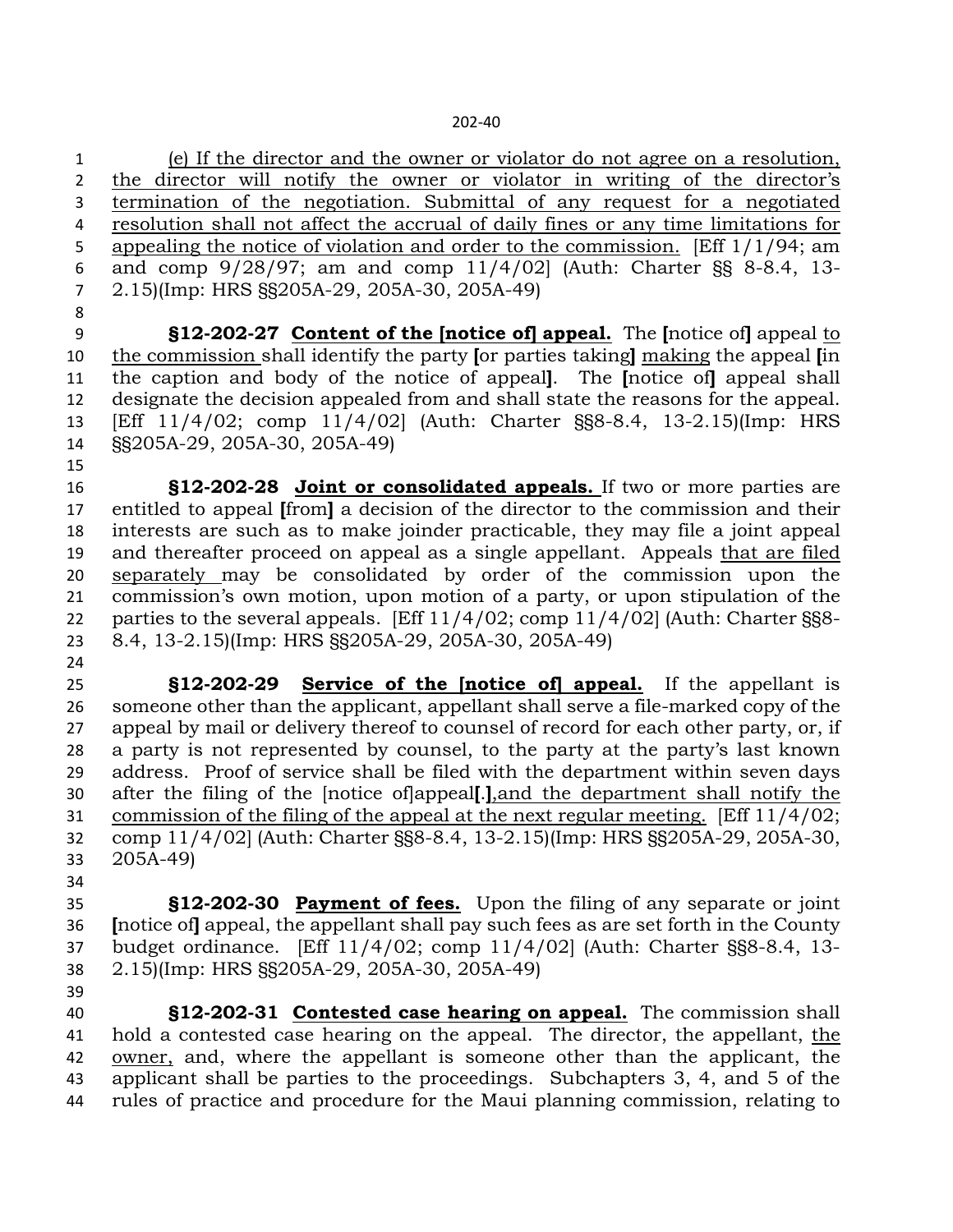(e) If the director and the owner or violator do not agree on a resolution, 2 the director will notify the owner or violator in writing of the director's termination of the negotiation. Submittal of any request for a negotiated resolution shall not affect the accrual of daily fines or any time limitations for appealing the notice of violation and order to the commission. [Eff 1/1/94; am and comp 9/28/97; am and comp 11/4/02] (Auth: Charter §§ 8-8.4, 13- 2.15)(Imp: HRS §§205A-29, 205A-30, 205A-49)

 **§12-202-27 Content of the [notice of] appeal.** The **[**notice of**]** appeal to the commission shall identify the party **[**or parties taking**]** making the appeal **[**in the caption and body of the notice of appeal**]**. The **[**notice of**]** appeal shall designate the decision appealed from and shall state the reasons for the appeal. [Eff 11/4/02; comp 11/4/02] (Auth: Charter §§8-8.4, 13-2.15)(Imp: HRS §§205A-29, 205A-30, 205A-49)

 **§12-202-28 Joint or consolidated appeals.** If two or more parties are entitled to appeal **[**from**]** a decision of the director to the commission and their interests are such as to make joinder practicable, they may file a joint appeal and thereafter proceed on appeal as a single appellant. Appeals that are filed separately may be consolidated by order of the commission upon the commission's own motion, upon motion of a party, or upon stipulation of the parties to the several appeals. [Eff 11/4/02; comp 11/4/02] (Auth: Charter §§8- 8.4, 13-2.15)(Imp: HRS §§205A-29, 205A-30, 205A-49)

 **§12-202-29 Service of the [notice of] appeal.** If the appellant is someone other than the applicant, appellant shall serve a file-marked copy of the appeal by mail or delivery thereof to counsel of record for each other party, or, if a party is not represented by counsel, to the party at the party's last known address. Proof of service shall be filed with the department within seven days after the filing of the [notice of]appeal**[**.**]**,and the department shall notify the commission of the filing of the appeal at the next regular meeting. [Eff 11/4/02; comp 11/4/02] (Auth: Charter §§8-8.4, 13-2.15)(Imp: HRS §§205A-29, 205A-30, 205A-49)

 **§12-202-30 Payment of fees.** Upon the filing of any separate or joint **[**notice of**]** appeal, the appellant shall pay such fees as are set forth in the County budget ordinance. [Eff 11/4/02; comp 11/4/02] (Auth: Charter §§8-8.4, 13- 2.15)(Imp: HRS §§205A-29, 205A-30, 205A-49)

 **§12-202-31 Contested case hearing on appeal.** The commission shall hold a contested case hearing on the appeal. The director, the appellant, the owner, and, where the appellant is someone other than the applicant, the applicant shall be parties to the proceedings. Subchapters 3, 4, and 5 of the rules of practice and procedure for the Maui planning commission, relating to